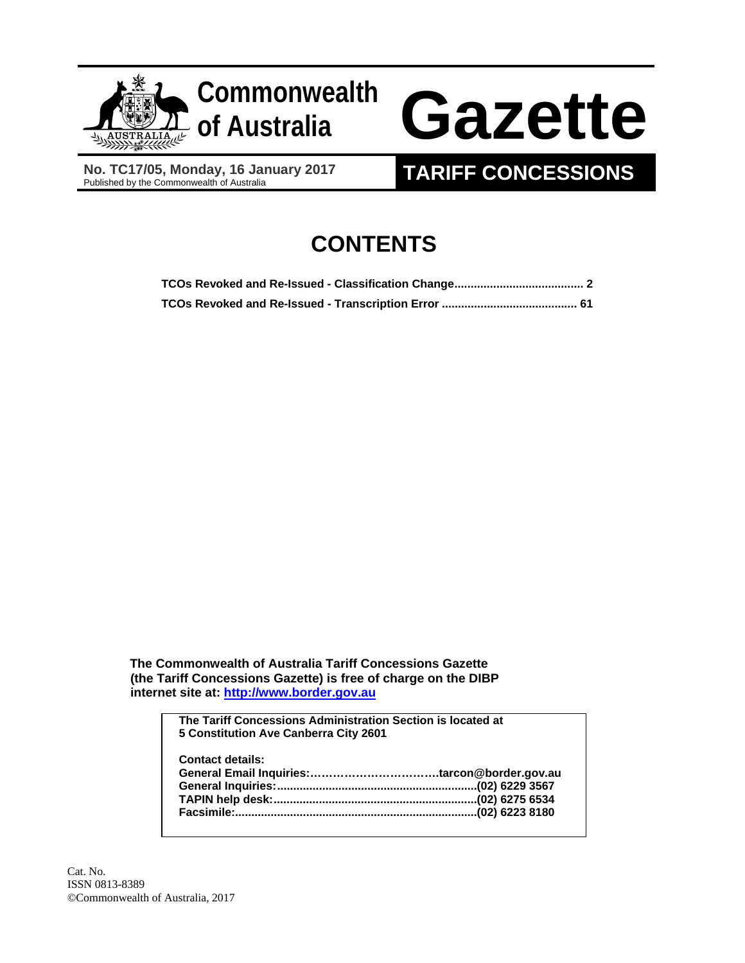

**No. TC17/05, Monday, 16 January 2017**<br>Published by the Commonwealth of Australia

# **TARIFF CONCESSIONS**

# **CONTENTS**

**The Commonwealth of Australia Tariff Concessions Gazette (the Tariff Concessions Gazette) is free of charge on the DIBP internet site at: http://www.border.gov.au**

| The Tariff Concessions Administration Section is located at<br>5 Constitution Ave Canberra City 2601 |  |
|------------------------------------------------------------------------------------------------------|--|
| <b>Contact details:</b>                                                                              |  |
|                                                                                                      |  |
|                                                                                                      |  |
|                                                                                                      |  |

Cat. No. ISSN 0813-8389 ©Commonwealth of Australia, 2017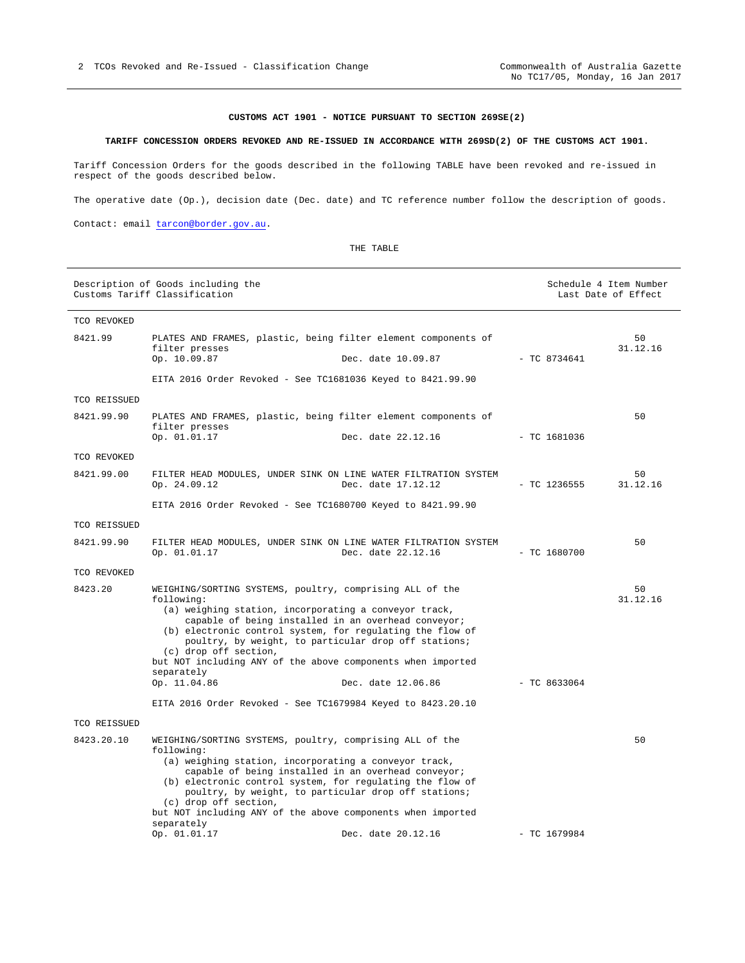# **CUSTOMS ACT 1901 - NOTICE PURSUANT TO SECTION 269SE(2)**

# **TARIFF CONCESSION ORDERS REVOKED AND RE-ISSUED IN ACCORDANCE WITH 269SD(2) OF THE CUSTOMS ACT 1901.**

Tariff Concession Orders for the goods described in the following TABLE have been revoked and re-issued in respect of the goods described below.

The operative date (Op.), decision date (Dec. date) and TC reference number follow the description of goods.

Contact: email tarcon@border.gov.au.

#### THE TABLE

|              | Description of Goods including the<br>Customs Tariff Classification                                                                                                                                                               |                    | Schedule 4 Item Number | Last Date of Effect |
|--------------|-----------------------------------------------------------------------------------------------------------------------------------------------------------------------------------------------------------------------------------|--------------------|------------------------|---------------------|
| TCO REVOKED  |                                                                                                                                                                                                                                   |                    |                        |                     |
| 8421.99      | PLATES AND FRAMES, plastic, being filter element components of<br>filter presses                                                                                                                                                  |                    |                        | 50<br>31.12.16      |
|              | Op. 10.09.87                                                                                                                                                                                                                      | Dec. date 10.09.87 | $- TC 8734641$         |                     |
|              | EITA 2016 Order Revoked - See TC1681036 Keyed to 8421.99.90                                                                                                                                                                       |                    |                        |                     |
| TCO REISSUED |                                                                                                                                                                                                                                   |                    |                        |                     |
| 8421.99.90   | PLATES AND FRAMES, plastic, being filter element components of                                                                                                                                                                    |                    |                        | 50                  |
|              | filter presses<br>Op. 01.01.17                                                                                                                                                                                                    | Dec. date 22.12.16 | $-$ TC 1681036         |                     |
| TCO REVOKED  |                                                                                                                                                                                                                                   |                    |                        |                     |
| 8421.99.00   | FILTER HEAD MODULES, UNDER SINK ON LINE WATER FILTRATION SYSTEM<br>Op. 24.09.12                                                                                                                                                   | Dec. date 17.12.12 | $-$ TC 1236555         | 50<br>31.12.16      |
|              | EITA 2016 Order Revoked - See TC1680700 Keyed to 8421.99.90                                                                                                                                                                       |                    |                        |                     |
| TCO REISSUED |                                                                                                                                                                                                                                   |                    |                        |                     |
| 8421.99.90   | FILTER HEAD MODULES, UNDER SINK ON LINE WATER FILTRATION SYSTEM<br>Op. 01.01.17                                                                                                                                                   | Dec. date 22.12.16 | $-$ TC 1680700         | 50                  |
| TCO REVOKED  |                                                                                                                                                                                                                                   |                    |                        |                     |
| 8423.20      | WEIGHING/SORTING SYSTEMS, poultry, comprising ALL of the<br>following:                                                                                                                                                            |                    |                        | 50<br>31.12.16      |
|              | (a) weighing station, incorporating a conveyor track,<br>capable of being installed in an overhead conveyor;<br>(b) electronic control system, for regulating the flow of<br>poultry, by weight, to particular drop off stations; |                    |                        |                     |
|              | (c) drop off section,<br>but NOT including ANY of the above components when imported<br>separately                                                                                                                                |                    |                        |                     |
|              | Op. 11.04.86                                                                                                                                                                                                                      | Dec. date 12.06.86 | $-$ TC 8633064         |                     |
|              | EITA 2016 Order Revoked - See TC1679984 Keyed to 8423.20.10                                                                                                                                                                       |                    |                        |                     |
| TCO REISSUED |                                                                                                                                                                                                                                   |                    |                        |                     |
| 8423.20.10   | WEIGHING/SORTING SYSTEMS, poultry, comprising ALL of the<br>following:                                                                                                                                                            |                    |                        | 50                  |
|              | (a) weighing station, incorporating a conveyor track,<br>capable of being installed in an overhead conveyor;                                                                                                                      |                    |                        |                     |
|              | (b) electronic control system, for regulating the flow of<br>poultry, by weight, to particular drop off stations;<br>(c) drop off section,                                                                                        |                    |                        |                     |
|              | but NOT including ANY of the above components when imported                                                                                                                                                                       |                    |                        |                     |
|              | separately<br>Op. 01.01.17                                                                                                                                                                                                        | Dec. date 20.12.16 | $-$ TC 1679984         |                     |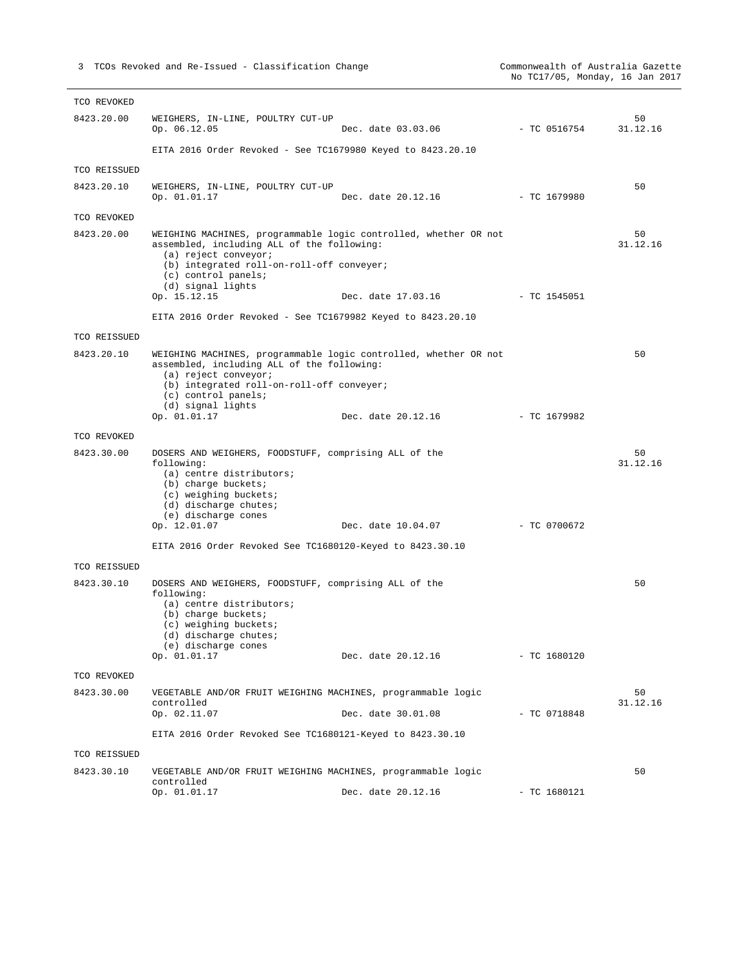| TCO REVOKED  |                                                                                                                                                                                                                                                 |                    |                |                |
|--------------|-------------------------------------------------------------------------------------------------------------------------------------------------------------------------------------------------------------------------------------------------|--------------------|----------------|----------------|
| 8423.20.00   | WEIGHERS, IN-LINE, POULTRY CUT-UP<br>Op. 06.12.05                                                                                                                                                                                               | Dec. date 03.03.06 | - TC 0516754   | 50<br>31.12.16 |
|              | EITA 2016 Order Revoked - See TC1679980 Keyed to 8423.20.10                                                                                                                                                                                     |                    |                |                |
| TCO REISSUED |                                                                                                                                                                                                                                                 |                    |                |                |
| 8423.20.10   | WEIGHERS, IN-LINE, POULTRY CUT-UP<br>Op. 01.01.17                                                                                                                                                                                               | Dec. date 20.12.16 | - TC 1679980   | 50             |
| TCO REVOKED  |                                                                                                                                                                                                                                                 |                    |                |                |
| 8423.20.00   | WEIGHING MACHINES, programmable logic controlled, whether OR not<br>assembled, including ALL of the following:<br>(a) reject conveyor;<br>(b) integrated roll-on-roll-off conveyer;<br>(c) control panels;<br>(d) signal lights<br>Op. 15.12.15 | Dec. date 17.03.16 | - TC 1545051   | 50<br>31.12.16 |
|              | EITA 2016 Order Revoked - See TC1679982 Keyed to 8423.20.10                                                                                                                                                                                     |                    |                |                |
| TCO REISSUED |                                                                                                                                                                                                                                                 |                    |                |                |
| 8423.20.10   | WEIGHING MACHINES, programmable logic controlled, whether OR not<br>assembled, including ALL of the following:<br>(a) reject conveyor;<br>(b) integrated roll-on-roll-off conveyer;<br>(c) control panels;<br>(d) signal lights<br>Op. 01.01.17 | Dec. date 20.12.16 | - TC 1679982   | 50             |
| TCO REVOKED  |                                                                                                                                                                                                                                                 |                    |                |                |
| 8423.30.00   | DOSERS AND WEIGHERS, FOODSTUFF, comprising ALL of the<br>following:<br>(a) centre distributors;<br>(b) charge buckets;<br>(c) weighing buckets;<br>(d) discharge chutes;<br>(e) discharge cones                                                 |                    |                | 50<br>31.12.16 |
|              | Op. 12.01.07                                                                                                                                                                                                                                    | Dec. date 10.04.07 | - TC 0700672   |                |
|              | EITA 2016 Order Revoked See TC1680120-Keyed to 8423.30.10                                                                                                                                                                                       |                    |                |                |
| TCO REISSUED |                                                                                                                                                                                                                                                 |                    |                |                |
| 8423.30.10   | DOSERS AND WEIGHERS, FOODSTUFF, comprising ALL of the<br>following:<br>(a) centre distributors;<br>(b) charge buckets;<br>(c) weighing buckets;<br>(d) discharge chutes;<br>(e) discharge cones<br>Op. 01.01.17                                 | Dec. date 20.12.16 | $-$ TC 1680120 | 50             |
| TCO REVOKED  |                                                                                                                                                                                                                                                 |                    |                |                |
| 8423.30.00   | VEGETABLE AND/OR FRUIT WEIGHING MACHINES, programmable logic                                                                                                                                                                                    |                    |                | 50             |
|              | controlled<br>Op. 02.11.07                                                                                                                                                                                                                      | Dec. date 30.01.08 | - TC 0718848   | 31.12.16       |
|              | EITA 2016 Order Revoked See TC1680121-Keyed to 8423.30.10                                                                                                                                                                                       |                    |                |                |
| TCO REISSUED |                                                                                                                                                                                                                                                 |                    |                |                |
| 8423.30.10   | VEGETABLE AND/OR FRUIT WEIGHING MACHINES, programmable logic<br>controlled                                                                                                                                                                      |                    |                | 50             |
|              | Op. 01.01.17                                                                                                                                                                                                                                    | Dec. date 20.12.16 | $-$ TC 1680121 |                |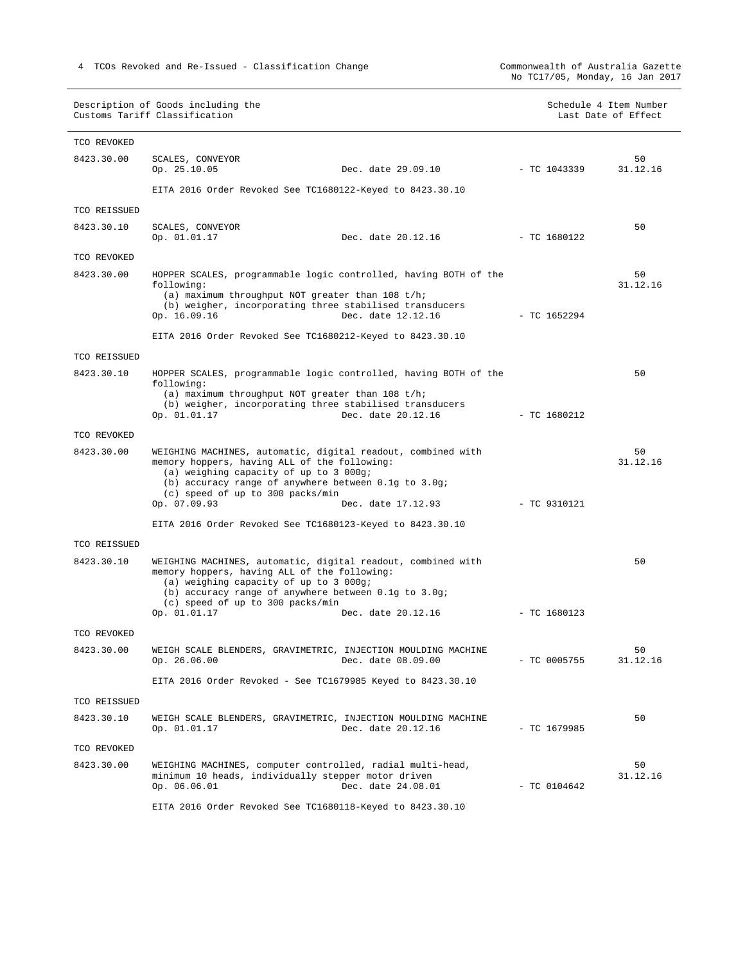No TC17/05, Monday, 16 Jan 2017

|              | Description of Goods including the<br>Customs Tariff Classification                                                                                                                                                                                                           |                    |                | Schedule 4 Item Number<br>Last Date of Effect |
|--------------|-------------------------------------------------------------------------------------------------------------------------------------------------------------------------------------------------------------------------------------------------------------------------------|--------------------|----------------|-----------------------------------------------|
| TCO REVOKED  |                                                                                                                                                                                                                                                                               |                    |                |                                               |
| 8423.30.00   | SCALES, CONVEYOR<br>Op. 25.10.05                                                                                                                                                                                                                                              | Dec. date 29.09.10 | $-$ TC 1043339 | 50<br>31.12.16                                |
|              | EITA 2016 Order Revoked See TC1680122-Keyed to 8423.30.10                                                                                                                                                                                                                     |                    |                |                                               |
| TCO REISSUED |                                                                                                                                                                                                                                                                               |                    |                |                                               |
| 8423.30.10   | SCALES, CONVEYOR<br>Op. 01.01.17                                                                                                                                                                                                                                              | Dec. date 20.12.16 | $-$ TC 1680122 | 50                                            |
| TCO REVOKED  |                                                                                                                                                                                                                                                                               |                    |                |                                               |
| 8423.30.00   | HOPPER SCALES, programmable logic controlled, having BOTH of the<br>following:<br>(a) maximum throughput NOT greater than $108 t/h$ ;<br>(b) weigher, incorporating three stabilised transducers<br>Op. 16.09.16<br>EITA 2016 Order Revoked See TC1680212-Keyed to 8423.30.10 | Dec. date 12.12.16 | $-$ TC 1652294 | 50<br>31.12.16                                |
| TCO REISSUED |                                                                                                                                                                                                                                                                               |                    |                |                                               |
| 8423.30.10   | HOPPER SCALES, programmable logic controlled, having BOTH of the<br>following:<br>(a) maximum throughput NOT greater than $108 t/h$ ;<br>(b) weigher, incorporating three stabilised transducers<br>Op. 01.01.17                                                              | Dec. date 20.12.16 | $-$ TC 1680212 | 50                                            |
| TCO REVOKED  |                                                                                                                                                                                                                                                                               |                    |                |                                               |
| 8423.30.00   | WEIGHING MACHINES, automatic, digital readout, combined with<br>memory hoppers, having ALL of the following:<br>(a) weighing capacity of up to 3 000g;<br>(b) accuracy range of anywhere between $0.1g$ to $3.0gi$<br>(c) speed of up to 300 packs/min                        |                    |                | 50<br>31.12.16                                |
|              | Op. 07.09.93                                                                                                                                                                                                                                                                  | Dec. date 17.12.93 | $-$ TC 9310121 |                                               |
|              | EITA 2016 Order Revoked See TC1680123-Keyed to 8423.30.10                                                                                                                                                                                                                     |                    |                |                                               |
| TCO REISSUED |                                                                                                                                                                                                                                                                               |                    |                |                                               |
| 8423.30.10   | WEIGHING MACHINES, automatic, digital readout, combined with<br>memory hoppers, having ALL of the following:<br>(a) weighing capacity of up to 3 000g;<br>(b) accuracy range of anywhere between 0.1g to 3.0g;<br>(c) speed of up to 300 packs/min<br>Op. 01.01.17            | Dec. date 20.12.16 | $-$ TC 1680123 | 50                                            |
| TCO REVOKED  |                                                                                                                                                                                                                                                                               |                    |                |                                               |
| 8423.30.00   | WEIGH SCALE BLENDERS, GRAVIMETRIC, INJECTION MOULDING MACHINE<br>Op. 26.06.00                                                                                                                                                                                                 | Dec. date 08.09.00 | $-$ TC 0005755 | 50<br>31.12.16                                |
|              | EITA 2016 Order Revoked - See TC1679985 Keyed to 8423.30.10                                                                                                                                                                                                                   |                    |                |                                               |
| TCO REISSUED |                                                                                                                                                                                                                                                                               |                    |                |                                               |
| 8423.30.10   | WEIGH SCALE BLENDERS, GRAVIMETRIC, INJECTION MOULDING MACHINE<br>Op. 01.01.17                                                                                                                                                                                                 | Dec. date 20.12.16 | - TC 1679985   | 50                                            |
| TCO REVOKED  |                                                                                                                                                                                                                                                                               |                    |                |                                               |
| 8423.30.00   | WEIGHING MACHINES, computer controlled, radial multi-head,<br>minimum 10 heads, individually stepper motor driven<br>Op. 06.06.01                                                                                                                                             | Dec. date 24.08.01 | $-$ TC 0104642 | 50<br>31.12.16                                |
|              | EITA 2016 Order Revoked See TC1680118-Keyed to 8423.30.10                                                                                                                                                                                                                     |                    |                |                                               |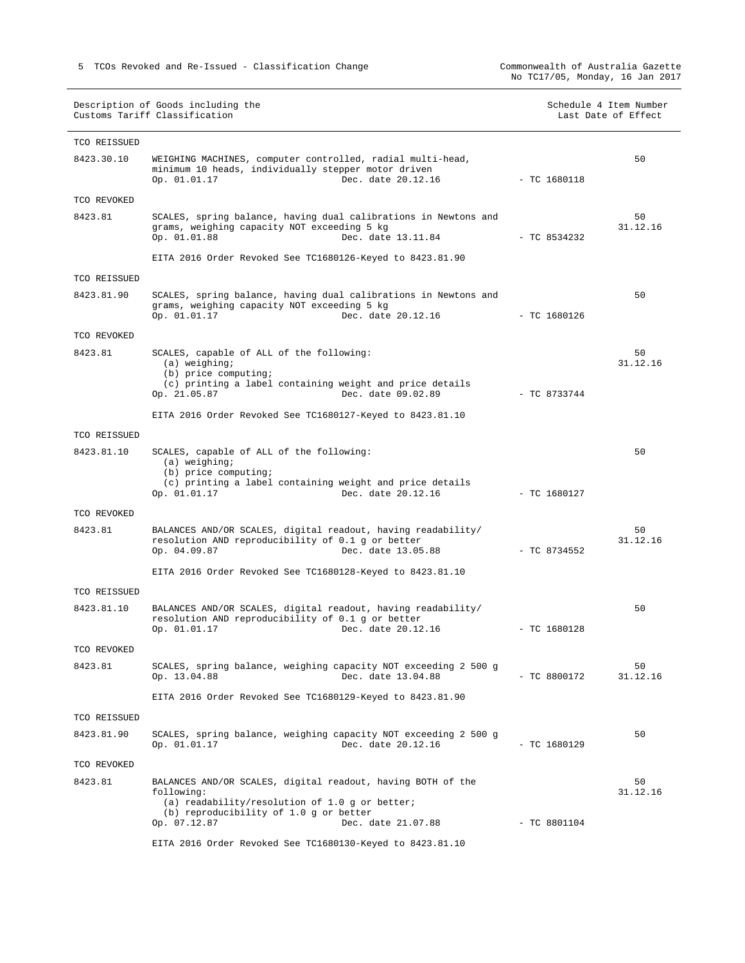Commonwealth of Australia Gazette<br>No TC17/05, Monday, 16 Jan 2017

|                        | Description of Goods including the<br>Customs Tariff Classification                                                                                           |                    | Schedule 4 Item Number<br>Last Date of Effect |                |
|------------------------|---------------------------------------------------------------------------------------------------------------------------------------------------------------|--------------------|-----------------------------------------------|----------------|
| TCO REISSUED           |                                                                                                                                                               |                    |                                               |                |
| 8423.30.10             | WEIGHING MACHINES, computer controlled, radial multi-head,<br>minimum 10 heads, individually stepper motor driven<br>Op. 01.01.17                             | Dec. date 20.12.16 | - TC 1680118                                  | 50             |
| TCO REVOKED            |                                                                                                                                                               |                    |                                               |                |
| 8423.81                | SCALES, spring balance, having dual calibrations in Newtons and<br>grams, weighing capacity NOT exceeding 5 kg<br>Op. 01.01.88                                | Dec. date 13.11.84 | - TC 8534232                                  | 50<br>31.12.16 |
|                        | EITA 2016 Order Revoked See TC1680126-Keyed to 8423.81.90                                                                                                     |                    |                                               |                |
| TCO REISSUED           |                                                                                                                                                               |                    |                                               |                |
| 8423.81.90             | SCALES, spring balance, having dual calibrations in Newtons and<br>grams, weighing capacity NOT exceeding 5 kg<br>Op. 01.01.17                                | Dec. date 20.12.16 | $-$ TC 1680126                                | 50             |
| TCO REVOKED            |                                                                                                                                                               |                    |                                               |                |
| 8423.81                | SCALES, capable of ALL of the following:<br>$(a)$ weighing;<br>(b) price computing;<br>(c) printing a label containing weight and price details               |                    |                                               | 50<br>31.12.16 |
|                        | Op. 21.05.87                                                                                                                                                  | Dec. date 09.02.89 | $-$ TC 8733744                                |                |
|                        | EITA 2016 Order Revoked See TC1680127-Keyed to 8423.81.10                                                                                                     |                    |                                               |                |
| TCO REISSUED           |                                                                                                                                                               |                    |                                               |                |
| 8423.81.10             | SCALES, capable of ALL of the following:<br>(a) weighing;<br>(b) price computing;<br>(c) printing a label containing weight and price details<br>Op. 01.01.17 | Dec. date 20.12.16 | $-$ TC 1680127                                | 50             |
|                        |                                                                                                                                                               |                    |                                               |                |
| TCO REVOKED<br>8423.81 | BALANCES AND/OR SCALES, digital readout, having readability/                                                                                                  |                    |                                               | 50             |
|                        | resolution AND reproducibility of 0.1 g or better<br>Op. 04.09.87                                                                                             | Dec. date 13.05.88 | - TC 8734552                                  | 31.12.16       |
|                        | EITA 2016 Order Revoked See TC1680128-Keyed to 8423.81.10                                                                                                     |                    |                                               |                |
| TCO REISSUED           |                                                                                                                                                               |                    |                                               |                |
| 8423.81.10             | BALANCES AND/OR SCALES, digital readout, having readability/<br>resolution AND reproducibility of 0.1 g or better<br>Op. 01.01.17                             | Dec. date 20.12.16 | $-$ TC 1680128                                | 50             |
| TCO REVOKED            |                                                                                                                                                               |                    |                                               |                |
| 8423.81                | SCALES, spring balance, weighing capacity NOT exceeding 2 500 g<br>Op. 13.04.88                                                                               | Dec. date 13.04.88 | $-$ TC 8800172                                | 50<br>31.12.16 |
|                        | EITA 2016 Order Revoked See TC1680129-Keyed to 8423.81.90                                                                                                     |                    |                                               |                |
| TCO REISSUED           |                                                                                                                                                               |                    |                                               |                |
| 8423.81.90             | SCALES, spring balance, weighing capacity NOT exceeding 2 500 g<br>Op. 01.01.17                                                                               | Dec. date 20.12.16 | $-$ TC 1680129                                | 50             |
| TCO REVOKED            |                                                                                                                                                               |                    |                                               |                |
| 8423.81                | BALANCES AND/OR SCALES, digital readout, having BOTH of the<br>following:<br>(a) readability/resolution of 1.0 g or better;                                   |                    |                                               | 50<br>31.12.16 |
|                        | (b) reproducibility of 1.0 g or better<br>Op. 07.12.87                                                                                                        | Dec. date 21.07.88 | $-$ TC 8801104                                |                |

EITA 2016 Order Revoked See TC1680130-Keyed to 8423.81.10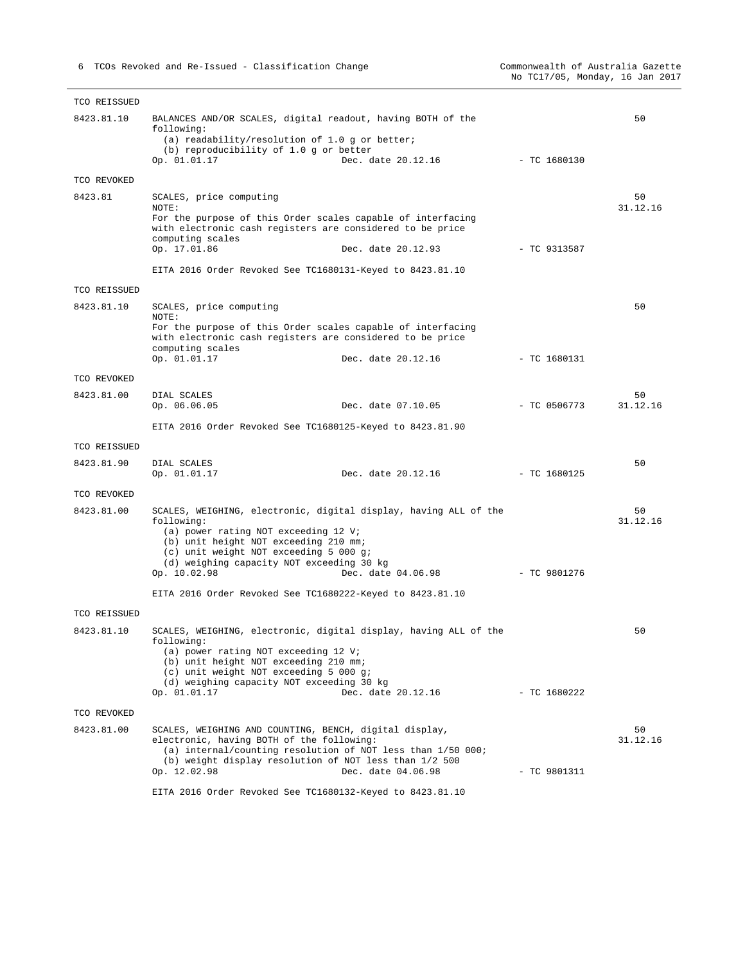| TCO REISSUED |                                                                                                                                                                                                                                                                                                                                     |                    |                |                |
|--------------|-------------------------------------------------------------------------------------------------------------------------------------------------------------------------------------------------------------------------------------------------------------------------------------------------------------------------------------|--------------------|----------------|----------------|
| 8423.81.10   | BALANCES AND/OR SCALES, digital readout, having BOTH of the<br>following:<br>(a) readability/resolution of $1.0$ g or better;<br>(b) reproducibility of 1.0 g or better<br>Op. 01.01.17                                                                                                                                             | Dec. date 20.12.16 | $-$ TC 1680130 | 50             |
| TCO REVOKED  |                                                                                                                                                                                                                                                                                                                                     |                    |                |                |
| 8423.81      | SCALES, price computing<br>NOTE:<br>For the purpose of this Order scales capable of interfacing<br>with electronic cash registers are considered to be price<br>computing scales<br>Op. 17.01.86                                                                                                                                    | Dec. date 20.12.93 | - TC 9313587   | 50<br>31.12.16 |
|              | EITA 2016 Order Revoked See TC1680131-Keyed to 8423.81.10                                                                                                                                                                                                                                                                           |                    |                |                |
| TCO REISSUED |                                                                                                                                                                                                                                                                                                                                     |                    |                |                |
| 8423.81.10   | SCALES, price computing<br>NOTE:<br>For the purpose of this Order scales capable of interfacing<br>with electronic cash registers are considered to be price<br>computing scales<br>Op. 01.01.17                                                                                                                                    | Dec. date 20.12.16 | $-$ TC 1680131 | 50             |
| TCO REVOKED  |                                                                                                                                                                                                                                                                                                                                     |                    |                |                |
| 8423.81.00   | DIAL SCALES<br>Op. 06.06.05                                                                                                                                                                                                                                                                                                         | Dec. date 07.10.05 | $-$ TC 0506773 | 50<br>31.12.16 |
|              | EITA 2016 Order Revoked See TC1680125-Keyed to 8423.81.90                                                                                                                                                                                                                                                                           |                    |                |                |
| TCO REISSUED |                                                                                                                                                                                                                                                                                                                                     |                    |                |                |
| 8423.81.90   | DIAL SCALES<br>Op. 01.01.17                                                                                                                                                                                                                                                                                                         | Dec. date 20.12.16 | - TC 1680125   | 50             |
| TCO REVOKED  |                                                                                                                                                                                                                                                                                                                                     |                    |                |                |
| 8423.81.00   | SCALES, WEIGHING, electronic, digital display, having ALL of the<br>following:<br>(a) power rating NOT exceeding 12 V;<br>(b) unit height NOT exceeding 210 mm;<br>(c) unit weight NOT exceeding 5 000 g;<br>(d) weighing capacity NOT exceeding 30 kg<br>Op. 10.02.98<br>EITA 2016 Order Revoked See TC1680222-Keyed to 8423.81.10 | Dec. date 04.06.98 | - TC 9801276   | 50<br>31.12.16 |
| TCO REISSUED |                                                                                                                                                                                                                                                                                                                                     |                    |                |                |
| 8423.81.10   | SCALES, WEIGHING, electronic, digital display, having ALL of the<br>following:<br>(a) power rating NOT exceeding 12 V;<br>(b) unit height NOT exceeding 210 mm;<br>(c) unit weight NOT exceeding 5 000 g;<br>(d) weighing capacity NOT exceeding 30 kg<br>Op. 01.01.17                                                              | Dec. date 20.12.16 | $-$ TC 1680222 | 50             |
| TCO REVOKED  |                                                                                                                                                                                                                                                                                                                                     |                    |                |                |
| 8423.81.00   | SCALES, WEIGHING AND COUNTING, BENCH, digital display,<br>electronic, having BOTH of the following:<br>(a) internal/counting resolution of NOT less than 1/50 000;<br>(b) weight display resolution of NOT less than 1/2 500<br>Op. 12.02.98                                                                                        | Dec. date 04.06.98 | $-$ TC 9801311 | 50<br>31.12.16 |
|              | EITA 2016 Order Revoked See TC1680132-Keyed to 8423.81.10                                                                                                                                                                                                                                                                           |                    |                |                |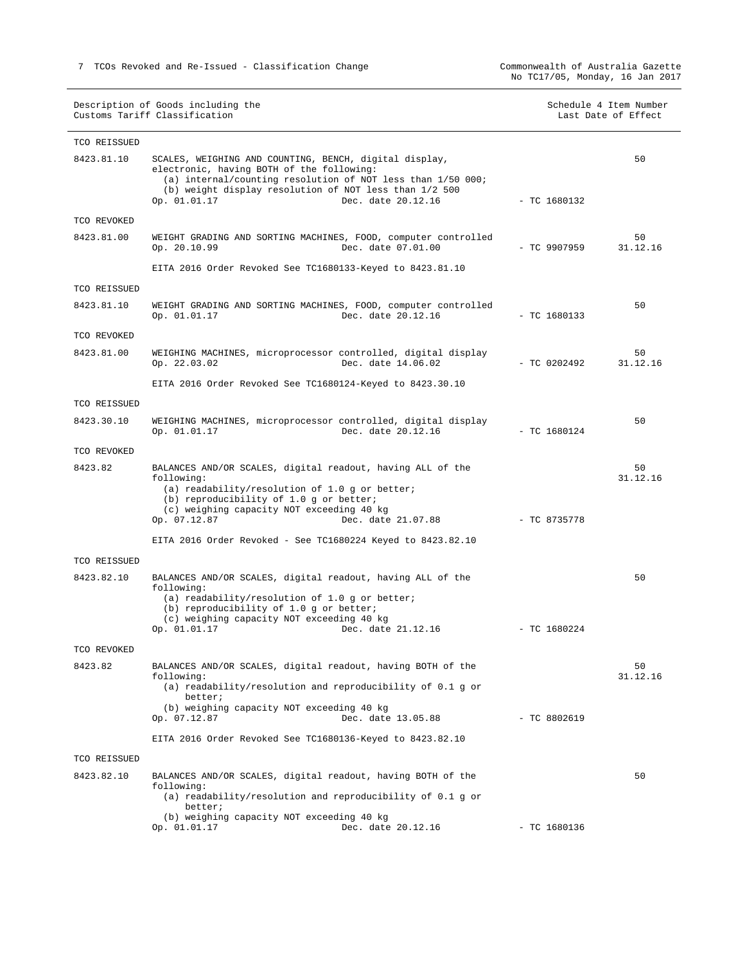Commonwealth of Australia Gazette<br>No TC17/05, Monday, 16 Jan 2017

|                            | Description of Goods including the<br>Customs Tariff Classification                                                                                                                                                                                                                                  |                | Schedule 4 Item Number<br>Last Date of Effect |
|----------------------------|------------------------------------------------------------------------------------------------------------------------------------------------------------------------------------------------------------------------------------------------------------------------------------------------------|----------------|-----------------------------------------------|
| TCO REISSUED               |                                                                                                                                                                                                                                                                                                      |                |                                               |
| 8423.81.10                 | SCALES, WEIGHING AND COUNTING, BENCH, digital display,<br>electronic, having BOTH of the following:<br>(a) internal/counting resolution of NOT less than 1/50 000;<br>(b) weight display resolution of NOT less than 1/2 500<br>Dec. date 20.12.16<br>Op. 01.01.17                                   | $-$ TC 1680132 | 50                                            |
| TCO REVOKED                |                                                                                                                                                                                                                                                                                                      |                |                                               |
| 8423.81.00                 | WEIGHT GRADING AND SORTING MACHINES, FOOD, computer controlled<br>Op. 20.10.99<br>Dec. date 07.01.00                                                                                                                                                                                                 | $-$ TC 9907959 | 50<br>31.12.16                                |
|                            | EITA 2016 Order Revoked See TC1680133-Keyed to 8423.81.10                                                                                                                                                                                                                                            |                |                                               |
| TCO REISSUED               |                                                                                                                                                                                                                                                                                                      |                |                                               |
| 8423.81.10                 | WEIGHT GRADING AND SORTING MACHINES, FOOD, computer controlled<br>Dec. date 20.12.16<br>Op. 01.01.17                                                                                                                                                                                                 | $-$ TC 1680133 | 50                                            |
| TCO REVOKED                |                                                                                                                                                                                                                                                                                                      |                |                                               |
| 8423.81.00                 | WEIGHING MACHINES, microprocessor controlled, digital display<br>Dec. date 14.06.02<br>Op. 22.03.02                                                                                                                                                                                                  | $-$ TC 0202492 | 50<br>31.12.16                                |
|                            | EITA 2016 Order Revoked See TC1680124-Keyed to 8423.30.10                                                                                                                                                                                                                                            |                |                                               |
| TCO REISSUED               |                                                                                                                                                                                                                                                                                                      |                |                                               |
| 8423.30.10                 | WEIGHING MACHINES, microprocessor controlled, digital display<br>Dec. date 20.12.16<br>Op. 01.01.17                                                                                                                                                                                                  | $-$ TC 1680124 | 50                                            |
| TCO REVOKED                |                                                                                                                                                                                                                                                                                                      |                |                                               |
| 8423.82                    | BALANCES AND/OR SCALES, digital readout, having ALL of the<br>following:<br>(a) readability/resolution of $1.0$ g or better;<br>(b) reproducibility of 1.0 g or better;<br>(c) weighing capacity NOT exceeding 40 kg<br>Op. 07.12.87<br>Dec. date 21.07.88                                           | - TC 8735778   | 50<br>31.12.16                                |
|                            | EITA 2016 Order Revoked - See TC1680224 Keyed to 8423.82.10                                                                                                                                                                                                                                          |                |                                               |
| TCO REISSUED               |                                                                                                                                                                                                                                                                                                      |                |                                               |
| 8423.82.10                 | BALANCES AND/OR SCALES, digital readout, having ALL of the<br>following:<br>(a) readability/resolution of $1.0$ q or better;<br>(b) reproducibility of 1.0 g or better;<br>(c) weighing capacity NOT exceeding 40 kg<br>Dec. date 21.12.16<br>Op. 01.01.17                                           | $-$ TC 1680224 | 50                                            |
| TCO REVOKED                |                                                                                                                                                                                                                                                                                                      |                |                                               |
| 8423.82                    | BALANCES AND/OR SCALES, digital readout, having BOTH of the<br>following:<br>(a) readability/resolution and reproducibility of $0.1$ g or<br>better;<br>(b) weighing capacity NOT exceeding 40 kg<br>Op. 07.12.87<br>Dec. date 13.05.88<br>EITA 2016 Order Revoked See TC1680136-Keyed to 8423.82.10 | $-$ TC 8802619 | 50<br>31.12.16                                |
|                            |                                                                                                                                                                                                                                                                                                      |                |                                               |
| TCO REISSUED<br>8423.82.10 | BALANCES AND/OR SCALES, digital readout, having BOTH of the                                                                                                                                                                                                                                          |                | 50                                            |
|                            | following:<br>(a) readability/resolution and reproducibility of $0.1$ g or<br>better;<br>(b) weighing capacity NOT exceeding 40 kg<br>Op. 01.01.17<br>Dec. date 20.12.16                                                                                                                             | $-$ TC 1680136 |                                               |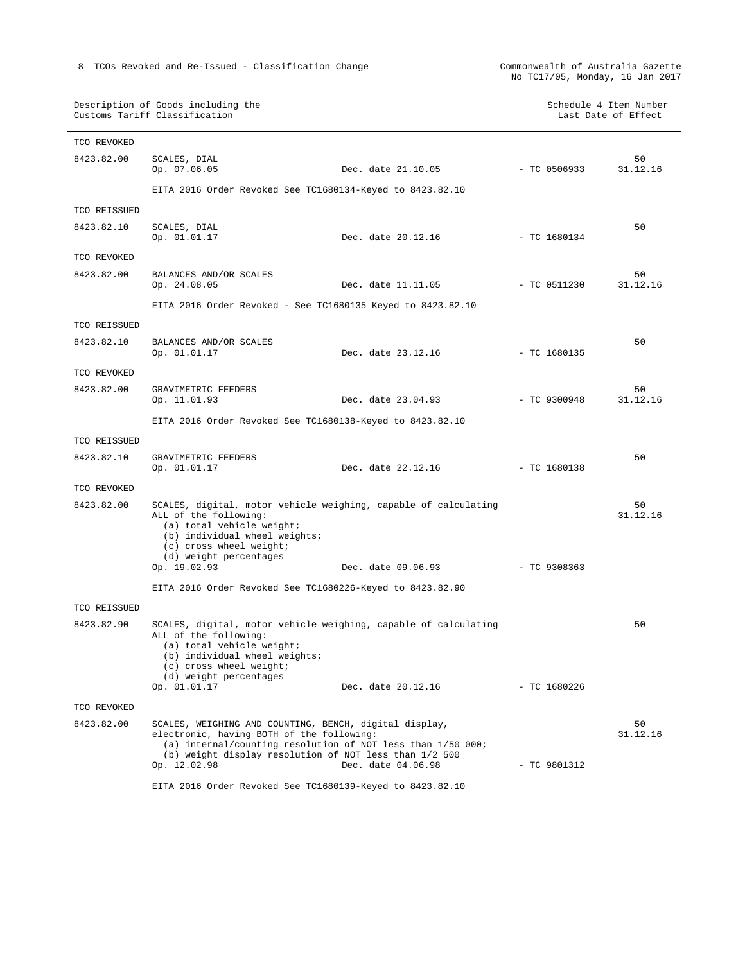No TC17/05, Monday, 16 Jan 2017

|              | Description of Goods including the<br>Customs Tariff Classification                                                                                                                                                                          |                    |                | Schedule 4 Item Number<br>Last Date of Effect |
|--------------|----------------------------------------------------------------------------------------------------------------------------------------------------------------------------------------------------------------------------------------------|--------------------|----------------|-----------------------------------------------|
| TCO REVOKED  |                                                                                                                                                                                                                                              |                    |                |                                               |
| 8423.82.00   | SCALES, DIAL<br>Op. 07.06.05                                                                                                                                                                                                                 | Dec. date 21.10.05 | $-$ TC 0506933 | 50<br>31.12.16                                |
|              | EITA 2016 Order Revoked See TC1680134-Keyed to 8423.82.10                                                                                                                                                                                    |                    |                |                                               |
| TCO REISSUED |                                                                                                                                                                                                                                              |                    |                |                                               |
| 8423.82.10   | SCALES, DIAL<br>Op. 01.01.17                                                                                                                                                                                                                 | Dec. date 20.12.16 | $-$ TC 1680134 | 50                                            |
| TCO REVOKED  |                                                                                                                                                                                                                                              |                    |                |                                               |
| 8423.82.00   | BALANCES AND/OR SCALES<br>Op. 24.08.05                                                                                                                                                                                                       | Dec. date 11.11.05 | $-$ TC 0511230 | 50<br>31.12.16                                |
|              | EITA 2016 Order Revoked - See TC1680135 Keyed to 8423.82.10                                                                                                                                                                                  |                    |                |                                               |
| TCO REISSUED |                                                                                                                                                                                                                                              |                    |                |                                               |
| 8423.82.10   | BALANCES AND/OR SCALES<br>Op. 01.01.17                                                                                                                                                                                                       | Dec. date 23.12.16 | $-$ TC 1680135 | 50                                            |
| TCO REVOKED  |                                                                                                                                                                                                                                              |                    |                |                                               |
| 8423.82.00   | GRAVIMETRIC FEEDERS<br>Op. 11.01.93                                                                                                                                                                                                          | Dec. date 23.04.93 | $-$ TC 9300948 | 50<br>31.12.16                                |
|              | EITA 2016 Order Revoked See TC1680138-Keyed to 8423.82.10                                                                                                                                                                                    |                    |                |                                               |
| TCO REISSUED |                                                                                                                                                                                                                                              |                    |                |                                               |
| 8423.82.10   | GRAVIMETRIC FEEDERS<br>Op. 01.01.17                                                                                                                                                                                                          | Dec. date 22.12.16 | $-$ TC 1680138 | 50                                            |
| TCO REVOKED  |                                                                                                                                                                                                                                              |                    |                |                                               |
| 8423.82.00   | SCALES, digital, motor vehicle weighing, capable of calculating<br>ALL of the following:<br>(a) total vehicle weight;<br>(b) individual wheel weights;<br>(c) cross wheel weight;<br>(d) weight percentages<br>Op. 19.02.93                  | Dec. date 09.06.93 | $-$ TC 9308363 | 50<br>31.12.16                                |
|              | EITA 2016 Order Revoked See TC1680226-Keyed to 8423.82.90                                                                                                                                                                                    |                    |                |                                               |
| TCO REISSUED |                                                                                                                                                                                                                                              |                    |                |                                               |
| 8423.82.90   | SCALES, digital, motor vehicle weighing, capable of calculating<br>ALL of the following:<br>(a) total vehicle weight;<br>(b) individual wheel weights;<br>(c) cross wheel weight;<br>(d) weight percentages                                  |                    |                | 50                                            |
|              | Op. 01.01.17                                                                                                                                                                                                                                 | Dec. date 20.12.16 | $-$ TC 1680226 |                                               |
| TCO REVOKED  |                                                                                                                                                                                                                                              |                    |                |                                               |
| 8423.82.00   | SCALES, WEIGHING AND COUNTING, BENCH, digital display,<br>electronic, having BOTH of the following:<br>(a) internal/counting resolution of NOT less than 1/50 000;<br>(b) weight display resolution of NOT less than 1/2 500<br>Op. 12.02.98 | Dec. date 04.06.98 | $-$ TC 9801312 | 50<br>31.12.16                                |

EITA 2016 Order Revoked See TC1680139-Keyed to 8423.82.10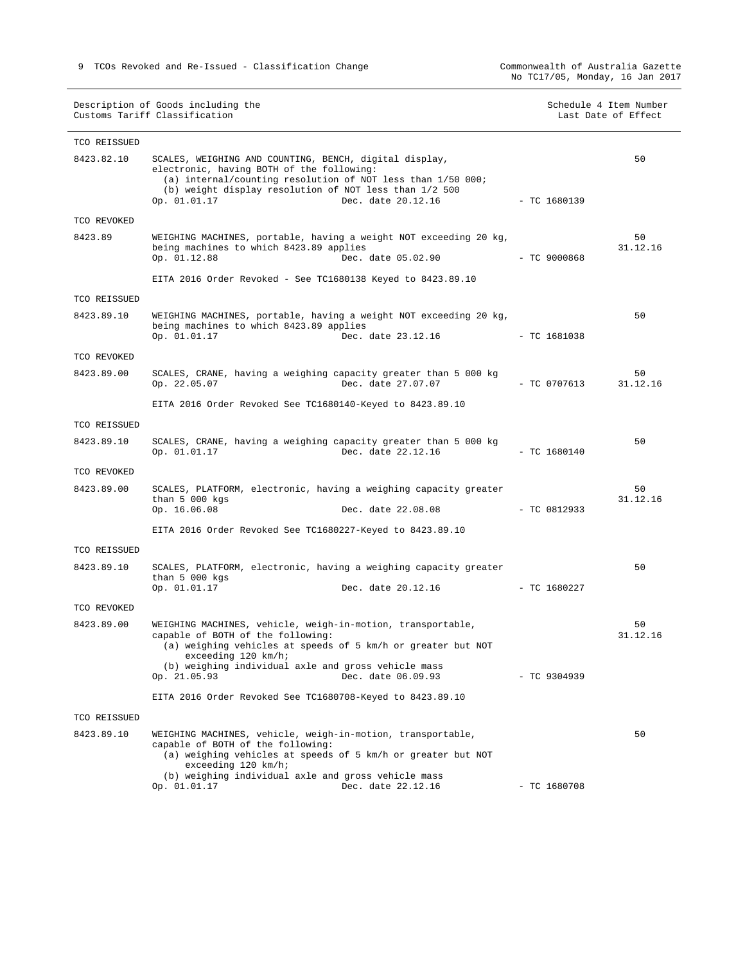Commonwealth of Australia Gazette<br>No TC17/05, Monday, 16 Jan 2017

|              | Description of Goods including the<br>Customs Tariff Classification                                                                                                                                                                                                                  |                                 | Schedule 4 Item Number<br>Last Date of Effect |
|--------------|--------------------------------------------------------------------------------------------------------------------------------------------------------------------------------------------------------------------------------------------------------------------------------------|---------------------------------|-----------------------------------------------|
| TCO REISSUED |                                                                                                                                                                                                                                                                                      |                                 |                                               |
| 8423.82.10   | SCALES, WEIGHING AND COUNTING, BENCH, digital display,<br>electronic, having BOTH of the following:<br>(a) internal/counting resolution of NOT less than 1/50 000;<br>(b) weight display resolution of NOT less than 1/2 500<br>Op. 01.01.17<br>Dec. date 20.12.16                   |                                 | 50<br>$-$ TC 1680139                          |
| TCO REVOKED  |                                                                                                                                                                                                                                                                                      |                                 |                                               |
| 8423.89      | WEIGHING MACHINES, portable, having a weight NOT exceeding 20 kg,<br>being machines to which 8423.89 applies<br>Op. 01.12.88<br>Dec. date 05.02.90                                                                                                                                   |                                 | 50<br>31.12.16<br>- TC 9000868                |
|              | EITA 2016 Order Revoked - See TC1680138 Keyed to 8423.89.10                                                                                                                                                                                                                          |                                 |                                               |
| TCO REISSUED |                                                                                                                                                                                                                                                                                      |                                 |                                               |
| 8423.89.10   | WEIGHING MACHINES, portable, having a weight NOT exceeding 20 kg,<br>being machines to which 8423.89 applies<br>Op. 01.01.17<br>Dec. date 23.12.16                                                                                                                                   |                                 | 50<br>$-$ TC 1681038                          |
| TCO REVOKED  |                                                                                                                                                                                                                                                                                      |                                 |                                               |
| 8423.89.00   | SCALES, CRANE, having a weighing capacity greater than 5 000 kg<br>Dec. date 27.07.07<br>Op. 22.05.07                                                                                                                                                                                |                                 | 50<br>- TC 0707613<br>31.12.16                |
|              | EITA 2016 Order Revoked See TC1680140-Keyed to 8423.89.10                                                                                                                                                                                                                            |                                 |                                               |
| TCO REISSUED |                                                                                                                                                                                                                                                                                      |                                 |                                               |
| 8423.89.10   | SCALES, CRANE, having a weighing capacity greater than 5 000 kg<br>Op. 01.01.17<br>Dec. date 22.12.16                                                                                                                                                                                |                                 | 50<br>$-$ TC 1680140                          |
| TCO REVOKED  |                                                                                                                                                                                                                                                                                      |                                 |                                               |
| 8423.89.00   | SCALES, PLATFORM, electronic, having a weighing capacity greater<br>than 5 000 kgs<br>Op. 16.06.08                                                                                                                                                                                   | Dec. date 22.08.08 - TC 0812933 | 50<br>31.12.16                                |
|              | EITA 2016 Order Revoked See TC1680227-Keyed to 8423.89.10                                                                                                                                                                                                                            |                                 |                                               |
| TCO REISSUED |                                                                                                                                                                                                                                                                                      |                                 |                                               |
| 8423.89.10   | SCALES, PLATFORM, electronic, having a weighing capacity greater                                                                                                                                                                                                                     |                                 | 50                                            |
|              | than $5000$ kgs<br>Op. 01.01.17<br>Dec. date 20.12.16                                                                                                                                                                                                                                | $-$ TC 1680227                  |                                               |
| TCO REVOKED  |                                                                                                                                                                                                                                                                                      |                                 |                                               |
| 8423.89.00   | WEIGHING MACHINES, vehicle, weigh-in-motion, transportable,<br>capable of BOTH of the following:<br>(a) weighing vehicles at speeds of 5 km/h or greater but NOT<br>exceeding 120 km/h;<br>(b) weighing individual axle and gross vehicle mass<br>Op. 21.05.93<br>Dec. date 06.09.93 |                                 | 50<br>31.12.16<br>$-$ TC 9304939              |
|              | EITA 2016 Order Revoked See TC1680708-Keyed to 8423.89.10                                                                                                                                                                                                                            |                                 |                                               |
| TCO REISSUED |                                                                                                                                                                                                                                                                                      |                                 |                                               |
| 8423.89.10   | WEIGHING MACHINES, vehicle, weigh-in-motion, transportable,<br>capable of BOTH of the following:<br>(a) weighing vehicles at speeds of 5 km/h or greater but NOT<br>exceeding 120 km/h;<br>(b) weighing individual axle and gross vehicle mass                                       |                                 | 50                                            |
|              | Op. 01.01.17<br>Dec. date 22.12.16                                                                                                                                                                                                                                                   |                                 | $-$ TC 1680708                                |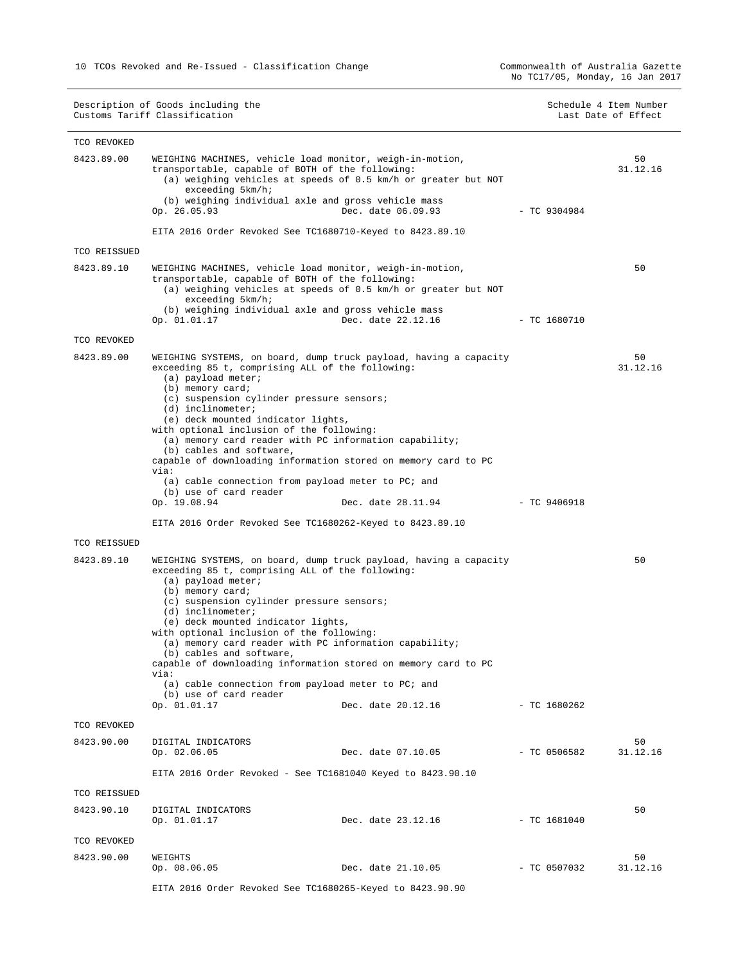| Description of Goods including the | Schedule 4 Item Number |
|------------------------------------|------------------------|
| Customs Tariff Classification      | Last Date of Effect    |
|                                    |                        |

| TCO REVOKED                |                                                                                                                                                                                                                                                                                                                                                                                                                                                                                                                                                                                                                                                                           |                |                |
|----------------------------|---------------------------------------------------------------------------------------------------------------------------------------------------------------------------------------------------------------------------------------------------------------------------------------------------------------------------------------------------------------------------------------------------------------------------------------------------------------------------------------------------------------------------------------------------------------------------------------------------------------------------------------------------------------------------|----------------|----------------|
| 8423.89.00                 | WEIGHING MACHINES, vehicle load monitor, weigh-in-motion,<br>transportable, capable of BOTH of the following:<br>(a) weighing vehicles at speeds of $0.5 \text{ km/h}$ or greater but NOT<br>exceeding 5km/h;<br>(b) weighing individual axle and gross vehicle mass<br>Op. 26.05.93<br>Dec. date 06.09.93<br>EITA 2016 Order Revoked See TC1680710-Keyed to 8423.89.10                                                                                                                                                                                                                                                                                                   | $-$ TC 9304984 | 50<br>31.12.16 |
| TCO REISSUED               |                                                                                                                                                                                                                                                                                                                                                                                                                                                                                                                                                                                                                                                                           |                |                |
| 8423.89.10                 | WEIGHING MACHINES, vehicle load monitor, weigh-in-motion,<br>transportable, capable of BOTH of the following:<br>(a) weighing vehicles at speeds of 0.5 km/h or greater but NOT<br>exceeding 5km/h;<br>(b) weighing individual axle and gross vehicle mass<br>Dec. date 22.12.16<br>Op. 01.01.17                                                                                                                                                                                                                                                                                                                                                                          | $-$ TC 1680710 | 50             |
| TCO REVOKED                |                                                                                                                                                                                                                                                                                                                                                                                                                                                                                                                                                                                                                                                                           |                |                |
| 8423.89.00                 | WEIGHING SYSTEMS, on board, dump truck payload, having a capacity<br>exceeding 85 t, comprising ALL of the following:<br>(a) payload meter;<br>(b) memory card;<br>(c) suspension cylinder pressure sensors;<br>$(d)$ inclinometer;<br>(e) deck mounted indicator lights,<br>with optional inclusion of the following:<br>(a) memory card reader with PC information capability;<br>(b) cables and software,<br>capable of downloading information stored on memory card to PC<br>via:<br>(a) cable connection from payload meter to PC; and<br>(b) use of card reader<br>Dec. date 28.11.94<br>Op. 19.08.94<br>EITA 2016 Order Revoked See TC1680262-Keyed to 8423.89.10 | - TC 9406918   | 50<br>31.12.16 |
|                            |                                                                                                                                                                                                                                                                                                                                                                                                                                                                                                                                                                                                                                                                           |                |                |
| TCO REISSUED<br>8423.89.10 | WEIGHING SYSTEMS, on board, dump truck payload, having a capacity<br>exceeding 85 t, comprising ALL of the following:<br>(a) payload meter;<br>(b) memory card;<br>(c) suspension cylinder pressure sensors;<br>$(d)$ inclinometer;<br>(e) deck mounted indicator lights,<br>with optional inclusion of the following:<br>(a) memory card reader with PC information capability;                                                                                                                                                                                                                                                                                          |                | 50             |
|                            | (b) cables and software,<br>capable of downloading information stored on memory card to PC<br>via:<br>(a) cable connection from payload meter to PC; and<br>(b) use of card reader<br>Op. 01.01.17<br>Dec. date 20.12.16                                                                                                                                                                                                                                                                                                                                                                                                                                                  | $- TC 1680262$ |                |
| TCO REVOKED                |                                                                                                                                                                                                                                                                                                                                                                                                                                                                                                                                                                                                                                                                           |                |                |
| 8423.90.00                 | DIGITAL INDICATORS<br>Op. 02.06.05<br>Dec. date 07.10.05<br>EITA 2016 Order Revoked - See TC1681040 Keyed to 8423.90.10                                                                                                                                                                                                                                                                                                                                                                                                                                                                                                                                                   | $-$ TC 0506582 | 50<br>31.12.16 |
|                            |                                                                                                                                                                                                                                                                                                                                                                                                                                                                                                                                                                                                                                                                           |                |                |
| TCO REISSUED<br>8423.90.10 | DIGITAL INDICATORS<br>Op. 01.01.17<br>Dec. date 23.12.16                                                                                                                                                                                                                                                                                                                                                                                                                                                                                                                                                                                                                  | $-$ TC 1681040 | 50             |
| TCO REVOKED                |                                                                                                                                                                                                                                                                                                                                                                                                                                                                                                                                                                                                                                                                           |                |                |
| 8423.90.00                 | WEIGHTS<br>Op. 08.06.05<br>Dec. date 21.10.05<br>EITA 2016 Order Revoked See TC1680265-Keyed to 8423.90.90                                                                                                                                                                                                                                                                                                                                                                                                                                                                                                                                                                | $-$ TC 0507032 | 50<br>31.12.16 |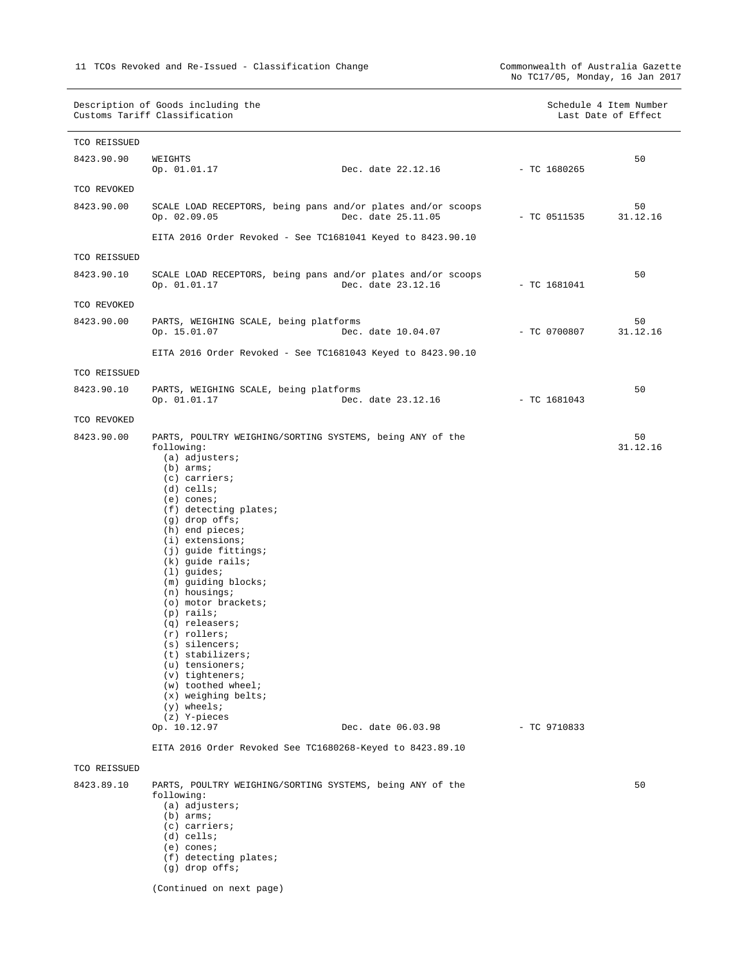Commonwealth of Australia Gazette<br>No TC17/05, Monday, 16 Jan 2017

|              | Description of Goods including the<br>Customs Tariff Classification                                                                                                                                                                                                                                                                                                                                                                                                                                                                                                                                                                               |                | Schedule 4 Item Number<br>Last Date of Effect |
|--------------|---------------------------------------------------------------------------------------------------------------------------------------------------------------------------------------------------------------------------------------------------------------------------------------------------------------------------------------------------------------------------------------------------------------------------------------------------------------------------------------------------------------------------------------------------------------------------------------------------------------------------------------------------|----------------|-----------------------------------------------|
| TCO REISSUED |                                                                                                                                                                                                                                                                                                                                                                                                                                                                                                                                                                                                                                                   |                |                                               |
| 8423.90.90   | WEIGHTS<br>Op. 01.01.17<br>Dec. date 22.12.16                                                                                                                                                                                                                                                                                                                                                                                                                                                                                                                                                                                                     | $-$ TC 1680265 | 50                                            |
| TCO REVOKED  |                                                                                                                                                                                                                                                                                                                                                                                                                                                                                                                                                                                                                                                   |                |                                               |
| 8423.90.00   | SCALE LOAD RECEPTORS, being pans and/or plates and/or scoops<br>Dec. date 25.11.05<br>Op. 02.09.05                                                                                                                                                                                                                                                                                                                                                                                                                                                                                                                                                | $-$ TC 0511535 | 50<br>31.12.16                                |
|              | EITA 2016 Order Revoked - See TC1681041 Keyed to 8423.90.10                                                                                                                                                                                                                                                                                                                                                                                                                                                                                                                                                                                       |                |                                               |
| TCO REISSUED |                                                                                                                                                                                                                                                                                                                                                                                                                                                                                                                                                                                                                                                   |                |                                               |
| 8423.90.10   | SCALE LOAD RECEPTORS, being pans and/or plates and/or scoops<br>Op. 01.01.17<br>Dec. date 23.12.16                                                                                                                                                                                                                                                                                                                                                                                                                                                                                                                                                | $-$ TC 1681041 | 50                                            |
| TCO REVOKED  |                                                                                                                                                                                                                                                                                                                                                                                                                                                                                                                                                                                                                                                   |                |                                               |
| 8423.90.00   | PARTS, WEIGHING SCALE, being platforms<br>Op. 15.01.07<br>Dec. date 10.04.07                                                                                                                                                                                                                                                                                                                                                                                                                                                                                                                                                                      | - TC 0700807   | 50<br>31.12.16                                |
|              | EITA 2016 Order Revoked - See TC1681043 Keyed to 8423.90.10                                                                                                                                                                                                                                                                                                                                                                                                                                                                                                                                                                                       |                |                                               |
| TCO REISSUED |                                                                                                                                                                                                                                                                                                                                                                                                                                                                                                                                                                                                                                                   |                |                                               |
| 8423.90.10   | PARTS, WEIGHING SCALE, being platforms<br>Op. 01.01.17<br>Dec. date 23.12.16                                                                                                                                                                                                                                                                                                                                                                                                                                                                                                                                                                      | - TC 1681043   | 50                                            |
| TCO REVOKED  |                                                                                                                                                                                                                                                                                                                                                                                                                                                                                                                                                                                                                                                   |                |                                               |
| 8423.90.00   | PARTS, POULTRY WEIGHING/SORTING SYSTEMS, being ANY of the<br>following:<br>(a) adjusters;<br>$(b)$ arms;<br>$(c)$ carriers;<br>$(d)$ cells;<br>$(e)$ cones;<br>(f) detecting plates;<br>$(g)$ drop offs;<br>$(h)$ end pieces;<br>$(i)$ extensions;<br>(j) guide fittings;<br>$(k)$ guide rails;<br>$(1)$ guides;<br>(m) guiding blocks;<br>$(n)$ housings;<br>(o) motor brackets;<br>$(p)$ rails;<br>(q) releasers;<br>$(r)$ rollers;<br>$(s)$ silencers;<br>$(t)$ stabilizers;<br>$(u)$ tensioners;<br>$(v)$ tighteners;<br>$(w)$ toothed wheel;<br>$(x)$ weighing belts;<br>$(y)$ wheels;<br>(z) Y-pieces<br>Op. 10.12.97<br>Dec. date 06.03.98 | - TC 9710833   | 50<br>31.12.16                                |
|              | EITA 2016 Order Revoked See TC1680268-Keyed to 8423.89.10                                                                                                                                                                                                                                                                                                                                                                                                                                                                                                                                                                                         |                |                                               |
| TCO REISSUED |                                                                                                                                                                                                                                                                                                                                                                                                                                                                                                                                                                                                                                                   |                |                                               |
| 8423.89.10   | PARTS, POULTRY WEIGHING/SORTING SYSTEMS, being ANY of the<br>following:<br>(a) adjusters;<br>$(b)$ arms;<br>$(c)$ carriers;<br>$(d)$ cells;<br>$(e)$ cones;<br>(f) detecting plates;<br>$(g)$ drop offs;                                                                                                                                                                                                                                                                                                                                                                                                                                          |                | 50                                            |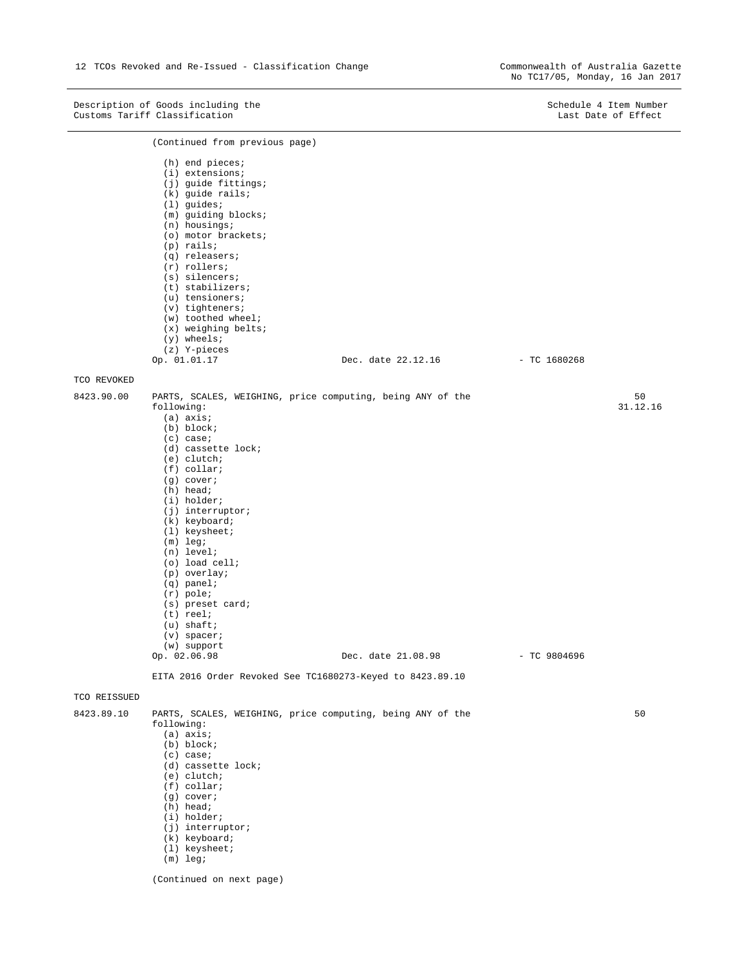|              | (Continued from previous page)                                                                                                                                                                                                                                                                                                                                                                                         |                                                                                                                                               |                |                |
|--------------|------------------------------------------------------------------------------------------------------------------------------------------------------------------------------------------------------------------------------------------------------------------------------------------------------------------------------------------------------------------------------------------------------------------------|-----------------------------------------------------------------------------------------------------------------------------------------------|----------------|----------------|
|              | $(h)$ end pieces;<br>$(i)$ extensions;<br>(j) guide fittings;<br>(k) guide rails;<br>$(1)$ guides;<br>(m) guiding blocks;<br>$(n)$ housings;<br>(o) motor brackets;<br>$(p)$ rails;<br>$(q)$ releasers;<br>$(r)$ rollers;<br>$(s)$ silencers;<br>$(t)$ stabilizers;<br>$(u)$ tensioners;<br>$(v)$ tighteners;<br>(w) toothed wheel;<br>$(x)$ weighing belts;<br>$(y)$ wheels;<br>(z) Y-pieces<br>Op. 01.01.17          | Dec. date 22.12.16                                                                                                                            | $-$ TC 1680268 |                |
| TCO REVOKED  |                                                                                                                                                                                                                                                                                                                                                                                                                        |                                                                                                                                               |                |                |
| 8423.90.00   | following:<br>$(a)$ axis;<br>(b) block;<br>(c) case;<br>(d) cassette lock;<br>(e) clutch;<br>$(f)$ collar;<br>$(g)$ cover;<br>$(h)$ head;<br>(i) holder;<br>$(j)$ interruptor;<br>(k) keyboard;<br>(1) keysheet;<br>$(m)$ leg;<br>$(n)$ level;<br>$(o)$ load cell;<br>(p) overlay;<br>$(q)$ panel;<br>$(r)$ pole;<br>(s) preset card;<br>$(t)$ reel;<br>$(u)$ shaft;<br>$(v)$ spacer;<br>$(w)$ support<br>Op. 02.06.98 | PARTS, SCALES, WEIGHING, price computing, being ANY of the<br>Dec. date 21.08.98<br>EITA 2016 Order Revoked See TC1680273-Keyed to 8423.89.10 | $-$ TC 9804696 | 50<br>31.12.16 |
| TCO REISSUED |                                                                                                                                                                                                                                                                                                                                                                                                                        |                                                                                                                                               |                |                |
| 8423.89.10   | following:<br>$(a)$ axis;<br>(b) block;<br>(c) case;<br>(d) cassette lock;<br>$(e)$ clutch;<br>$(f)$ collar;<br>$(g)$ cover;<br>(h) head;<br>$(i)$ holder;<br>$(j)$ interruptor;<br>(k) keyboard;<br>(1) keysheet;<br>$(m)$ leg;                                                                                                                                                                                       | PARTS, SCALES, WEIGHING, price computing, being ANY of the                                                                                    |                | 50             |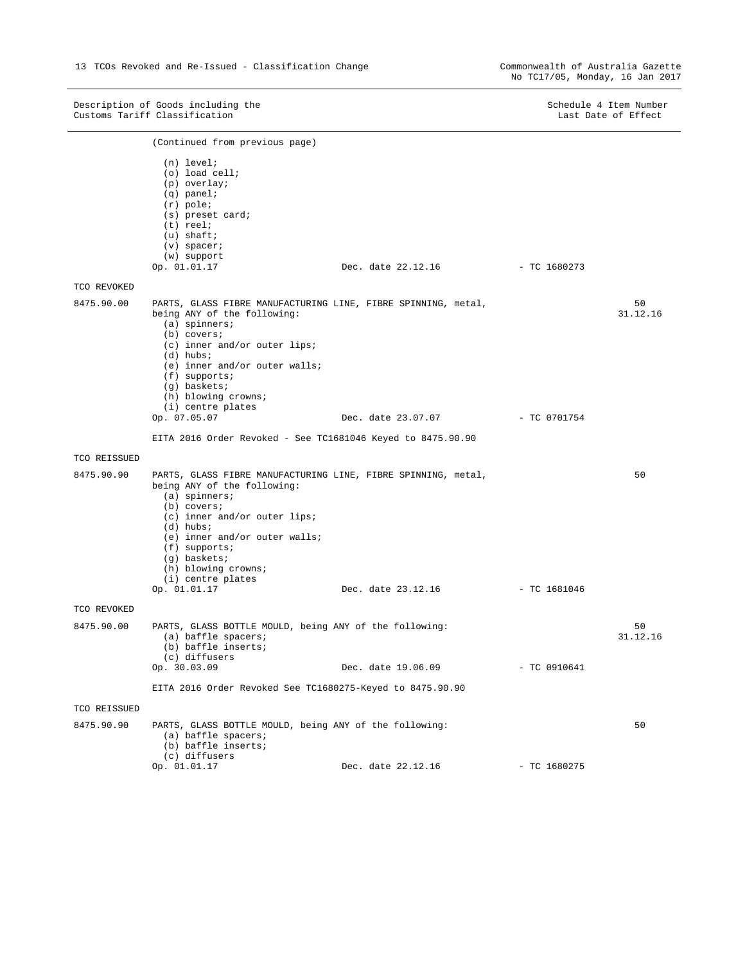$\overline{\phantom{0}}$ 

|              | Description of Goods including the<br>Customs Tariff Classification                                                                                                                                                                                                                                             |                    |                | Schedule 4 Item Number<br>Last Date of Effect |
|--------------|-----------------------------------------------------------------------------------------------------------------------------------------------------------------------------------------------------------------------------------------------------------------------------------------------------------------|--------------------|----------------|-----------------------------------------------|
|              | (Continued from previous page)                                                                                                                                                                                                                                                                                  |                    |                |                                               |
|              | $(n)$ level;<br>$(o)$ load cell;<br>(p) overlay;<br>$(q)$ panel;<br>$(r)$ pole;<br>(s) preset card;<br>$(t)$ reel;<br>$(u)$ shaft;<br>$(v)$ spacer;<br>$(w)$ support<br>Op. 01.01.17                                                                                                                            | Dec. date 22.12.16 | - TC 1680273   |                                               |
| TCO REVOKED  |                                                                                                                                                                                                                                                                                                                 |                    |                |                                               |
| 8475.90.00   | PARTS, GLASS FIBRE MANUFACTURING LINE, FIBRE SPINNING, metal,<br>being ANY of the following:<br>$(a)$ spinners;<br>$(b)$ covers;<br>(c) inner and/or outer lips;<br>$(d)$ hubs;<br>(e) inner and/or outer walls;<br>$(f)$ supports;<br>(g) baskets;<br>(h) blowing crowns;<br>(i) centre plates<br>Op. 07.05.07 | Dec. date 23.07.07 | $-$ TC 0701754 | 50<br>31.12.16                                |
| TCO REISSUED | EITA 2016 Order Revoked - See TC1681046 Keyed to 8475.90.90                                                                                                                                                                                                                                                     |                    |                |                                               |
| 8475.90.90   | PARTS, GLASS FIBRE MANUFACTURING LINE, FIBRE SPINNING, metal,<br>being ANY of the following:<br>$(a)$ spinners;<br>$(b)$ covers;<br>(c) inner and/or outer lips;<br>$(d)$ hubs;<br>(e) inner and/or outer walls;<br>$(f)$ supports;<br>(g) baskets;<br>(h) blowing crowns;<br>(i) centre plates<br>Op. 01.01.17 | Dec. date 23.12.16 | - TC 1681046   | 50                                            |
| TCO REVOKED  |                                                                                                                                                                                                                                                                                                                 |                    |                |                                               |
| 8475.90.00   | PARTS, GLASS BOTTLE MOULD, being ANY of the following:<br>(a) baffle spacers;<br>(b) baffle inserts;<br>(c) diffusers<br>Op. 30.03.09<br>EITA 2016 Order Revoked See TC1680275-Keyed to 8475.90.90                                                                                                              | Dec. date 19.06.09 | $-$ TC 0910641 | 50<br>31.12.16                                |
| TCO REISSUED |                                                                                                                                                                                                                                                                                                                 |                    |                |                                               |
| 8475.90.90   | PARTS, GLASS BOTTLE MOULD, being ANY of the following:<br>(a) baffle spacers;<br>(b) baffle inserts;<br>(c) diffusers<br>Op. 01.01.17                                                                                                                                                                           | Dec. date 22.12.16 | $-$ TC 1680275 | 50                                            |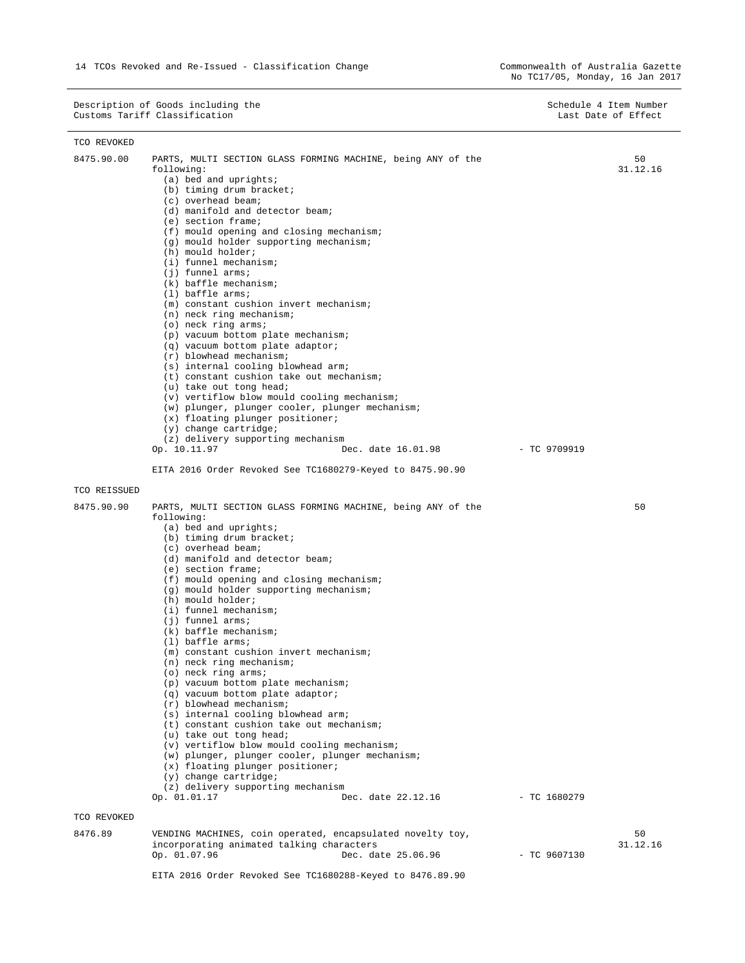TCO REVOKED

| 8475.90.00   | PARTS, MULTI SECTION GLASS FORMING MACHINE, being ANY of the<br>following:      |                | 50<br>31.12.16 |
|--------------|---------------------------------------------------------------------------------|----------------|----------------|
|              | (a) bed and uprights;                                                           |                |                |
|              | (b) timing drum bracket;                                                        |                |                |
|              | (c) overhead beam;<br>(d) manifold and detector beam;                           |                |                |
|              | (e) section frame;                                                              |                |                |
|              | (f) mould opening and closing mechanism;                                        |                |                |
|              | (g) mould holder supporting mechanism;<br>(h) mould holder;                     |                |                |
|              | $(i)$ funnel mechanism;                                                         |                |                |
|              | $(j)$ funnel arms;                                                              |                |                |
|              | $(k)$ baffle mechanism;<br>$(1)$ baffle arms;                                   |                |                |
|              | (m) constant cushion invert mechanism;                                          |                |                |
|              | (n) neck ring mechanism;                                                        |                |                |
|              | $(o)$ neck ring arms;                                                           |                |                |
|              | (p) vacuum bottom plate mechanism;<br>(q) vacuum bottom plate adaptor;          |                |                |
|              | $(r)$ blowhead mechanism;                                                       |                |                |
|              | (s) internal cooling blowhead arm;                                              |                |                |
|              | (t) constant cushion take out mechanism;<br>(u) take out tong head;             |                |                |
|              | (v) vertiflow blow mould cooling mechanism;                                     |                |                |
|              | (w) plunger, plunger cooler, plunger mechanism;                                 |                |                |
|              | (x) floating plunger positioner;                                                |                |                |
|              | $(y)$ change cartridge;<br>(z) delivery supporting mechanism                    |                |                |
|              | Op. 10.11.97<br>Dec. date 16.01.98                                              | $-$ TC 9709919 |                |
|              | EITA 2016 Order Revoked See TC1680279-Keyed to 8475.90.90                       |                |                |
|              |                                                                                 |                |                |
| TCO REISSUED |                                                                                 |                |                |
| 8475.90.90   | PARTS, MULTI SECTION GLASS FORMING MACHINE, being ANY of the<br>following:      |                | 50             |
|              | (a) bed and uprights;                                                           |                |                |
|              | (b) timing drum bracket;<br>(c) overhead beam;                                  |                |                |
|              | (d) manifold and detector beam;                                                 |                |                |
|              | (e) section frame;                                                              |                |                |
|              | (f) mould opening and closing mechanism;                                        |                |                |
|              | (g) mould holder supporting mechanism;<br>(h) mould holder;                     |                |                |
|              | $(i)$ funnel mechanism;                                                         |                |                |
|              | $(j)$ funnel arms;                                                              |                |                |
|              | $(k)$ baffle mechanism;<br>$(1)$ baffle arms;                                   |                |                |
|              | (m) constant cushion invert mechanism;                                          |                |                |
|              | $(n)$ neck ring mechanism;                                                      |                |                |
|              | $(o)$ neck ring arms;                                                           |                |                |
|              | (p) vacuum bottom plate mechanism;<br>(q) vacuum bottom plate adaptor;          |                |                |
|              | $(r)$ blowhead mechanism;                                                       |                |                |
|              | (s) internal cooling blowhead arm;                                              |                |                |
|              | (t) constant cushion take out mechanism;                                        |                |                |
|              | (u) take out tong head;<br>(v) vertiflow blow mould cooling mechanism;          |                |                |
|              | (w) plunger, plunger cooler, plunger mechanism;                                 |                |                |
|              | (x) floating plunger positioner;                                                |                |                |
|              | $(y)$ change cartridge;<br>(z) delivery supporting mechanism                    |                |                |
|              | Op. 01.01.17<br>Dec. date 22.12.16                                              | $-$ TC 1680279 |                |
|              |                                                                                 |                |                |
| TCO REVOKED  |                                                                                 |                |                |
| 8476.89      | VENDING MACHINES, coin operated, encapsulated novelty toy,                      |                | 50             |
|              | incorporating animated talking characters<br>Op. 01.07.96<br>Dec. date 25.06.96 | $-$ TC 9607130 | 31.12.16       |
|              |                                                                                 |                |                |
|              | EITA 2016 Order Revoked See TC1680288-Keyed to 8476.89.90                       |                |                |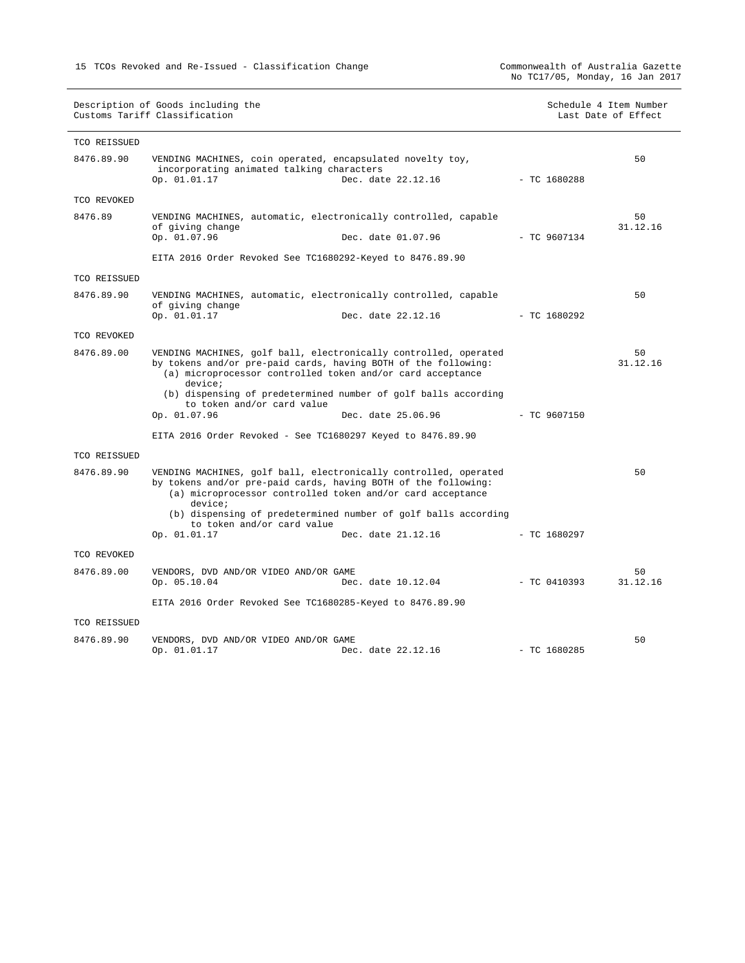| Description of Goods including the<br>Customs Tariff Classification |                                                                                                                                                                                                                                                                                                                             |                    | Schedule 4 Item Number<br>Last Date of Effect |                |                |
|---------------------------------------------------------------------|-----------------------------------------------------------------------------------------------------------------------------------------------------------------------------------------------------------------------------------------------------------------------------------------------------------------------------|--------------------|-----------------------------------------------|----------------|----------------|
| TCO REISSUED                                                        |                                                                                                                                                                                                                                                                                                                             |                    |                                               |                |                |
| 8476.89.90                                                          | VENDING MACHINES, coin operated, encapsulated novelty toy,<br>incorporating animated talking characters<br>Op. 01.01.17                                                                                                                                                                                                     | Dec. date 22.12.16 |                                               | - TC 1680288   | 50             |
| TCO REVOKED                                                         |                                                                                                                                                                                                                                                                                                                             |                    |                                               |                |                |
| 8476.89                                                             | VENDING MACHINES, automatic, electronically controlled, capable<br>of giving change<br>Op. 01.07.96                                                                                                                                                                                                                         | Dec. date 01.07.96 |                                               | - TC 9607134   | 50<br>31.12.16 |
|                                                                     | EITA 2016 Order Revoked See TC1680292-Keyed to 8476.89.90                                                                                                                                                                                                                                                                   |                    |                                               |                |                |
| TCO REISSUED                                                        |                                                                                                                                                                                                                                                                                                                             |                    |                                               |                |                |
| 8476.89.90                                                          | VENDING MACHINES, automatic, electronically controlled, capable<br>of giving change<br>Op. 01.01.17                                                                                                                                                                                                                         | Dec. date 22.12.16 |                                               | $-$ TC 1680292 | 50             |
| TCO REVOKED                                                         |                                                                                                                                                                                                                                                                                                                             |                    |                                               |                |                |
| 8476.89.00                                                          | VENDING MACHINES, golf ball, electronically controlled, operated<br>by tokens and/or pre-paid cards, having BOTH of the following:<br>(a) microprocessor controlled token and/or card acceptance<br>device;<br>(b) dispensing of predetermined number of golf balls according<br>to token and/or card value<br>Op. 01.07.96 | Dec. date 25.06.96 |                                               | $-$ TC 9607150 | 50<br>31.12.16 |
|                                                                     |                                                                                                                                                                                                                                                                                                                             |                    |                                               |                |                |
|                                                                     | EITA 2016 Order Revoked - See TC1680297 Keyed to 8476.89.90                                                                                                                                                                                                                                                                 |                    |                                               |                |                |
| TCO REISSUED                                                        |                                                                                                                                                                                                                                                                                                                             |                    |                                               |                |                |
| 8476.89.90                                                          | VENDING MACHINES, golf ball, electronically controlled, operated<br>by tokens and/or pre-paid cards, having BOTH of the following:<br>(a) microprocessor controlled token and/or card acceptance<br>device;<br>(b) dispensing of predetermined number of golf balls according<br>to token and/or card value<br>Op. 01.01.17 | Dec. date 21.12.16 |                                               | $-$ TC 1680297 | 50             |
|                                                                     |                                                                                                                                                                                                                                                                                                                             |                    |                                               |                |                |
| TCO REVOKED<br>8476.89.00                                           | VENDORS, DVD AND/OR VIDEO AND/OR GAME                                                                                                                                                                                                                                                                                       |                    |                                               |                | 50             |
|                                                                     | Op. 05.10.04                                                                                                                                                                                                                                                                                                                | Dec. date 10.12.04 |                                               | $-$ TC 0410393 | 31.12.16       |
|                                                                     | EITA 2016 Order Revoked See TC1680285-Keyed to 8476.89.90                                                                                                                                                                                                                                                                   |                    |                                               |                |                |
| TCO REISSUED                                                        |                                                                                                                                                                                                                                                                                                                             |                    |                                               |                |                |
| 8476.89.90                                                          | VENDORS, DVD AND/OR VIDEO AND/OR GAME<br>Op. 01.01.17                                                                                                                                                                                                                                                                       | Dec. date 22.12.16 |                                               | $-$ TC 1680285 | 50             |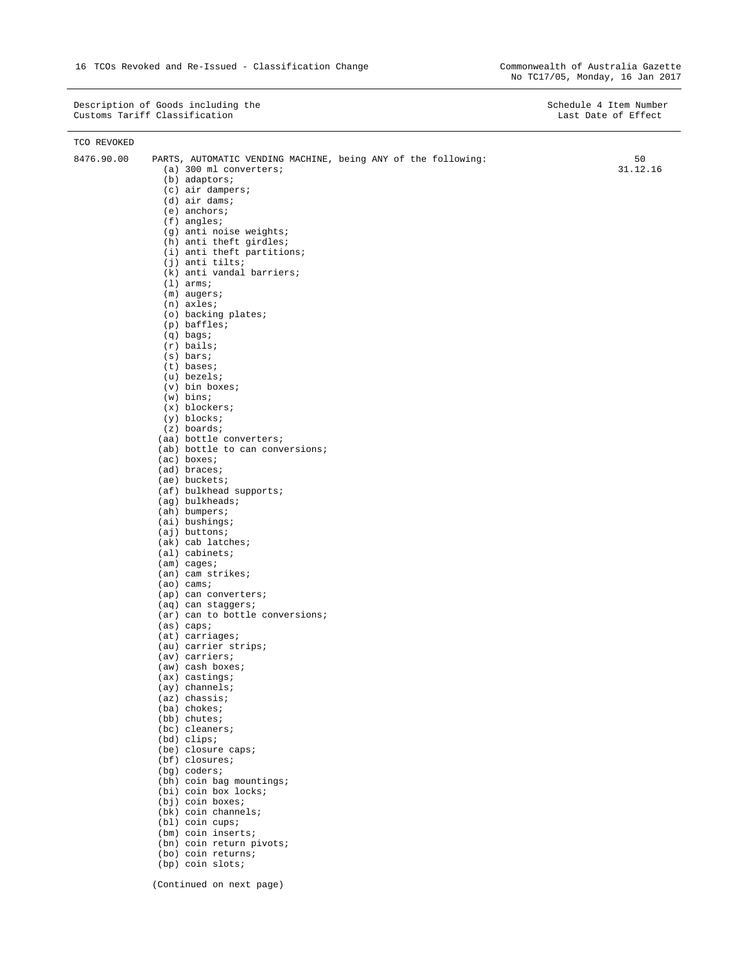TCO REVOKED

| 8476.90.00 | PARTS, AUTOMATIC VENDING MACHINE, being ANY of the following:<br>(a) 300 ml converters; | 50<br>31.12.16 |
|------------|-----------------------------------------------------------------------------------------|----------------|
|            | (b) adaptors;                                                                           |                |
|            | (c) air dampers;                                                                        |                |
|            | $(d)$ air dams;<br>$(e)$ anchors;                                                       |                |
|            | $(f)$ angles;                                                                           |                |
|            | (g) anti noise weights;                                                                 |                |
|            | (h) anti theft girdles;                                                                 |                |
|            | (i) anti theft partitions;<br>(j) anti tilts;                                           |                |
|            | (k) anti vandal barriers;                                                               |                |
|            | $(1)$ arms;                                                                             |                |
|            | $(m)$ augers;                                                                           |                |
|            | $(n)$ axles;                                                                            |                |
|            | (o) backing plates;<br>$(p)$ baffles;                                                   |                |
|            | $(q)$ bags;                                                                             |                |
|            | $(r)$ bails;                                                                            |                |
|            | $(s)$ bars;                                                                             |                |
|            | $(t)$ bases;<br>$(u)$ bezels;                                                           |                |
|            | $(v)$ bin boxes;                                                                        |                |
|            | $(w)$ bins;                                                                             |                |
|            | $(x)$ blockers;                                                                         |                |
|            | $(y)$ blocks;<br>$(z)$ boards;                                                          |                |
|            | (aa) bottle converters;                                                                 |                |
|            | (ab) bottle to can conversions;                                                         |                |
|            | $(ac)$ boxes;                                                                           |                |
|            | (ad) braces;                                                                            |                |
|            | (ae) buckets;<br>(af) bulkhead supports;                                                |                |
|            | (ag) bulkheads;                                                                         |                |
|            | (ah) bumpers;                                                                           |                |
|            | $(ai)$ bushings;                                                                        |                |
|            | (aj) buttons;<br>(ak) cab latches;                                                      |                |
|            | $(al)$ cabinets;                                                                        |                |
|            | $(am)$ cages;                                                                           |                |
|            | (an) cam strikes;                                                                       |                |
|            | (ao) cams;                                                                              |                |
|            | (ap) can converters;<br>(aq) can staggers;                                              |                |
|            | (ar) can to bottle conversions;                                                         |                |
|            | $(as) \text{ caps.}$                                                                    |                |
|            | (at) carriages;                                                                         |                |
|            | (au) carrier strips;<br>(av) carriers;                                                  |                |
|            | (aw) cash boxes;                                                                        |                |
|            | $(ax)$ castings;                                                                        |                |
|            | (ay) channels;                                                                          |                |
|            | (az) chassis;<br>(ba) chokes;                                                           |                |
|            | (bb) chutes;                                                                            |                |
|            | (bc) cleaners;                                                                          |                |
|            | (bd) clips;                                                                             |                |
|            | (be) closure caps;<br>(bf) closures;                                                    |                |
|            | (bg) coders;                                                                            |                |
|            | (bh) coin bag mountings;                                                                |                |
|            | (bi) coin box locks;                                                                    |                |
|            | (bi) coin boxes;                                                                        |                |
|            | $(bk)$ coin channels;<br>$(b1)$ coin cups;                                              |                |
|            | (bm) coin inserts;                                                                      |                |
|            | (bn) coin return pivots;                                                                |                |
|            | (bo) coin returns;                                                                      |                |
|            | (bp) coin slots;                                                                        |                |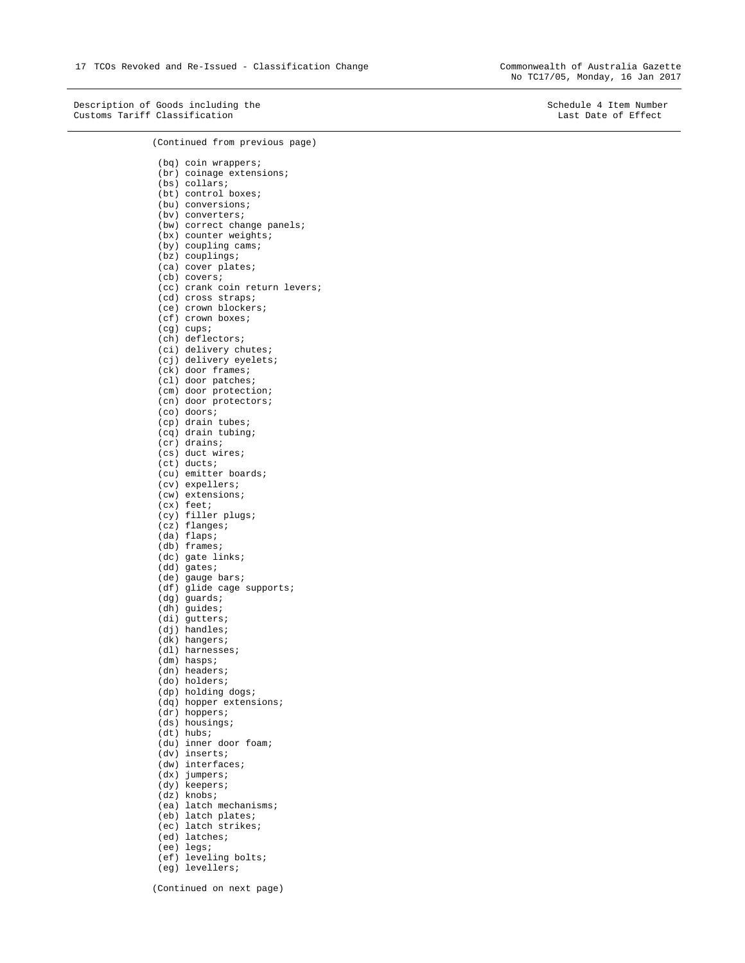No TC17/05, Monday, 16 Jan 2017

Description of Goods including the Schedule 4 Item Number (North Schedule 4 Item Number Customs Tariff Classification Customs Tariff Classification

 (bq) coin wrappers; (br) coinage extensions; (bs) collars; (bt) control boxes; (bu) conversions; (bv) converters; (bw) correct change panels; (bx) counter weights; (by) coupling cams; (bz) couplings; (ca) cover plates; (cb) covers; (cc) crank coin return levers; (cd) cross straps; (ce) crown blockers; (cf) crown boxes; (cg) cups; (ch) deflectors; (ci) delivery chutes; (cj) delivery eyelets; (ck) door frames; (cl) door patches; (cm) door protection; (cn) door protectors; (co) doors; (cp) drain tubes; (cq) drain tubing; (cr) drains; (cs) duct wires; (ct) ducts; (cu) emitter boards; (cv) expellers; (cw) extensions; (cx) feet; (cy) filler plugs; (cz) flanges; (da) flaps; (db) frames; (dc) gate links; (dd) gates; (de) gauge bars; (df) glide cage supports; (dg) guards; (dh) guides; (di) gutters; (dj) handles; (dk) hangers; (dl) harnesses; (dm) hasps; (dn) headers; (do) holders; (dp) holding dogs; (dq) hopper extensions; (dr) hoppers; (ds) housings; (dt) hubs; (du) inner door foam; (dv) inserts; (dw) interfaces; (dx) jumpers; (dy) keepers; (dz) knobs; (ea) latch mechanisms; (eb) latch plates; (ec) latch strikes; (ed) latches; (ee) legs; (ef) leveling bolts; (eg) levellers;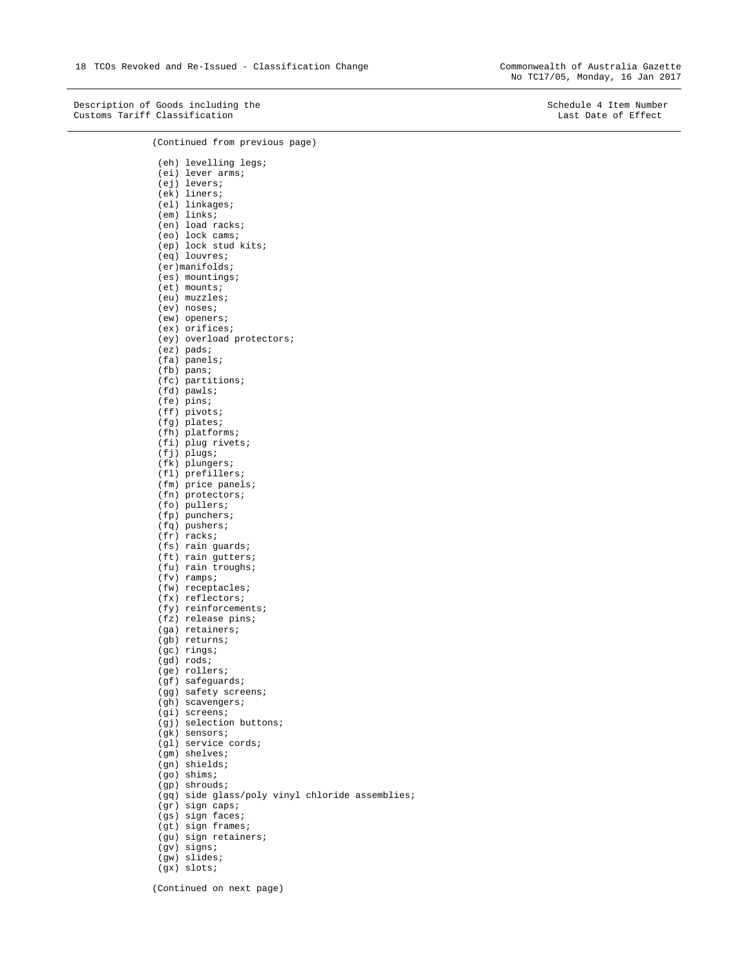No TC17/05, Monday, 16 Jan 2017

Description of Goods including the Schedule 4 Item Number (North Schedule 4 Item Number Customs Tariff Classification Customs Tariff Classification

(Continued from previous page) (eh) levelling legs; (ei) lever arms; (ej) levers; (ek) liners; (el) linkages; (em) links; (en) load racks; (eo) lock cams; (ep) lock stud kits; (eq) louvres; (er)manifolds; (es) mountings; (et) mounts; (eu) muzzles; (ev) noses; (ew) openers; (ex) orifices; (ey) overload protectors; (ez) pads; (fa) panels; (fb) pans; (fc) partitions; (fd) pawls; (fe) pins; (ff) pivots; (fg) plates; (fh) platforms; (fi) plug rivets;  $(fj)$  plugs; (fk) plungers; (fl) prefillers; (fm) price panels; (fn) protectors; (fo) pullers; (fp) punchers; (fq) pushers; (fr) racks; (fs) rain guards; (ft) rain gutters; (fu) rain troughs; (fv) ramps; (fw) receptacles; (fx) reflectors; (fy) reinforcements; (fz) release pins; (ga) retainers; (gb) returns; (gc) rings; (gd) rods; (ge) rollers; (gf) safeguards; (gg) safety screens; (gh) scavengers; (gi) screens; (gj) selection buttons; (gk) sensors; (gl) service cords; (gm) shelves; (gn) shields; (go) shims; (gp) shrouds; (gq) side glass/poly vinyl chloride assemblies; (gr) sign caps; (gs) sign faces; (gt) sign frames; (gu) sign retainers; (gv) signs; (gw) slides; (gx) slots;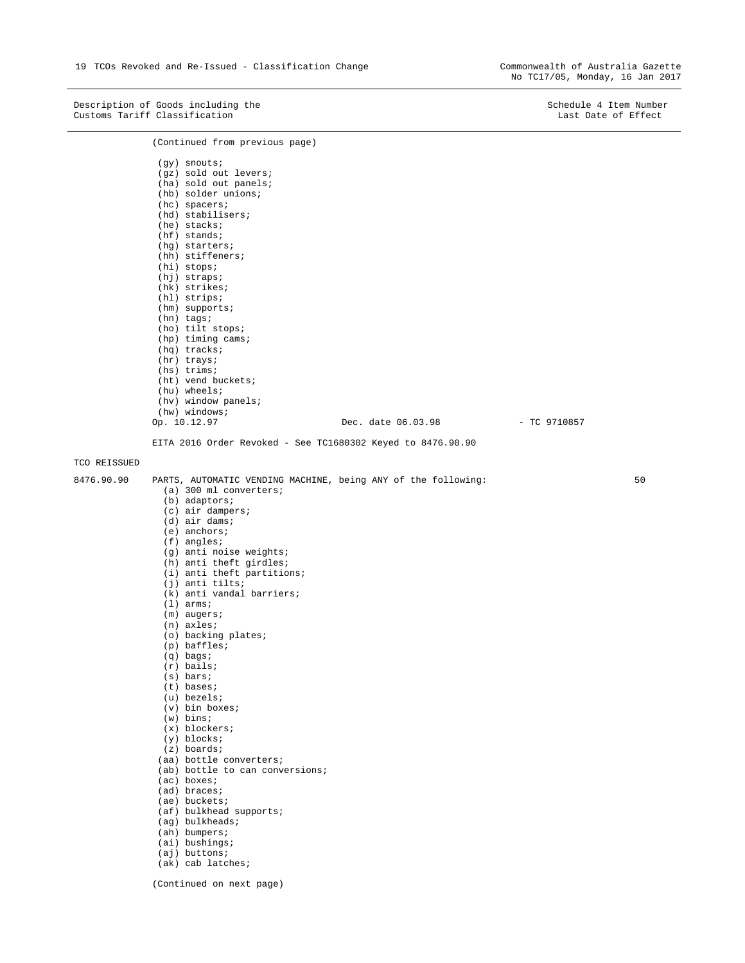|              | (Continued from previous page)                              |                                                               |              |    |
|--------------|-------------------------------------------------------------|---------------------------------------------------------------|--------------|----|
|              | $(gy)$ snouts;                                              |                                                               |              |    |
|              | (gz) sold out levers;                                       |                                                               |              |    |
|              | (ha) sold out panels;                                       |                                                               |              |    |
|              | (hb) solder unions;                                         |                                                               |              |    |
|              | (hc) spacers;                                               |                                                               |              |    |
|              | (hd) stabilisers;<br>(he) stacks;                           |                                                               |              |    |
|              | $(hf)$ stands;                                              |                                                               |              |    |
|              | (hg) starters;                                              |                                                               |              |    |
|              | (hh) stiffeners;                                            |                                                               |              |    |
|              | (hi) stops;                                                 |                                                               |              |    |
|              | (hj) straps;<br>(hk) strikes;                               |                                                               |              |    |
|              | (hl) strips;                                                |                                                               |              |    |
|              | $(hm)$ supports;                                            |                                                               |              |    |
|              | (hn) tags;                                                  |                                                               |              |    |
|              | (ho) tilt stops;                                            |                                                               |              |    |
|              | (hp) timing cams;<br>(hq) tracks;                           |                                                               |              |    |
|              | (hr) trays;                                                 |                                                               |              |    |
|              | $(hs)$ trims;                                               |                                                               |              |    |
|              | (ht) vend buckets;                                          |                                                               |              |    |
|              | (hu) wheels;                                                |                                                               |              |    |
|              | (hv) window panels;                                         |                                                               |              |    |
|              | (hw) windows;<br>Op. 10.12.97                               | Dec. date 06.03.98                                            | - TC 9710857 |    |
|              |                                                             |                                                               |              |    |
|              | EITA 2016 Order Revoked - See TC1680302 Keyed to 8476.90.90 |                                                               |              |    |
| TCO REISSUED |                                                             |                                                               |              |    |
| 8476.90.90   |                                                             | PARTS, AUTOMATIC VENDING MACHINE, being ANY of the following: |              | 50 |
|              | (a) 300 ml converters;                                      |                                                               |              |    |
|              | (b) adaptors;                                               |                                                               |              |    |
|              | $(c)$ air dampers;                                          |                                                               |              |    |
|              | (d) air dams;                                               |                                                               |              |    |
|              | $(e)$ anchors;<br>$(f)$ angles;                             |                                                               |              |    |
|              | (g) anti noise weights;                                     |                                                               |              |    |
|              | (h) anti theft girdles;                                     |                                                               |              |    |
|              | (i) anti theft partitions;                                  |                                                               |              |    |
|              | $(j)$ anti tilts;                                           |                                                               |              |    |
|              | (k) anti vandal barriers;                                   |                                                               |              |    |
|              | $(1)$ arms;<br>$(m)$ augers;                                |                                                               |              |    |
|              | $(n)$ axles;                                                |                                                               |              |    |
|              | (o) backing plates;                                         |                                                               |              |    |
|              | $(p)$ baffles;                                              |                                                               |              |    |
|              | $(q)$ bags;                                                 |                                                               |              |    |
|              | $(r)$ bails;                                                |                                                               |              |    |
|              | $(s)$ bars;<br>$(t)$ bases;                                 |                                                               |              |    |
|              | $(u)$ bezels;                                               |                                                               |              |    |
|              | $(v)$ bin boxes;                                            |                                                               |              |    |
|              | $(w)$ bins;                                                 |                                                               |              |    |
|              | $(x)$ blockers;<br>$(y)$ blocks;                            |                                                               |              |    |
|              | $(z)$ boards;                                               |                                                               |              |    |
|              | (aa) bottle converters;                                     |                                                               |              |    |
|              | (ab) bottle to can conversions;                             |                                                               |              |    |
|              | $(ac)$ boxes;                                               |                                                               |              |    |
|              | (ad) braces;<br>(ae) buckets;                               |                                                               |              |    |
|              | (af) bulkhead supports;                                     |                                                               |              |    |
|              | (ag) bulkheads;                                             |                                                               |              |    |
|              | (ah) bumpers;                                               |                                                               |              |    |
|              | (ai) bushings;                                              |                                                               |              |    |
|              | (aj) buttons;                                               |                                                               |              |    |
|              | (ak) cab latches;                                           |                                                               |              |    |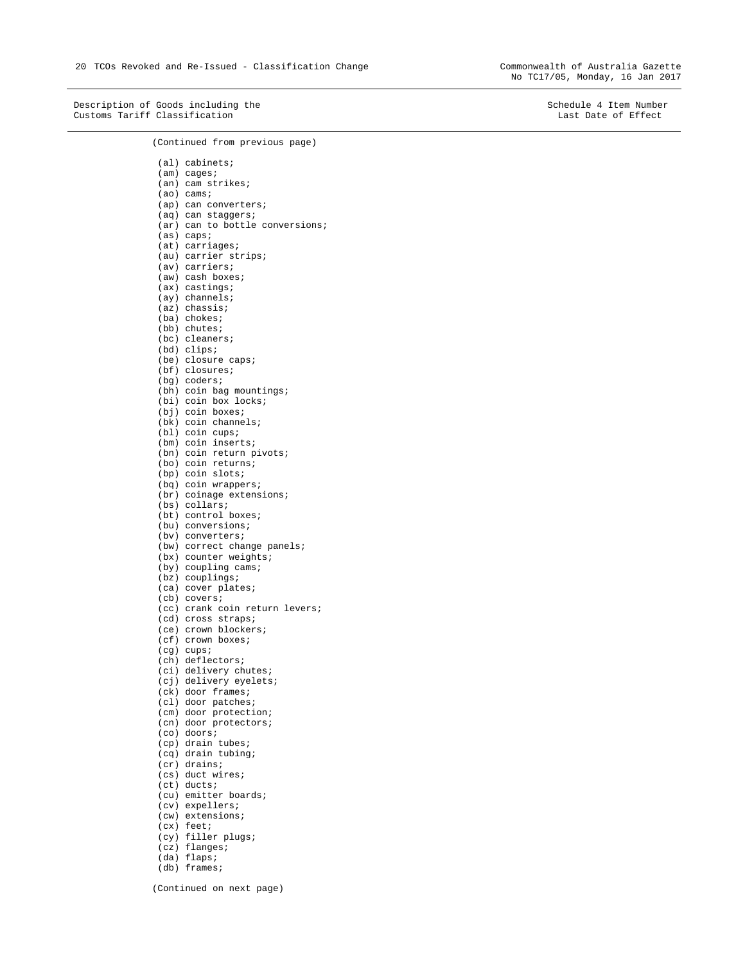Description of Goods including the Schedule 4 Item Number (North Schedule 4 Item Number Customs Tariff Classification Customs Tariff Classification

 (al) cabinets; (am) cages; (an) cam strikes; (ao) cams; (ap) can converters; (aq) can staggers; (ar) can to bottle conversions; (as) caps; (at) carriages; (au) carrier strips; (av) carriers; (aw) cash boxes; (ax) castings; (ay) channels; (az) chassis; (ba) chokes; (bb) chutes; (bc) cleaners; (bd) clips; (be) closure caps; (bf) closures; (bg) coders; (bh) coin bag mountings; (bi) coin box locks; (bj) coin boxes; (bk) coin channels; (bl) coin cups; (bm) coin inserts; (bn) coin return pivots; (bo) coin returns; (bp) coin slots; (bq) coin wrappers; (br) coinage extensions; (bs) collars; (bt) control boxes; (bu) conversions; (bv) converters; (bw) correct change panels; (bx) counter weights; (by) coupling cams; (bz) couplings; (ca) cover plates; (cb) covers; (cc) crank coin return levers; (cd) cross straps; (ce) crown blockers; (cf) crown boxes; (cg) cups; (ch) deflectors; (ci) delivery chutes; (cj) delivery eyelets; (ck) door frames; (cl) door patches; (cm) door protection; (cn) door protectors; (co) doors; (cp) drain tubes; (cq) drain tubing; (cr) drains; (cs) duct wires; (ct) ducts; (cu) emitter boards; (cv) expellers; (cw) extensions; (cx) feet; (cy) filler plugs; (cz) flanges; (da) flaps; (db) frames;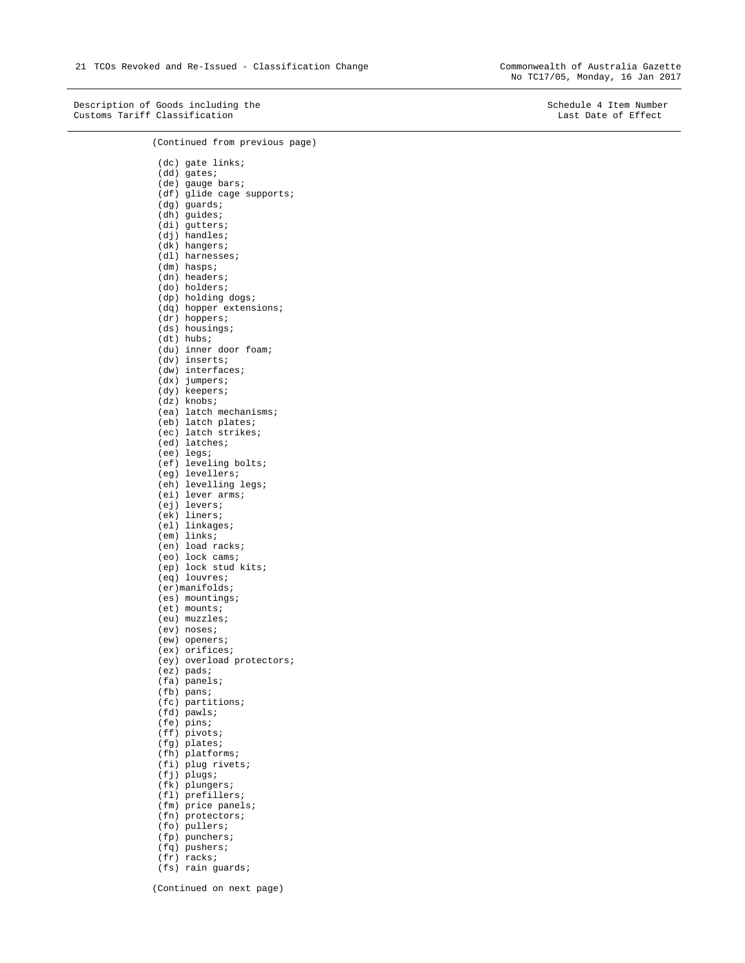No TC17/05, Monday, 16 Jan 2017

Description of Goods including the Schedule 4 Item Number Schedule 4 Item Number Customs Tariff Classification Last Date of Effect

| (dc) gate links;                         |
|------------------------------------------|
| (dd) gates;                              |
| (de) gauge bars;                         |
| (df) glide cage supports;                |
| (dg) guards;                             |
|                                          |
| (dh) guides;                             |
| (di) gutters;                            |
| (dj)<br>handles;                         |
| (dk) hangers;                            |
| (dl) harnesses;                          |
| (dm) hasps;                              |
|                                          |
| headers;<br>(dn)                         |
| (do) holders;                            |
| (dp) holding dogs;                       |
| (dq) hopper extensions;                  |
| (dr) hoppers;                            |
|                                          |
| $(ds)$ housings;                         |
| $(dt)$ hubs;                             |
| (du) inner door foam;                    |
| (dv) inserts;<br>(dw) interfaces;        |
|                                          |
| (dx) jumpers;                            |
|                                          |
| $(dy)$ keepers;                          |
| (dz) knobs;                              |
| latch mechanisms;                        |
| (ea)<br>(eb)<br>latch plates;            |
| latch strikes;<br>(ec)                   |
|                                          |
| (ed) latches;                            |
| (ee)<br>legs;                            |
|                                          |
| (ef) leveling bolts;<br>(eg) levellers;  |
|                                          |
| (eh) levelling legs;<br>(ei) lever arms; |
|                                          |
| levers;<br>(ej)                          |
| (ek) liners;                             |
| (el) linkages;                           |
| (em) links;                              |
| load racks;<br>(en)                      |
|                                          |
| lock cams;<br>(eo)                       |
| lock stud kits;<br>(ep)                  |
| (eq)<br>louvres;                         |
| (er)manifolds;                           |
| (es) mountings;                          |
|                                          |
| (et) mounts;                             |
| (eu) muzzles;                            |
| (ev) noses;                              |
| (ew) openers;                            |
| (ex) orifices;                           |
| (ey) overload protectors;                |
|                                          |
| (ez) pads;                               |
| (fa) panels;                             |
| (fb) pans;                               |
| (f <sub>c</sub> )<br>partitions;         |
| (fd)<br>pawls;                           |
| (fe)<br>pins;                            |
|                                          |
| (f f)<br>pivots;                         |
| (fg)<br>plates;                          |
| (fh)<br>platforms;                       |
| (fi)<br>plug rivets;                     |
| (fj)<br>plugs;                           |
| (fk)<br>plungers;                        |
|                                          |
| (f1)<br>prefillers;                      |
| (fm)<br>price panels;                    |
| (fn)<br>protectors;                      |
| (fo)<br>pullers;                         |
| (fp)<br>punchers;                        |
|                                          |
| (fq)<br>pushers;                         |
| (fr)<br>racks;                           |
| (fs)<br>rain guards;                     |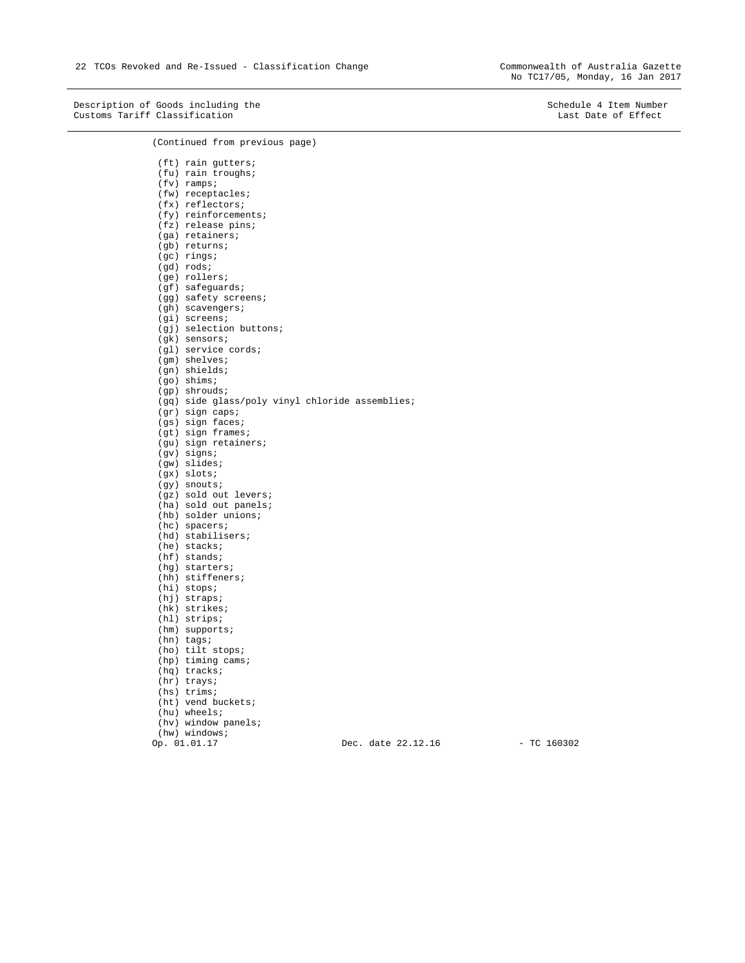No TC17/05, Monday, 16 Jan 2017

Description of Goods including the Schedule 4 Item Number Schedule 4 Item Number Customs Tariff Classification Last Date of Effect

| (ft) rain gutters;                              |                 |  |
|-------------------------------------------------|-----------------|--|
| (fu) rain troughs;                              |                 |  |
| $(fv)$ ramps;                                   |                 |  |
| $(fw)$ receptacles;                             |                 |  |
| (fx) reflectors;                                |                 |  |
| (fy) reinforcements;                            |                 |  |
| (fz) release pins;                              |                 |  |
| (ga) retainers;                                 |                 |  |
| (gb) returns;                                   |                 |  |
| (gc) rings;                                     |                 |  |
| (gd) rods;                                      |                 |  |
| (ge) rollers;                                   |                 |  |
| (gf) safeguards;                                |                 |  |
| (gg) safety screens;                            |                 |  |
| (gh) scavengers;                                |                 |  |
| (gi) screens;                                   |                 |  |
| (gj) selection buttons;                         |                 |  |
| (gk) sensors;                                   |                 |  |
| (gl) service cords;                             |                 |  |
| (gm) shelves;                                   |                 |  |
| (gn) shields;                                   |                 |  |
| (go) shims;                                     |                 |  |
| (gp) shrouds;                                   |                 |  |
| (gq) side glass/poly vinyl chloride assemblies; |                 |  |
| (gr) sign caps;<br>(gs) sign faces;             |                 |  |
| (gt) sign frames;                               |                 |  |
| (gu) sign retainers;                            |                 |  |
| (gv) signs;                                     |                 |  |
| (gw) slides;                                    |                 |  |
| (gx) slots;                                     |                 |  |
| (gy) snouts;                                    |                 |  |
| (gz) sold out levers;                           |                 |  |
| (ha) sold out panels;                           |                 |  |
| (hb) solder unions;                             |                 |  |
| (hc) spacers;                                   |                 |  |
| (hd) stabilisers;                               |                 |  |
| (he) stacks;                                    |                 |  |
| (hf) stands;                                    |                 |  |
| (hg) starters;                                  |                 |  |
| (hh) stiffeners;                                |                 |  |
| (hi) stops;                                     |                 |  |
| (hj) straps;                                    |                 |  |
| (hk) strikes;                                   |                 |  |
| (hl) strips;                                    |                 |  |
| $(hm)$ supports;                                |                 |  |
| $(hn)$ tags;                                    |                 |  |
| (ho) tilt stops;                                |                 |  |
| (hp) timing cams;                               |                 |  |
| (hq) tracks;                                    |                 |  |
| (hr) trays;                                     |                 |  |
| (hs) trims;                                     |                 |  |
| (ht) vend buckets;                              |                 |  |
| (hu) wheels;                                    |                 |  |
| (hv) window panels;                             |                 |  |
| (hw) windows;                                   |                 |  |
| Op. 01.01.17                                    | Dec. date 22.12 |  |

Op. 01.01.17 Dec. date 22.12.16 - TC 160302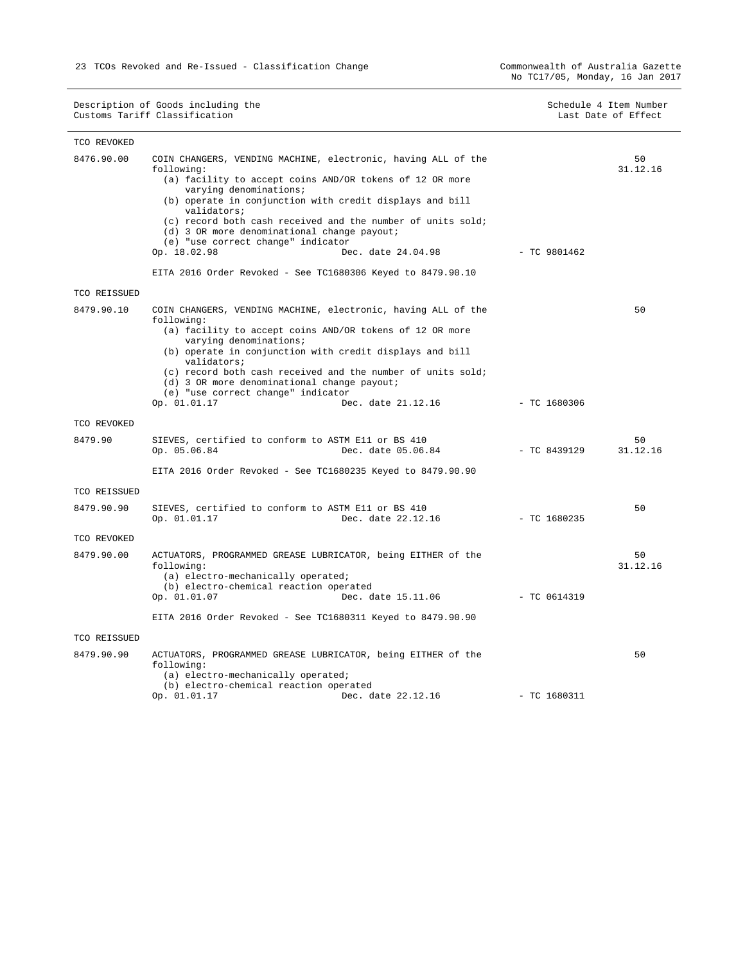| Schedule 4 Item Number |  |                     |  |
|------------------------|--|---------------------|--|
|                        |  | Last Date of Effect |  |

| TCO REVOKED  |                                                                                                                                                                                                                                                                                                                                                                                                                                        |                |                |
|--------------|----------------------------------------------------------------------------------------------------------------------------------------------------------------------------------------------------------------------------------------------------------------------------------------------------------------------------------------------------------------------------------------------------------------------------------------|----------------|----------------|
| 8476.90.00   | COIN CHANGERS, VENDING MACHINE, electronic, having ALL of the<br>following:<br>(a) facility to accept coins AND/OR tokens of 12 OR more<br>varying denominations;<br>(b) operate in conjunction with credit displays and bill<br>validators;<br>(c) record both cash received and the number of units sold;<br>(d) 3 OR more denominational change payout;<br>(e) "use correct change" indicator<br>Op. 18.02.98<br>Dec. date 24.04.98 | $-$ TC 9801462 | 50<br>31.12.16 |
|              | EITA 2016 Order Revoked - See TC1680306 Keyed to 8479.90.10                                                                                                                                                                                                                                                                                                                                                                            |                |                |
| TCO REISSUED |                                                                                                                                                                                                                                                                                                                                                                                                                                        |                |                |
| 8479.90.10   | COIN CHANGERS, VENDING MACHINE, electronic, having ALL of the<br>following:<br>(a) facility to accept coins AND/OR tokens of 12 OR more<br>varying denominations;<br>(b) operate in conjunction with credit displays and bill<br>validators;<br>(c) record both cash received and the number of units sold;<br>(d) 3 OR more denominational change payout;<br>(e) "use correct change" indicator<br>Op. 01.01.17<br>Dec. date 21.12.16 | - TC 1680306   | 50             |
| TCO REVOKED  |                                                                                                                                                                                                                                                                                                                                                                                                                                        |                |                |
| 8479.90      | SIEVES, certified to conform to ASTM E11 or BS 410<br>Op. 05.06.84<br>Dec. date 05.06.84                                                                                                                                                                                                                                                                                                                                               | $-$ TC 8439129 | 50<br>31.12.16 |
|              | EITA 2016 Order Revoked - See TC1680235 Keyed to 8479.90.90                                                                                                                                                                                                                                                                                                                                                                            |                |                |
| TCO REISSUED |                                                                                                                                                                                                                                                                                                                                                                                                                                        |                |                |
| 8479.90.90   | SIEVES, certified to conform to ASTM E11 or BS 410<br>Op. 01.01.17<br>Dec. date 22.12.16                                                                                                                                                                                                                                                                                                                                               | $-$ TC 1680235 | 50             |
| TCO REVOKED  |                                                                                                                                                                                                                                                                                                                                                                                                                                        |                |                |
| 8479.90.00   | ACTUATORS, PROGRAMMED GREASE LUBRICATOR, being EITHER of the<br>following:<br>(a) electro-mechanically operated;<br>(b) electro-chemical reaction operated<br>Op. 01.01.07<br>Dec. date 15.11.06                                                                                                                                                                                                                                       | $- TC 0614319$ | 50<br>31.12.16 |
|              | EITA 2016 Order Revoked - See TC1680311 Keyed to 8479.90.90                                                                                                                                                                                                                                                                                                                                                                            |                |                |
| TCO REISSUED |                                                                                                                                                                                                                                                                                                                                                                                                                                        |                |                |
| 8479.90.90   | ACTUATORS, PROGRAMMED GREASE LUBRICATOR, being EITHER of the<br>following:<br>(a) electro-mechanically operated;<br>(b) electro-chemical reaction operated<br>Op. 01.01.17<br>Dec. date 22.12.16                                                                                                                                                                                                                                       | $-$ TC 1680311 | 50             |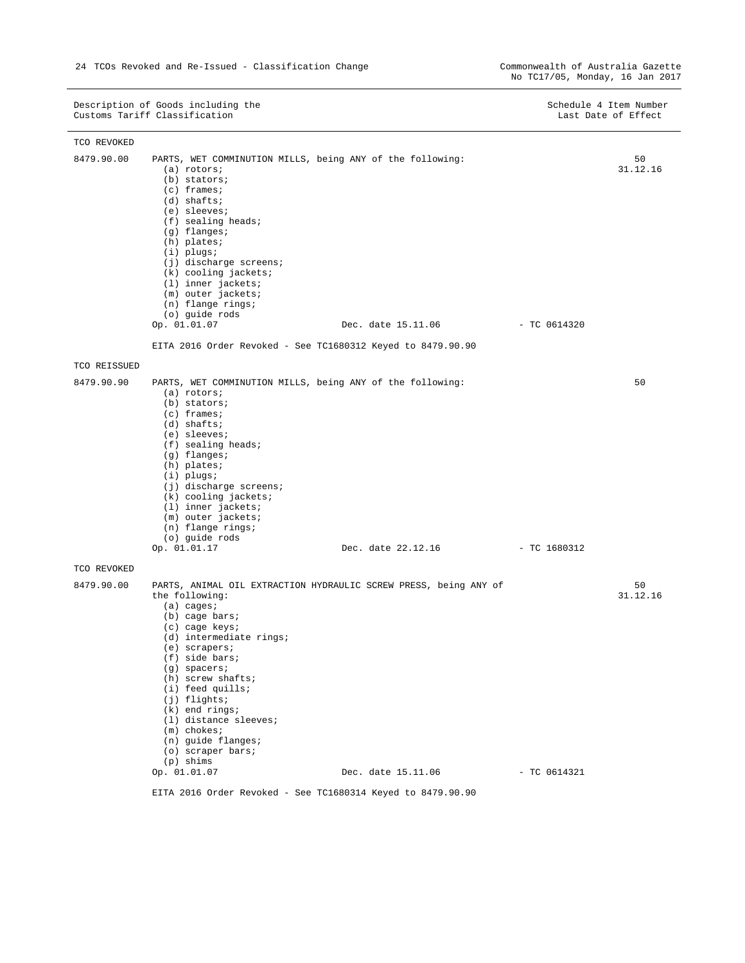|              | Description of Goods including the<br>Customs Tariff Classification                                                                                                                                                                                                                                                                                                                                                                             |                    |                | Schedule 4 Item Number<br>Last Date of Effect |
|--------------|-------------------------------------------------------------------------------------------------------------------------------------------------------------------------------------------------------------------------------------------------------------------------------------------------------------------------------------------------------------------------------------------------------------------------------------------------|--------------------|----------------|-----------------------------------------------|
| TCO REVOKED  |                                                                                                                                                                                                                                                                                                                                                                                                                                                 |                    |                |                                               |
| 8479.90.00   | PARTS, WET COMMINUTION MILLS, being ANY of the following:<br>(a) rotors;<br>(b) stators;<br>$(c)$ frames;<br>$(d)$ shafts;<br>$(e)$ sleeves;<br>$(f)$ sealing heads;<br>$(g)$ flanges;<br>(h) plates;<br>$(i)$ plugs;<br>(j) discharge screens;<br>$(k)$ cooling jackets;<br>$(1)$ inner jackets;<br>(m) outer jackets;<br>$(n)$ flange rings;<br>(o) guide rods<br>Op. 01.01.07<br>EITA 2016 Order Revoked - See TC1680312 Keyed to 8479.90.90 | Dec. date 15.11.06 | $-$ TC 0614320 | 50<br>31.12.16                                |
| TCO REISSUED |                                                                                                                                                                                                                                                                                                                                                                                                                                                 |                    |                |                                               |
| 8479.90.90   | PARTS, WET COMMINUTION MILLS, being ANY of the following:<br>(a) rotors;<br>(b) stators;<br>$(c)$ frames;<br>$(d)$ shafts;<br>$(e)$ sleeves;<br>$(f)$ sealing heads;<br>$(q)$ flanges;<br>(h) plates;<br>$(i)$ plugs;<br>$(j)$ discharge screens;<br>$\sqrt{1}$ , and in the state of the state of $\sqrt{1}$                                                                                                                                   |                    |                | 50                                            |

(k) cooling jackets;

 (l) inner jackets; (m) outer jackets;

(n) flange rings;

(o) guide rods

TCO REVOKED

8479.90.00 PARTS, ANIMAL OIL EXTRACTION HYDRAULIC SCREW PRESS, being ANY of the following: (a) cages; (b) cage bars; (c) cage keys; (d) intermediate rings; (e) scrapers; (f) side bars; (g) spacers; (h) screw shafts; (i) feed quills; (j) flights; (k) end rings; (l) distance sleeves; (m) chokes; (n) guide flanges; (o) scraper bars;  $(p)$  shims<br>Op. 01.01.07 Dec. date 15.11.06 - TC 0614321 50 31.12.16

Dec. date 22.12.16 - TC 1680312

EITA 2016 Order Revoked - See TC1680314 Keyed to 8479.90.90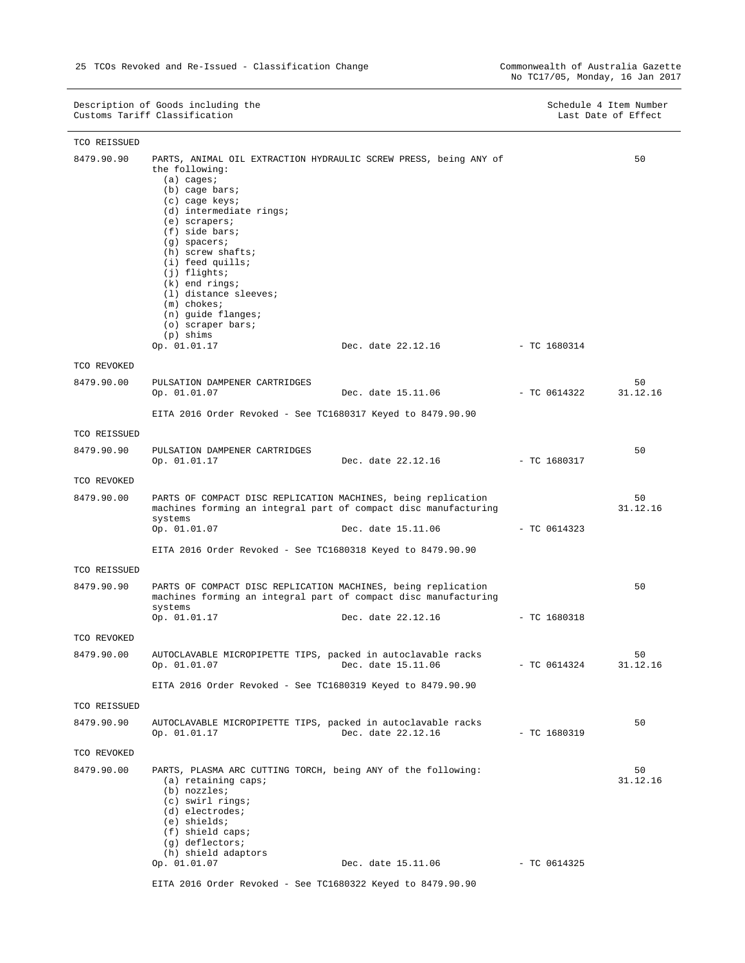|                            | Customs Tariff Classification                                                                                                                                                                                                                                                                                                                                                                                               |                    |                | Last Date of Effect |
|----------------------------|-----------------------------------------------------------------------------------------------------------------------------------------------------------------------------------------------------------------------------------------------------------------------------------------------------------------------------------------------------------------------------------------------------------------------------|--------------------|----------------|---------------------|
| TCO REISSUED               |                                                                                                                                                                                                                                                                                                                                                                                                                             |                    |                |                     |
| 8479.90.90                 | PARTS, ANIMAL OIL EXTRACTION HYDRAULIC SCREW PRESS, being ANY of<br>the following:<br>$(a)$ cages;<br>(b) cage bars;<br>(c) cage keys;<br>(d) intermediate rings;<br>$(e)$ scrapers;<br>$(f)$ side bars;<br>$(g)$ spacers;<br>(h) screw shafts;<br>(i) feed quills;<br>(j) flights;<br>$(k)$ end rings;<br>(1) distance sleeves;<br>$(m)$ chokes;<br>(n) guide flanges;<br>(o) scraper bars;<br>$(p)$ shims<br>Op. 01.01.17 | Dec. date 22.12.16 | - TC 1680314   | 50                  |
| TCO REVOKED                |                                                                                                                                                                                                                                                                                                                                                                                                                             |                    |                |                     |
| 8479.90.00                 | PULSATION DAMPENER CARTRIDGES<br>Op. 01.01.07                                                                                                                                                                                                                                                                                                                                                                               | Dec. date 15.11.06 | $-$ TC 0614322 | 50<br>31.12.16      |
|                            | EITA 2016 Order Revoked - See TC1680317 Keyed to 8479.90.90                                                                                                                                                                                                                                                                                                                                                                 |                    |                |                     |
| TCO REISSUED               |                                                                                                                                                                                                                                                                                                                                                                                                                             |                    |                |                     |
| 8479.90.90                 | PULSATION DAMPENER CARTRIDGES<br>Op. 01.01.17                                                                                                                                                                                                                                                                                                                                                                               | Dec. date 22.12.16 | - TC 1680317   | 50                  |
| TCO REVOKED                |                                                                                                                                                                                                                                                                                                                                                                                                                             |                    |                |                     |
| 8479.90.00                 | PARTS OF COMPACT DISC REPLICATION MACHINES, being replication<br>machines forming an integral part of compact disc manufacturing<br>systems<br>Op. 01.01.07                                                                                                                                                                                                                                                                 | Dec. date 15.11.06 | $-$ TC 0614323 | 50<br>31.12.16      |
|                            | EITA 2016 Order Revoked - See TC1680318 Keyed to 8479.90.90                                                                                                                                                                                                                                                                                                                                                                 |                    |                |                     |
| TCO REISSUED<br>8479.90.90 | PARTS OF COMPACT DISC REPLICATION MACHINES, being replication<br>machines forming an integral part of compact disc manufacturing<br>systems                                                                                                                                                                                                                                                                                 |                    |                | 50                  |
|                            | Op. 01.01.17                                                                                                                                                                                                                                                                                                                                                                                                                | Dec. date 22.12.16 | $-$ TC 1680318 |                     |
| TCO REVOKED<br>8479.90.00  | AUTOCLAVABLE MICROPIPETTE TIPS, packed in autoclavable racks<br>Op. 01.01.07<br>EITA 2016 Order Revoked - See TC1680319 Keyed to 8479.90.90                                                                                                                                                                                                                                                                                 | Dec. date 15.11.06 | $-$ TC 0614324 | 50<br>31.12.16      |
| TCO REISSUED               |                                                                                                                                                                                                                                                                                                                                                                                                                             |                    |                |                     |
| 8479.90.90                 | AUTOCLAVABLE MICROPIPETTE TIPS, packed in autoclavable racks                                                                                                                                                                                                                                                                                                                                                                |                    |                | 50                  |
|                            | Op. 01.01.17                                                                                                                                                                                                                                                                                                                                                                                                                | Dec. date 22.12.16 | $-$ TC 1680319 |                     |
| TCO REVOKED                |                                                                                                                                                                                                                                                                                                                                                                                                                             |                    |                |                     |
| 8479.90.00                 | PARTS, PLASMA ARC CUTTING TORCH, being ANY of the following:<br>(a) retaining caps;<br>(b) nozzles;<br>$(c)$ swirl rings;<br>$(d)$ electrodes;<br>$(e)$ shields;<br>$(f)$ shield caps;<br>(g) deflectors;<br>(h) shield adaptors                                                                                                                                                                                            |                    |                | 50<br>31.12.16      |
|                            | Op. 01.01.07                                                                                                                                                                                                                                                                                                                                                                                                                | Dec. date 15.11.06 | $-$ TC 0614325 |                     |

Description of Goods including the Schedule 4 Item Number Schedule 4 Item Number

EITA 2016 Order Revoked - See TC1680322 Keyed to 8479.90.90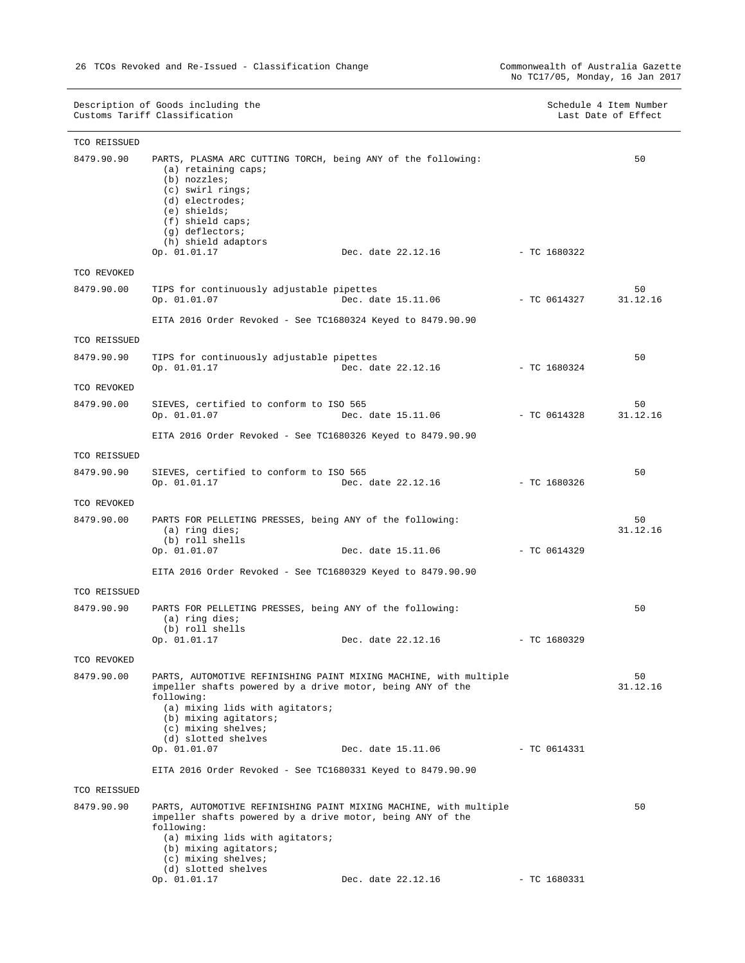$\overline{\phantom{0}}$ 

|              | Description of Goods including the<br>Customs Tariff Classification                                                                                                                                                                                                                           |                | Schedule 4 Item Number<br>Last Date of Effect |
|--------------|-----------------------------------------------------------------------------------------------------------------------------------------------------------------------------------------------------------------------------------------------------------------------------------------------|----------------|-----------------------------------------------|
| TCO REISSUED |                                                                                                                                                                                                                                                                                               |                |                                               |
| 8479.90.90   | PARTS, PLASMA ARC CUTTING TORCH, being ANY of the following:<br>$(a)$ retaining caps;<br>(b) nozzles;<br>$(c)$ swirl rings;<br>$(d)$ electrodes;<br>$(e)$ shields;<br>$(f)$ shield caps;<br>$(g)$ deflectors;<br>(h) shield adaptors<br>Dec. date 22.12.16<br>Op. 01.01.17                    | - TC 1680322   | 50                                            |
| TCO REVOKED  |                                                                                                                                                                                                                                                                                               |                |                                               |
| 8479.90.00   | TIPS for continuously adjustable pipettes<br>Op. 01.01.07<br>Dec. date 15.11.06                                                                                                                                                                                                               | $-TC 0614327$  | 50<br>31.12.16                                |
|              | EITA 2016 Order Revoked - See TC1680324 Keyed to 8479.90.90                                                                                                                                                                                                                                   |                |                                               |
| TCO REISSUED |                                                                                                                                                                                                                                                                                               |                |                                               |
| 8479.90.90   | TIPS for continuously adjustable pipettes<br>Op. 01.01.17<br>Dec. date 22.12.16                                                                                                                                                                                                               | - TC 1680324   | 50                                            |
| TCO REVOKED  |                                                                                                                                                                                                                                                                                               |                |                                               |
| 8479.90.00   | SIEVES, certified to conform to ISO 565<br>Op. 01.01.07<br>Dec. date 15.11.06                                                                                                                                                                                                                 | $-$ TC 0614328 | 50<br>31.12.16                                |
|              | EITA 2016 Order Revoked - See TC1680326 Keyed to 8479.90.90                                                                                                                                                                                                                                   |                |                                               |
| TCO REISSUED |                                                                                                                                                                                                                                                                                               |                |                                               |
| 8479.90.90   | SIEVES, certified to conform to ISO 565<br>Op. 01.01.17<br>Dec. date 22.12.16                                                                                                                                                                                                                 | $-$ TC 1680326 | 50                                            |
| TCO REVOKED  |                                                                                                                                                                                                                                                                                               |                |                                               |
| 8479.90.00   | PARTS FOR PELLETING PRESSES, being ANY of the following:<br>$(a)$ ring dies;<br>(b) roll shells<br>Op. 01.01.07<br>Dec. date 15.11.06                                                                                                                                                         | - TC 0614329   | 50<br>31.12.16                                |
|              | EITA 2016 Order Revoked - See TC1680329 Keyed to 8479.90.90                                                                                                                                                                                                                                   |                |                                               |
|              |                                                                                                                                                                                                                                                                                               |                |                                               |
| TCO REISSUED |                                                                                                                                                                                                                                                                                               |                |                                               |
| 8479.90.90   | PARTS FOR PELLETING PRESSES, being ANY of the following:<br>$(a)$ ring dies;<br>(b) roll shells<br>Dec. date 22.12.16                                                                                                                                                                         |                | 50                                            |
|              | Op. 01.01.17                                                                                                                                                                                                                                                                                  | $-$ TC 1680329 |                                               |
| TCO REVOKED  |                                                                                                                                                                                                                                                                                               |                |                                               |
| 8479.90.00   | PARTS, AUTOMOTIVE REFINISHING PAINT MIXING MACHINE, with multiple<br>impeller shafts powered by a drive motor, being ANY of the<br>following:<br>(a) mixing lids with agitators;<br>(b) mixing agitators;<br>(c) mixing shelves;<br>(d) slotted shelves<br>Op. 01.01.07<br>Dec. date 15.11.06 | - TC 0614331   | 50<br>31.12.16                                |
|              | EITA 2016 Order Revoked - See TC1680331 Keyed to 8479.90.90                                                                                                                                                                                                                                   |                |                                               |
| TCO REISSUED |                                                                                                                                                                                                                                                                                               |                |                                               |
| 8479.90.90   | PARTS, AUTOMOTIVE REFINISHING PAINT MIXING MACHINE, with multiple                                                                                                                                                                                                                             |                | 50                                            |
|              | impeller shafts powered by a drive motor, being ANY of the<br>following:<br>(a) mixing lids with agitators;<br>(b) mixing agitators;<br>$(c)$ mixing shelves;<br>(d) slotted shelves                                                                                                          |                |                                               |

Op. 01.01.17 Dec. date 22.12.16 - TC 1680331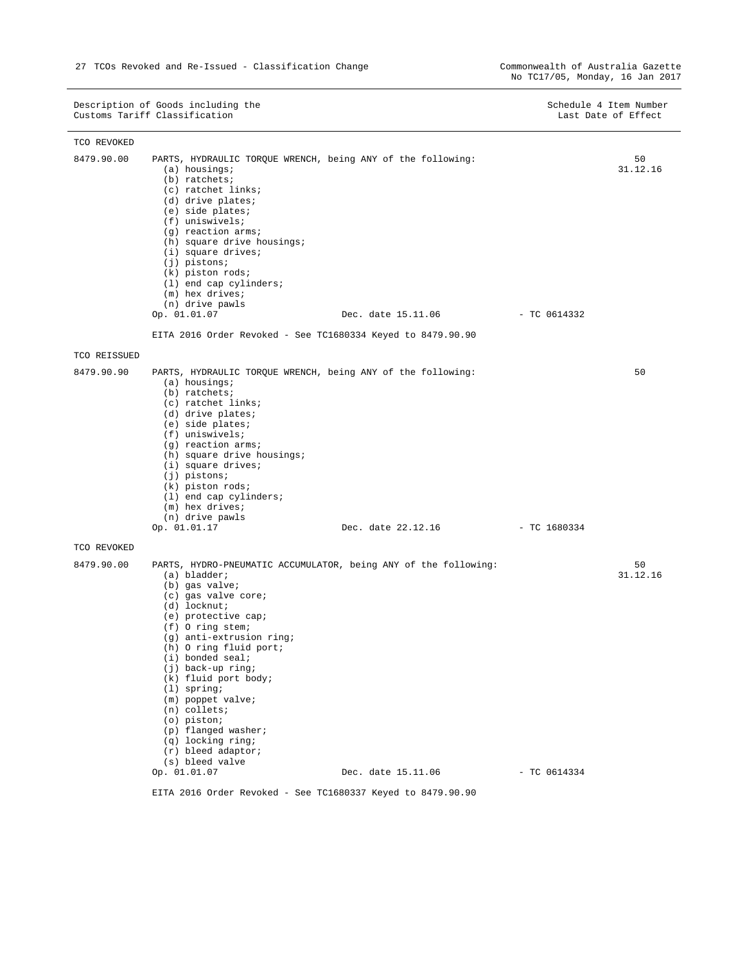|              | Description of Goods including the<br>Customs Tariff Classification                                                                                                                                                                                                                                                                                                                                                                                                                            |                    |                | Schedule 4 Item Number<br>Last Date of Effect |
|--------------|------------------------------------------------------------------------------------------------------------------------------------------------------------------------------------------------------------------------------------------------------------------------------------------------------------------------------------------------------------------------------------------------------------------------------------------------------------------------------------------------|--------------------|----------------|-----------------------------------------------|
| TCO REVOKED  |                                                                                                                                                                                                                                                                                                                                                                                                                                                                                                |                    |                |                                               |
| 8479.90.00   | PARTS, HYDRAULIC TORQUE WRENCH, being ANY of the following:<br>$(a)$ housings;<br>(b) ratchets;<br>(c) ratchet links;<br>(d) drive plates;<br>(e) side plates;<br>$(f)$ uniswivels;<br>$(q)$ reaction arms;<br>(h) square drive housings;<br>$(i)$ square drives;<br>$(j)$ pistons;<br>(k) piston rods;<br>$(1)$ end cap cylinders;<br>$(m)$ hex drives;<br>(n) drive pawls<br>Op. 01.01.07<br>EITA 2016 Order Revoked - See TC1680334 Keyed to 8479.90.90                                     | Dec. date 15.11.06 | $-$ TC 0614332 | 50<br>31.12.16                                |
| TCO REISSUED |                                                                                                                                                                                                                                                                                                                                                                                                                                                                                                |                    |                |                                               |
| 8479.90.90   | PARTS, HYDRAULIC TORQUE WRENCH, being ANY of the following:<br>$(a)$ housings;<br>$(b)$ ratchets;<br>(c) ratchet links;<br>(d) drive plates;<br>(e) side plates;<br>$(f)$ uniswivels;<br>$(g)$ reaction arms;<br>(h) square drive housings;<br>(i) square drives;<br>(j) pistons;<br>(k) piston rods;<br>$(1)$ end cap cylinders;<br>$(m)$ hex drives;<br>(n) drive pawls<br>Op. 01.01.17                                                                                                      | Dec. date 22.12.16 | - TC 1680334   | 50                                            |
| TCO REVOKED  |                                                                                                                                                                                                                                                                                                                                                                                                                                                                                                |                    |                |                                               |
| 8479.90.00   | PARTS, HYDRO-PNEUMATIC ACCUMULATOR, being ANY of the following:<br>(a) bladder;<br>(b) gas valve;<br>(c) gas valve core;<br>(d) locknut;<br>(e) protective cap;<br>$(f)$ O ring stem;<br>(g) anti-extrusion ring;<br>(h) O ring fluid port;<br>$(i)$ bonded seal;<br>$(j)$ back-up ring;<br>(k) fluid port body;<br>$(1)$ spring;<br>(m) poppet valve;<br>$(n)$ collets;<br>(o) piston;<br>(p) flanged washer;<br>(q) locking ring;<br>$(r)$ bleed adaptor;<br>(s) bleed valve<br>Op. 01.01.07 | Dec. date 15.11.06 | $-$ TC 0614334 | 50<br>31.12.16                                |
|              | EITA 2016 Order Revoked - See TC1680337 Keyed to 8479.90.90                                                                                                                                                                                                                                                                                                                                                                                                                                    |                    |                |                                               |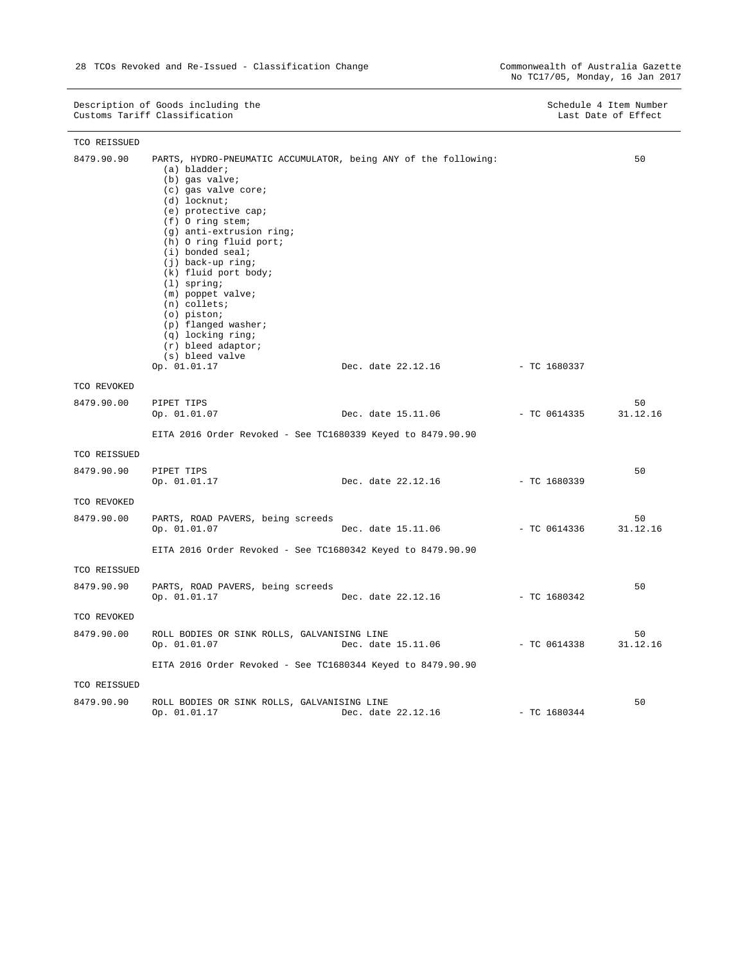| TCO REISSUED |                                                                                                                                                                                                                                                                                                                                                                                                                                                                                                  |                    |                |                |
|--------------|--------------------------------------------------------------------------------------------------------------------------------------------------------------------------------------------------------------------------------------------------------------------------------------------------------------------------------------------------------------------------------------------------------------------------------------------------------------------------------------------------|--------------------|----------------|----------------|
| 8479.90.90   | PARTS, HYDRO-PNEUMATIC ACCUMULATOR, being ANY of the following:<br>(a) bladder;<br>(b) gas valve;<br>(c) gas valve core;<br>$(d)$ locknut;<br>(e) protective cap;<br>$(f)$ O ring stem;<br>(g) anti-extrusion ring;<br>(h) O ring fluid port;<br>$(i)$ bonded seal;<br>$(i)$ back-up ring;<br>(k) fluid port body;<br>$(1)$ spring;<br>(m) poppet valve;<br>$(n)$ collets;<br>(o) piston;<br>(p) flanged washer;<br>(q) locking ring;<br>$(r)$ bleed adaptor;<br>(s) bleed valve<br>Op. 01.01.17 | Dec. date 22.12.16 | - TC 1680337   | 50             |
| TCO REVOKED  |                                                                                                                                                                                                                                                                                                                                                                                                                                                                                                  |                    |                |                |
| 8479.90.00   | PIPET TIPS<br>Op. 01.01.07                                                                                                                                                                                                                                                                                                                                                                                                                                                                       | Dec. date 15.11.06 | - TC 0614335   | 50<br>31.12.16 |
|              | EITA 2016 Order Revoked - See TC1680339 Keyed to 8479.90.90                                                                                                                                                                                                                                                                                                                                                                                                                                      |                    |                |                |
| TCO REISSUED |                                                                                                                                                                                                                                                                                                                                                                                                                                                                                                  |                    |                |                |
| 8479.90.90   | PIPET TIPS<br>Op. 01.01.17                                                                                                                                                                                                                                                                                                                                                                                                                                                                       | Dec. date 22.12.16 | $-$ TC 1680339 | 50             |
| TCO REVOKED  |                                                                                                                                                                                                                                                                                                                                                                                                                                                                                                  |                    |                |                |
| 8479.90.00   | PARTS, ROAD PAVERS, being screeds<br>Op. 01.01.07                                                                                                                                                                                                                                                                                                                                                                                                                                                | Dec. date 15.11.06 | - TC 0614336   | 50<br>31.12.16 |
|              | EITA 2016 Order Revoked - See TC1680342 Keyed to 8479.90.90                                                                                                                                                                                                                                                                                                                                                                                                                                      |                    |                |                |
| TCO REISSUED |                                                                                                                                                                                                                                                                                                                                                                                                                                                                                                  |                    |                |                |
| 8479.90.90   | PARTS, ROAD PAVERS, being screeds<br>Op. 01.01.17                                                                                                                                                                                                                                                                                                                                                                                                                                                | Dec. date 22.12.16 | - TC 1680342   | 50             |
| TCO REVOKED  |                                                                                                                                                                                                                                                                                                                                                                                                                                                                                                  |                    |                |                |
| 8479.90.00   | ROLL BODIES OR SINK ROLLS, GALVANISING LINE<br>Op. 01.01.07                                                                                                                                                                                                                                                                                                                                                                                                                                      | Dec. date 15.11.06 | $-TC$ 0614338  | 50<br>31.12.16 |
|              | EITA 2016 Order Revoked - See TC1680344 Keyed to 8479.90.90                                                                                                                                                                                                                                                                                                                                                                                                                                      |                    |                |                |
| TCO REISSUED |                                                                                                                                                                                                                                                                                                                                                                                                                                                                                                  |                    |                |                |
| 8479.90.90   | ROLL BODIES OR SINK ROLLS, GALVANISING LINE<br>Op. 01.01.17                                                                                                                                                                                                                                                                                                                                                                                                                                      | Dec. date 22.12.16 | $-$ TC 1680344 | 50             |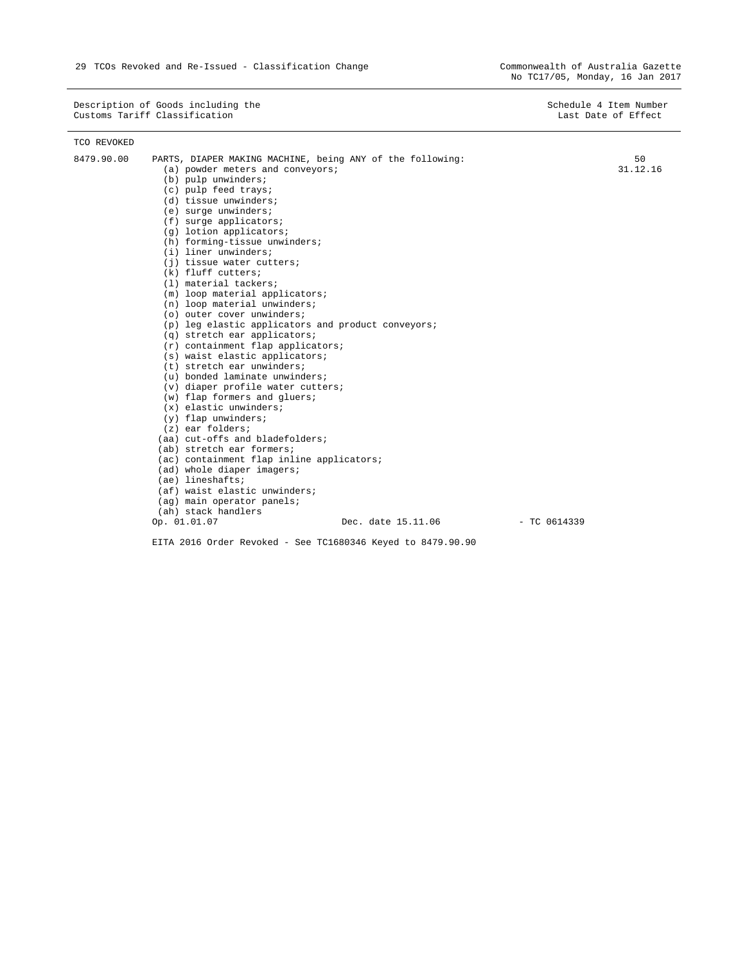TCO REVOKED

| 8479.90.00 |                                           | PARTS, DIAPER MAKING MACHINE, being ANY of the following:   | 50             |  |
|------------|-------------------------------------------|-------------------------------------------------------------|----------------|--|
|            | (a) powder meters and conveyors;          |                                                             | 31.12.16       |  |
|            | (b) pulp unwinders;                       |                                                             |                |  |
|            | (c) pulp feed trays;                      |                                                             |                |  |
|            | (d) tissue unwinders;                     |                                                             |                |  |
|            | (e) surge unwinders;                      |                                                             |                |  |
|            | $(f)$ surge applicators;                  |                                                             |                |  |
|            | (q) lotion applicators;                   |                                                             |                |  |
|            | (h) forming-tissue unwinders;             |                                                             |                |  |
|            | (i) liner unwinders;                      |                                                             |                |  |
|            | (i) tissue water cutters;                 |                                                             |                |  |
|            | (k) fluff cutters;                        |                                                             |                |  |
|            | (1) material tackers;                     |                                                             |                |  |
|            | (m) loop material applicators;            |                                                             |                |  |
|            | (n) loop material unwinders;              |                                                             |                |  |
|            | (o) outer cover unwinders;                |                                                             |                |  |
|            |                                           | (p) leg elastic applicators and product conveyors;          |                |  |
|            | (q) stretch ear applicators;              |                                                             |                |  |
|            | (r) containment flap applicators;         |                                                             |                |  |
|            | (s) waist elastic applicators;            |                                                             |                |  |
|            | (t) stretch ear unwinders;                |                                                             |                |  |
|            | (u) bonded laminate unwinders;            |                                                             |                |  |
|            | (v) diaper profile water cutters;         |                                                             |                |  |
|            | (w) flap formers and gluers;              |                                                             |                |  |
|            | $(x)$ elastic unwinders;                  |                                                             |                |  |
|            | $(y)$ flap unwinders;                     |                                                             |                |  |
|            | $(z)$ ear folders;                        |                                                             |                |  |
|            | (aa) cut-offs and bladefolders;           |                                                             |                |  |
|            | (ab) stretch ear formers;                 |                                                             |                |  |
|            | (ac) containment flap inline applicators; |                                                             |                |  |
|            | (ad) whole diaper imagers;                |                                                             |                |  |
|            | $(ae)$ lineshafts;                        |                                                             |                |  |
|            | (af) waist elastic unwinders;             |                                                             |                |  |
|            | (ag) main operator panels;                |                                                             |                |  |
|            | (ah) stack handlers                       |                                                             |                |  |
|            | Op. 01.01.07                              | Dec. date 15.11.06                                          | $-$ TC 0614339 |  |
|            |                                           | EITA 2016 Order Revoked - See TC1680346 Keyed to 8479.90.90 |                |  |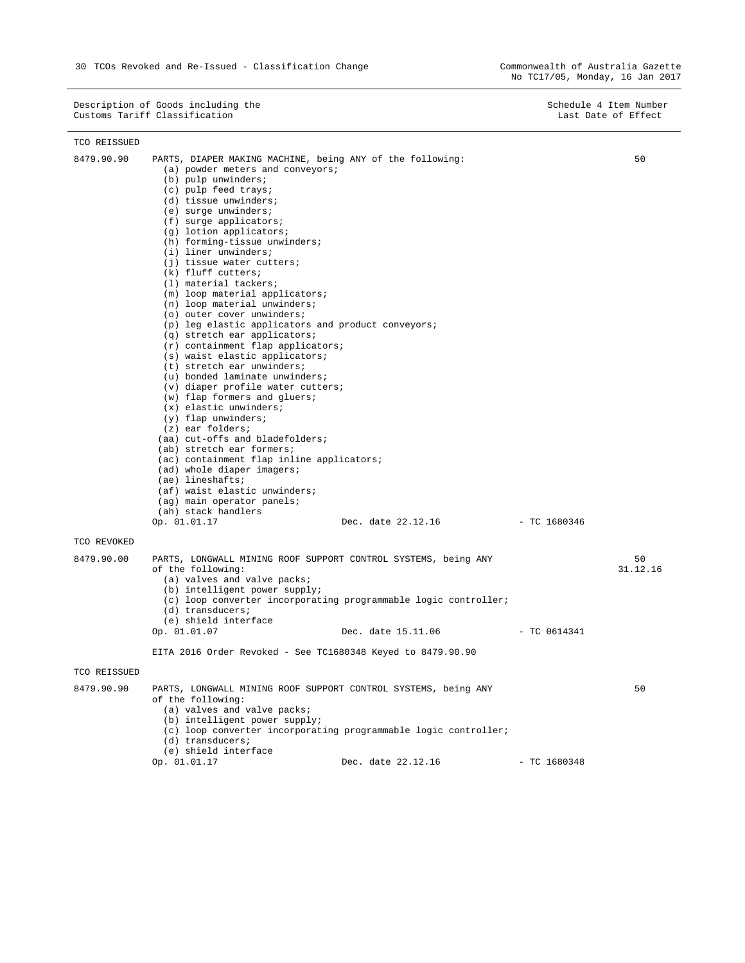| TCO REISSUED |                                                                                                                                                                                                                                                                                                                                                                                                                                                                                                                                                                                                                                                                                                                                                                                                                                                                                                                                                                                                                                                                                                                                             |                    |                |                |
|--------------|---------------------------------------------------------------------------------------------------------------------------------------------------------------------------------------------------------------------------------------------------------------------------------------------------------------------------------------------------------------------------------------------------------------------------------------------------------------------------------------------------------------------------------------------------------------------------------------------------------------------------------------------------------------------------------------------------------------------------------------------------------------------------------------------------------------------------------------------------------------------------------------------------------------------------------------------------------------------------------------------------------------------------------------------------------------------------------------------------------------------------------------------|--------------------|----------------|----------------|
| 8479.90.90   | PARTS, DIAPER MAKING MACHINE, being ANY of the following:<br>(a) powder meters and conveyors;<br>(b) pulp unwinders;<br>(c) pulp feed trays;<br>(d) tissue unwinders;<br>(e) surge unwinders;<br>$(f)$ surge applicators;<br>(g) lotion applicators;<br>(h) forming-tissue unwinders;<br>(i) liner unwinders;<br>(i) tissue water cutters;<br>(k) fluff cutters;<br>(1) material tackers;<br>(m) loop material applicators;<br>(n) loop material unwinders;<br>(o) outer cover unwinders;<br>(p) leg elastic applicators and product conveyors;<br>(q) stretch ear applicators;<br>(r) containment flap applicators;<br>(s) waist elastic applicators;<br>(t) stretch ear unwinders;<br>(u) bonded laminate unwinders;<br>(v) diaper profile water cutters;<br>(w) flap formers and gluers;<br>$(x)$ elastic unwinders;<br>$(y)$ flap unwinders;<br>$(z)$ ear folders;<br>(aa) cut-offs and bladefolders;<br>(ab) stretch ear formers;<br>(ac) containment flap inline applicators;<br>(ad) whole diaper imagers;<br>(ae) lineshafts;<br>(af) waist elastic unwinders;<br>(ag) main operator panels;<br>(ah) stack handlers<br>Op. 01.01.17 | Dec. date 22.12.16 | - TC 1680346   | 50             |
| TCO REVOKED  |                                                                                                                                                                                                                                                                                                                                                                                                                                                                                                                                                                                                                                                                                                                                                                                                                                                                                                                                                                                                                                                                                                                                             |                    |                |                |
| 8479.90.00   | PARTS, LONGWALL MINING ROOF SUPPORT CONTROL SYSTEMS, being ANY<br>of the following:<br>(a) valves and valve packs;<br>(b) intelligent power supply;<br>(c) loop converter incorporating programmable logic controller;<br>(d) transducers;<br>(e) shield interface<br>Op. 01.01.07                                                                                                                                                                                                                                                                                                                                                                                                                                                                                                                                                                                                                                                                                                                                                                                                                                                          | Dec. date 15.11.06 | $-$ TC 0614341 | 50<br>31.12.16 |
|              | EITA 2016 Order Revoked - See TC1680348 Keyed to 8479.90.90                                                                                                                                                                                                                                                                                                                                                                                                                                                                                                                                                                                                                                                                                                                                                                                                                                                                                                                                                                                                                                                                                 |                    |                |                |
| TCO REISSUED |                                                                                                                                                                                                                                                                                                                                                                                                                                                                                                                                                                                                                                                                                                                                                                                                                                                                                                                                                                                                                                                                                                                                             |                    |                |                |
| 8479.90.90   | PARTS, LONGWALL MINING ROOF SUPPORT CONTROL SYSTEMS, being ANY                                                                                                                                                                                                                                                                                                                                                                                                                                                                                                                                                                                                                                                                                                                                                                                                                                                                                                                                                                                                                                                                              |                    |                | 50             |
|              | of the following:<br>(a) valves and valve packs;<br>(b) intelligent power supply;<br>(c) loop converter incorporating programmable logic controller;<br>$(d)$ transducers;<br>(e) shield interface                                                                                                                                                                                                                                                                                                                                                                                                                                                                                                                                                                                                                                                                                                                                                                                                                                                                                                                                          |                    |                |                |
|              | Op. 01.01.17                                                                                                                                                                                                                                                                                                                                                                                                                                                                                                                                                                                                                                                                                                                                                                                                                                                                                                                                                                                                                                                                                                                                | Dec. date 22.12.16 | $-$ TC 1680348 |                |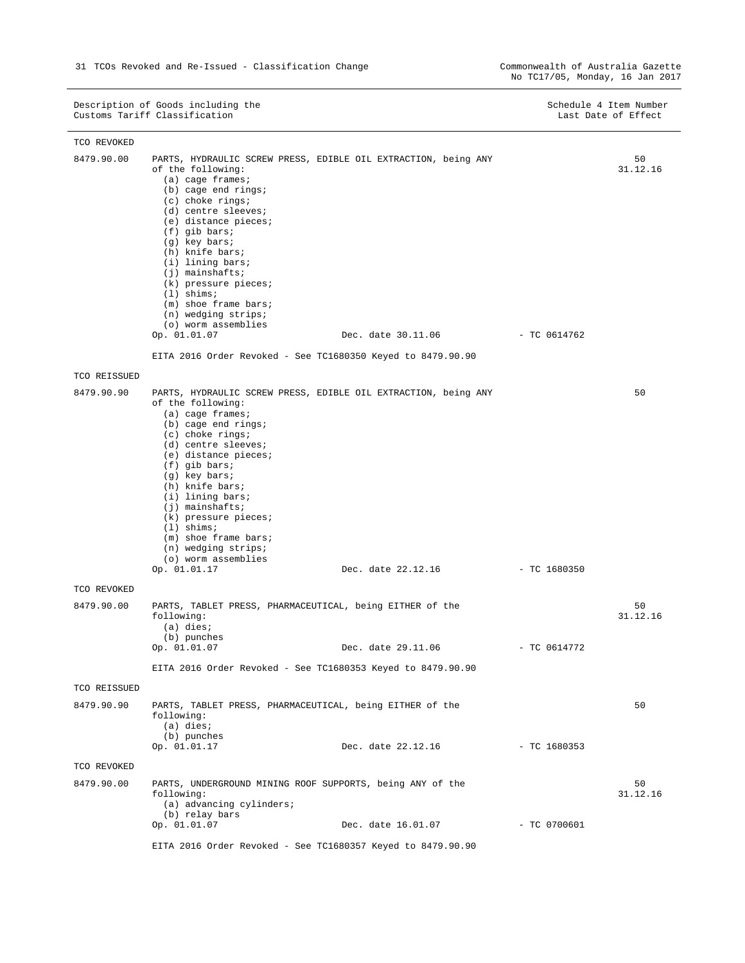|              | Description of Goods including the<br>Customs Tariff Classification                                                                                                                                                                                                                                                                                                   |                                                                                                                                               |                | Schedule 4 Item Number<br>Last Date of Effect |
|--------------|-----------------------------------------------------------------------------------------------------------------------------------------------------------------------------------------------------------------------------------------------------------------------------------------------------------------------------------------------------------------------|-----------------------------------------------------------------------------------------------------------------------------------------------|----------------|-----------------------------------------------|
| TCO REVOKED  |                                                                                                                                                                                                                                                                                                                                                                       |                                                                                                                                               |                |                                               |
| 8479.90.00   | of the following:<br>(a) cage frames;<br>$(b)$ cage end rings;<br>$(c)$ choke rings;<br>(d) centre sleeves;<br>(e) distance pieces;<br>$(f)$ gib bars;<br>(g) key bars;<br>(h) knife bars;<br>(i) lining bars;<br>$(j)$ mainshafts;<br>$(k)$ pressure pieces;<br>$(1)$ shims;<br>$(m)$ shoe frame bars;<br>(n) wedging strips;<br>(o) worm assemblies<br>Op. 01.01.07 | PARTS, HYDRAULIC SCREW PRESS, EDIBLE OIL EXTRACTION, being ANY<br>Dec. date 30.11.06                                                          | - TC 0614762   | 50<br>31.12.16                                |
|              |                                                                                                                                                                                                                                                                                                                                                                       | EITA 2016 Order Revoked - See TC1680350 Keyed to 8479.90.90                                                                                   |                |                                               |
| TCO REISSUED |                                                                                                                                                                                                                                                                                                                                                                       |                                                                                                                                               |                |                                               |
| 8479.90.90   | of the following:<br>(a) cage frames;<br>(b) cage end rings;<br>$(c)$ choke rings;<br>(d) centre sleeves;<br>(e) distance pieces;<br>$(f)$ gib bars;<br>(g) key bars;<br>(h) knife bars;<br>(i) lining bars;<br>$(j)$ mainshafts;<br>$(k)$ pressure pieces;<br>$(1)$ shims;<br>$(m)$ shoe frame bars;<br>(n) wedging strips;<br>(o) worm assemblies<br>Op. 01.01.17   | PARTS, HYDRAULIC SCREW PRESS, EDIBLE OIL EXTRACTION, being ANY<br>Dec. date 22.12.16                                                          | $-$ TC 1680350 | 50                                            |
| TCO REVOKED  |                                                                                                                                                                                                                                                                                                                                                                       |                                                                                                                                               |                |                                               |
| 8479.90.00   | following:<br>(a) dies;<br>(b) punches<br>Op. 01.01.07                                                                                                                                                                                                                                                                                                                | PARTS, TABLET PRESS, PHARMACEUTICAL, being EITHER of the<br>Dec. date 29.11.06<br>EITA 2016 Order Revoked - See TC1680353 Keyed to 8479.90.90 | $-$ TC 0614772 | 50<br>31.12.16                                |
| TCO REISSUED |                                                                                                                                                                                                                                                                                                                                                                       |                                                                                                                                               |                |                                               |
| 8479.90.90   | following:<br>(a) dies;<br>(b) punches<br>Op. 01.01.17                                                                                                                                                                                                                                                                                                                | PARTS, TABLET PRESS, PHARMACEUTICAL, being EITHER of the<br>Dec. date 22.12.16                                                                | - TC 1680353   | 50                                            |
| TCO REVOKED  |                                                                                                                                                                                                                                                                                                                                                                       |                                                                                                                                               |                |                                               |
| 8479.90.00   | following:<br>(a) advancing cylinders;<br>(b) relay bars<br>Op. 01.01.07                                                                                                                                                                                                                                                                                              | PARTS, UNDERGROUND MINING ROOF SUPPORTS, being ANY of the<br>Dec. date 16.01.07                                                               | $-$ TC 0700601 | 50<br>31.12.16                                |

EITA 2016 Order Revoked - See TC1680357 Keyed to 8479.90.90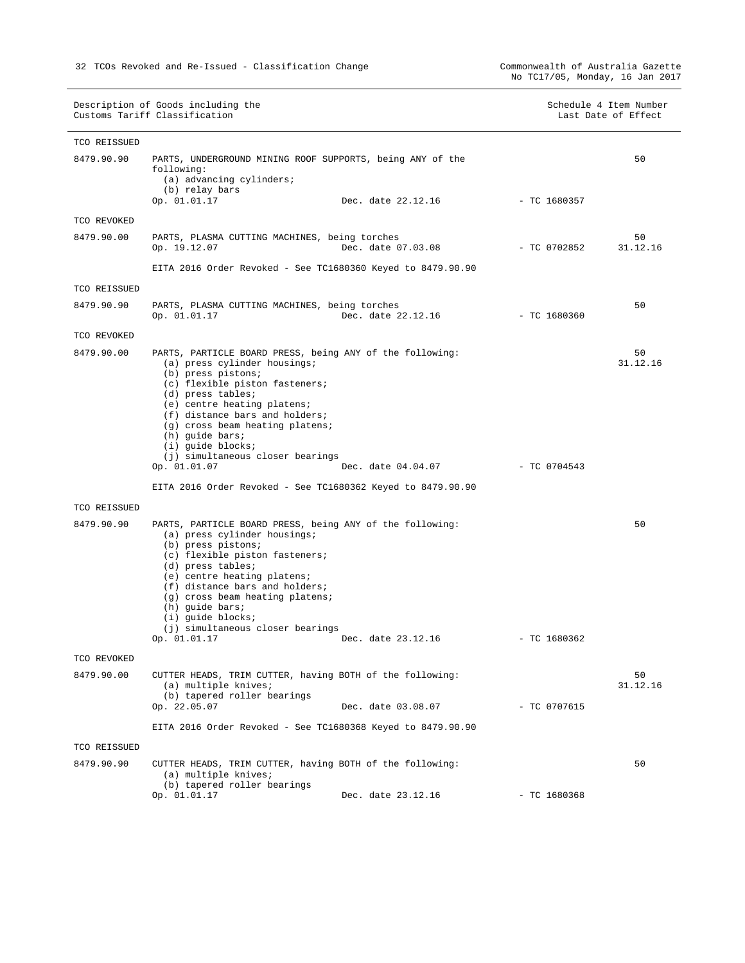|                           | Description of Goods including the<br>Customs Tariff Classification                                                                                                                                                                                                                                                                                                   |                    |                | Schedule 4 Item Number<br>Last Date of Effect |
|---------------------------|-----------------------------------------------------------------------------------------------------------------------------------------------------------------------------------------------------------------------------------------------------------------------------------------------------------------------------------------------------------------------|--------------------|----------------|-----------------------------------------------|
| TCO REISSUED              |                                                                                                                                                                                                                                                                                                                                                                       |                    |                |                                               |
| 8479.90.90                | PARTS, UNDERGROUND MINING ROOF SUPPORTS, being ANY of the<br>following:<br>(a) advancing cylinders;<br>(b) relay bars<br>Op. 01.01.17                                                                                                                                                                                                                                 | Dec. date 22.12.16 | - TC 1680357   | 50                                            |
| TCO REVOKED               |                                                                                                                                                                                                                                                                                                                                                                       |                    |                |                                               |
| 8479.90.00                | PARTS, PLASMA CUTTING MACHINES, being torches<br>Op. 19.12.07                                                                                                                                                                                                                                                                                                         | Dec. date 07.03.08 | - TC 0702852   | 50<br>31.12.16                                |
|                           | EITA 2016 Order Revoked - See TC1680360 Keyed to 8479.90.90                                                                                                                                                                                                                                                                                                           |                    |                |                                               |
| TCO REISSUED              |                                                                                                                                                                                                                                                                                                                                                                       |                    |                |                                               |
| 8479.90.90                | PARTS, PLASMA CUTTING MACHINES, being torches<br>Op. 01.01.17                                                                                                                                                                                                                                                                                                         | Dec. date 22.12.16 | - TC 1680360   | 50                                            |
| TCO REVOKED               |                                                                                                                                                                                                                                                                                                                                                                       |                    |                |                                               |
| 8479.90.00                | PARTS, PARTICLE BOARD PRESS, being ANY of the following:<br>(a) press cylinder housings;<br>(b) press pistons;<br>(c) flexible piston fasteners;<br>(d) press tables;<br>(e) centre heating platens;<br>(f) distance bars and holders;<br>(g) cross beam heating platens;<br>(h) guide bars;<br>(i) guide blocks;<br>(j) simultaneous closer bearings                 |                    |                | 50<br>31.12.16                                |
|                           | Op. 01.01.07                                                                                                                                                                                                                                                                                                                                                          | Dec. date 04.04.07 | - TC 0704543   |                                               |
|                           | EITA 2016 Order Revoked - See TC1680362 Keyed to 8479.90.90                                                                                                                                                                                                                                                                                                           |                    |                |                                               |
| TCO REISSUED              |                                                                                                                                                                                                                                                                                                                                                                       |                    |                |                                               |
| 8479.90.90                | PARTS, PARTICLE BOARD PRESS, being ANY of the following:<br>(a) press cylinder housings;<br>(b) press pistons;<br>(c) flexible piston fasteners;<br>(d) press tables;<br>(e) centre heating platens;<br>(f) distance bars and holders;<br>(g) cross beam heating platens;<br>(h) guide bars;<br>(i) guide blocks;<br>(j) simultaneous closer bearings<br>Op. 01.01.17 | Dec. date 23.12.16 | $-$ TC 1680362 | 50                                            |
|                           |                                                                                                                                                                                                                                                                                                                                                                       |                    |                |                                               |
| TCO REVOKED<br>8479.90.00 | CUTTER HEADS, TRIM CUTTER, having BOTH of the following:<br>(a) multiple knives;<br>(b) tapered roller bearings<br>Op. 22.05.07                                                                                                                                                                                                                                       | Dec. date 03.08.07 | $-$ TC 0707615 | 50<br>31.12.16                                |
|                           | EITA 2016 Order Revoked - See TC1680368 Keyed to 8479.90.90                                                                                                                                                                                                                                                                                                           |                    |                |                                               |
| TCO REISSUED              |                                                                                                                                                                                                                                                                                                                                                                       |                    |                |                                               |
| 8479.90.90                | CUTTER HEADS, TRIM CUTTER, having BOTH of the following:<br>(a) multiple knives;<br>(b) tapered roller bearings                                                                                                                                                                                                                                                       |                    |                | 50                                            |

Op. 01.01.17 Dec. date 23.12.16 - TC 1680368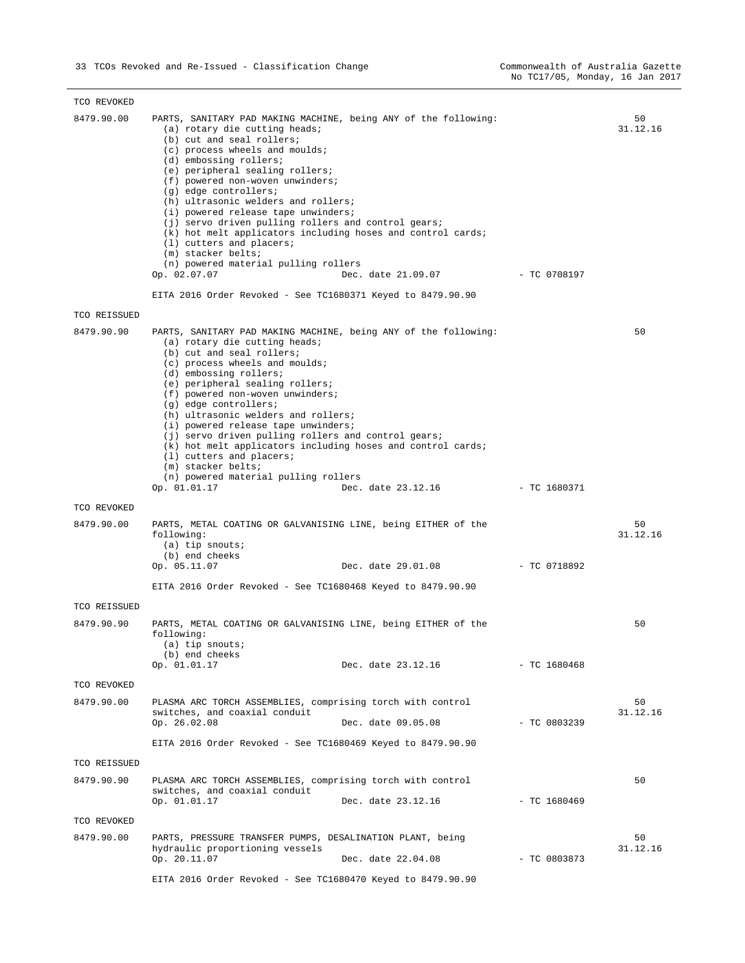| TCO REVOKED  |                                                                                                                                                                                                                                                                                                                                                                                                                                                                                                                                                                                                                                                                                                |                |                |
|--------------|------------------------------------------------------------------------------------------------------------------------------------------------------------------------------------------------------------------------------------------------------------------------------------------------------------------------------------------------------------------------------------------------------------------------------------------------------------------------------------------------------------------------------------------------------------------------------------------------------------------------------------------------------------------------------------------------|----------------|----------------|
| 8479.90.00   | PARTS, SANITARY PAD MAKING MACHINE, being ANY of the following:<br>(a) rotary die cutting heads;<br>(b) cut and seal rollers;<br>(c) process wheels and moulds;<br>(d) embossing rollers;<br>(e) peripheral sealing rollers;<br>(f) powered non-woven unwinders;<br>(g) edge controllers;<br>(h) ultrasonic welders and rollers;<br>(i) powered release tape unwinders;<br>(j) servo driven pulling rollers and control gears;<br>(k) hot melt applicators including hoses and control cards;<br>(1) cutters and placers;<br>$(m)$ stacker belts;<br>(n) powered material pulling rollers<br>Op. 02.07.07<br>Dec. date 21.09.07<br>EITA 2016 Order Revoked - See TC1680371 Keyed to 8479.90.90 | - TC 0708197   | 50<br>31.12.16 |
| TCO REISSUED |                                                                                                                                                                                                                                                                                                                                                                                                                                                                                                                                                                                                                                                                                                |                |                |
| 8479.90.90   | PARTS, SANITARY PAD MAKING MACHINE, being ANY of the following:<br>(a) rotary die cutting heads;<br>(b) cut and seal rollers;<br>(c) process wheels and moulds;<br>(d) embossing rollers;<br>(e) peripheral sealing rollers;<br>(f) powered non-woven unwinders;<br>(q) edge controllers;<br>(h) ultrasonic welders and rollers;<br>(i) powered release tape unwinders;<br>(j) servo driven pulling rollers and control gears;<br>(k) hot melt applicators including hoses and control cards;<br>(1) cutters and placers;<br>(m) stacker belts;<br>(n) powered material pulling rollers<br>Op. 01.01.17<br>Dec. date 23.12.16 - TC 1680371                                                     |                | 50             |
| TCO REVOKED  |                                                                                                                                                                                                                                                                                                                                                                                                                                                                                                                                                                                                                                                                                                |                |                |
| 8479.90.00   | PARTS, METAL COATING OR GALVANISING LINE, being EITHER of the<br>following:<br>$(a)$ tip snouts;<br>(b) end cheeks<br>Op. 05.11.07<br>Dec. date 29.01.08<br>EITA 2016 Order Revoked - See TC1680468 Keyed to 8479.90.90                                                                                                                                                                                                                                                                                                                                                                                                                                                                        | - TC 0718892   | 50<br>31.12.16 |
| TCO REISSUED |                                                                                                                                                                                                                                                                                                                                                                                                                                                                                                                                                                                                                                                                                                |                |                |
| 8479.90.90   | PARTS, METAL COATING OR GALVANISING LINE, being EITHER of the<br>following:<br>(a) tip snouts;<br>(b) end cheeks<br>Op. 01.01.17<br>Dec. date 23.12.16                                                                                                                                                                                                                                                                                                                                                                                                                                                                                                                                         | - TC 1680468   | 50             |
| TCO REVOKED  |                                                                                                                                                                                                                                                                                                                                                                                                                                                                                                                                                                                                                                                                                                |                |                |
| 8479.90.00   | PLASMA ARC TORCH ASSEMBLIES, comprising torch with control<br>switches, and coaxial conduit<br>Op. 26.02.08<br>Dec. date 09.05.08<br>EITA 2016 Order Revoked - See TC1680469 Keyed to 8479.90.90                                                                                                                                                                                                                                                                                                                                                                                                                                                                                               | - TC 0803239   | 50<br>31.12.16 |
| TCO REISSUED |                                                                                                                                                                                                                                                                                                                                                                                                                                                                                                                                                                                                                                                                                                |                |                |
| 8479.90.90   | PLASMA ARC TORCH ASSEMBLIES, comprising torch with control<br>switches, and coaxial conduit<br>Op. 01.01.17<br>Dec. date 23.12.16                                                                                                                                                                                                                                                                                                                                                                                                                                                                                                                                                              | - TC 1680469   | 50             |
| TCO REVOKED  |                                                                                                                                                                                                                                                                                                                                                                                                                                                                                                                                                                                                                                                                                                |                |                |
| 8479.90.00   | PARTS, PRESSURE TRANSFER PUMPS, DESALINATION PLANT, being<br>hydraulic proportioning vessels<br>Op. 20.11.07<br>Dec. date 22.04.08                                                                                                                                                                                                                                                                                                                                                                                                                                                                                                                                                             | $-$ TC 0803873 | 50<br>31.12.16 |
|              | EITA 2016 Order Revoked - See TC1680470 Keyed to 8479.90.90                                                                                                                                                                                                                                                                                                                                                                                                                                                                                                                                                                                                                                    |                |                |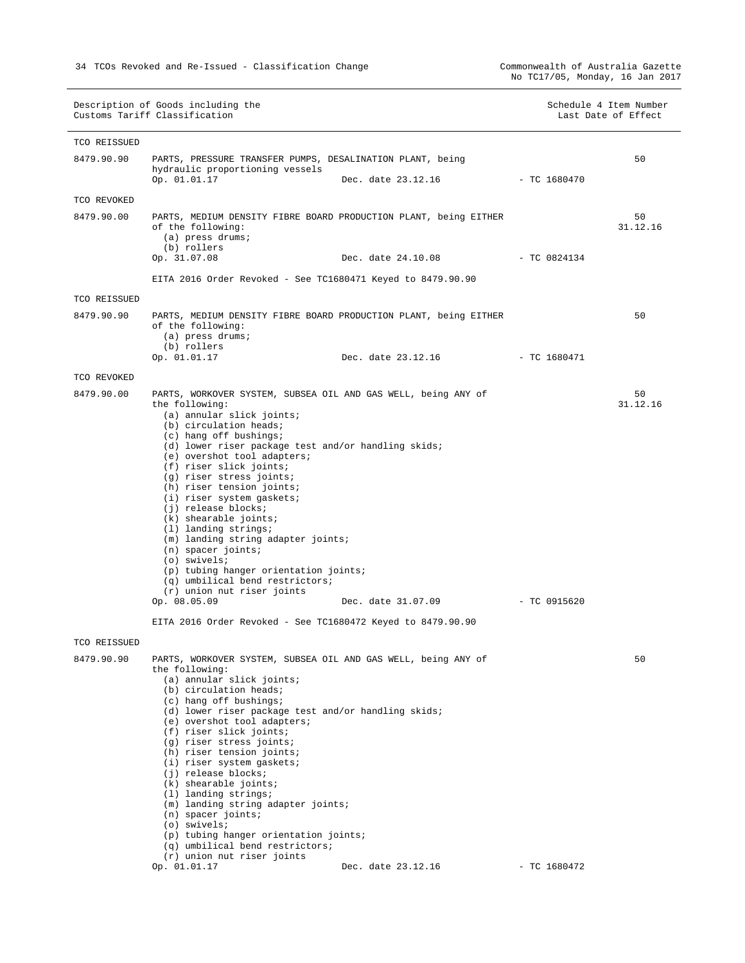|                            | Description of Goods including the<br>Customs Tariff Classification                                                                                                                                                                                                                                                                                                                                                                                                                                                                                                                                                                                         |                                 |                | Schedule 4 Item Number<br>Last Date of Effect |
|----------------------------|-------------------------------------------------------------------------------------------------------------------------------------------------------------------------------------------------------------------------------------------------------------------------------------------------------------------------------------------------------------------------------------------------------------------------------------------------------------------------------------------------------------------------------------------------------------------------------------------------------------------------------------------------------------|---------------------------------|----------------|-----------------------------------------------|
| TCO REISSUED               |                                                                                                                                                                                                                                                                                                                                                                                                                                                                                                                                                                                                                                                             |                                 |                |                                               |
| 8479.90.90                 | PARTS, PRESSURE TRANSFER PUMPS, DESALINATION PLANT, being<br>hydraulic proportioning vessels<br>Op. 01.01.17                                                                                                                                                                                                                                                                                                                                                                                                                                                                                                                                                | Dec. date 23.12.16              | - TC 1680470   | 50                                            |
| TCO REVOKED                |                                                                                                                                                                                                                                                                                                                                                                                                                                                                                                                                                                                                                                                             |                                 |                |                                               |
| 8479.90.00                 | PARTS, MEDIUM DENSITY FIBRE BOARD PRODUCTION PLANT, being EITHER<br>of the following:<br>(a) press drums;<br>(b) rollers<br>Op. 31.07.08                                                                                                                                                                                                                                                                                                                                                                                                                                                                                                                    | Dec. date 24.10.08 - TC 0824134 |                | 50<br>31.12.16                                |
|                            | EITA 2016 Order Revoked - See TC1680471 Keyed to 8479.90.90                                                                                                                                                                                                                                                                                                                                                                                                                                                                                                                                                                                                 |                                 |                |                                               |
|                            |                                                                                                                                                                                                                                                                                                                                                                                                                                                                                                                                                                                                                                                             |                                 |                |                                               |
| TCO REISSUED<br>8479.90.90 | PARTS, MEDIUM DENSITY FIBRE BOARD PRODUCTION PLANT, being EITHER<br>of the following:<br>(a) press drums;<br>(b) rollers<br>Op. 01.01.17                                                                                                                                                                                                                                                                                                                                                                                                                                                                                                                    | Dec. date 23.12.16              | $-$ TC 1680471 | 50                                            |
| TCO REVOKED                |                                                                                                                                                                                                                                                                                                                                                                                                                                                                                                                                                                                                                                                             |                                 |                |                                               |
| 8479.90.00                 | PARTS, WORKOVER SYSTEM, SUBSEA OIL AND GAS WELL, being ANY of<br>the following:<br>(a) annular slick joints;<br>(b) circulation heads;<br>(c) hang off bushings;<br>(d) lower riser package test and/or handling skids;<br>(e) overshot tool adapters;<br>(f) riser slick joints;<br>(g) riser stress joints;<br>(h) riser tension joints;<br>(i) riser system gaskets;<br>(j) release blocks;<br>$(k)$ shearable joints;<br>(1) landing strings;<br>(m) landing string adapter joints;<br>$(n)$ spacer joints;<br>$(o)$ swivels;<br>(p) tubing hanger orientation joints;<br>(q) umbilical bend restrictors;<br>(r) union nut riser joints<br>Op. 08.05.09 | Dec. date 31.07.09              | $-$ TC 0915620 | 50<br>31.12.16                                |
|                            | EITA 2016 Order Revoked - See TC1680472 Keyed to 8479.90.90                                                                                                                                                                                                                                                                                                                                                                                                                                                                                                                                                                                                 |                                 |                |                                               |
| TCO REISSUED<br>8479.90.90 | PARTS, WORKOVER SYSTEM, SUBSEA OIL AND GAS WELL, being ANY of<br>the following:<br>(a) annular slick joints;<br>(b) circulation heads;<br>(c) hang off bushings;<br>(d) lower riser package test and/or handling skids;<br>(e) overshot tool adapters;<br>(f) riser slick joints;<br>(g) riser stress joints;<br>(h) riser tension joints;<br>(i) riser system gaskets;<br>(j) release blocks;<br>$(k)$ shearable joints;<br>(1) landing strings;<br>(m) landing string adapter joints;<br>$(n)$ spacer joints;<br>(o) swivels;<br>(p) tubing hanger orientation joints;<br>(q) umbilical bend restrictors;<br>(r) union nut riser joints                   |                                 |                | 50                                            |
|                            | Op. 01.01.17                                                                                                                                                                                                                                                                                                                                                                                                                                                                                                                                                                                                                                                | Dec. date 23.12.16              | $-$ TC 1680472 |                                               |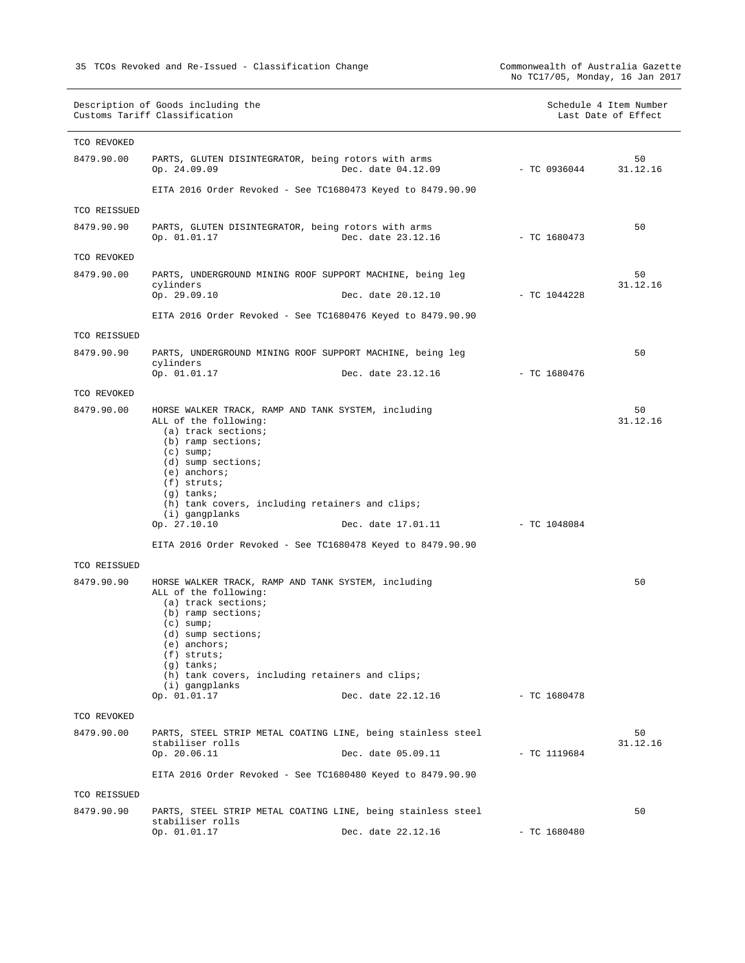No TC17/05, Monday, 16 Jan 2017

| Description of Goods including the | Schedule 4 Item Number |  |
|------------------------------------|------------------------|--|
| Customs Tariff Classification      | Last Date of Effect    |  |

|  |  | Schedule 4 Item Number |
|--|--|------------------------|
|  |  | Last Date of Effect    |

| TCO REVOKED  |                                                                                                                                                                                                                                                                                                          |                                                                                    |                |                |
|--------------|----------------------------------------------------------------------------------------------------------------------------------------------------------------------------------------------------------------------------------------------------------------------------------------------------------|------------------------------------------------------------------------------------|----------------|----------------|
| 8479.90.00   | PARTS, GLUTEN DISINTEGRATOR, being rotors with arms<br>Op. 24.09.09                                                                                                                                                                                                                                      | Dec. date 04.12.09                                                                 | $-$ TC 0936044 | 50<br>31.12.16 |
|              |                                                                                                                                                                                                                                                                                                          | EITA 2016 Order Revoked - See TC1680473 Keyed to 8479.90.90                        |                |                |
| TCO REISSUED |                                                                                                                                                                                                                                                                                                          |                                                                                    |                |                |
| 8479.90.90   | PARTS, GLUTEN DISINTEGRATOR, being rotors with arms<br>Op. 01.01.17                                                                                                                                                                                                                                      | Dec. date 23.12.16                                                                 | $-$ TC 1680473 | 50             |
| TCO REVOKED  |                                                                                                                                                                                                                                                                                                          |                                                                                    |                |                |
| 8479.90.00   | cylinders                                                                                                                                                                                                                                                                                                | PARTS, UNDERGROUND MINING ROOF SUPPORT MACHINE, being leg                          |                | 50<br>31.12.16 |
|              | Op. 29.09.10                                                                                                                                                                                                                                                                                             | Dec. date 20.12.10                                                                 | $-$ TC 1044228 |                |
|              |                                                                                                                                                                                                                                                                                                          | EITA 2016 Order Revoked - See TC1680476 Keyed to 8479.90.90                        |                |                |
| TCO REISSUED |                                                                                                                                                                                                                                                                                                          |                                                                                    |                |                |
| 8479.90.90   | cylinders                                                                                                                                                                                                                                                                                                | PARTS, UNDERGROUND MINING ROOF SUPPORT MACHINE, being leg                          |                | 50             |
|              | Op. 01.01.17                                                                                                                                                                                                                                                                                             | Dec. date 23.12.16                                                                 | $-$ TC 1680476 |                |
| TCO REVOKED  |                                                                                                                                                                                                                                                                                                          |                                                                                    |                |                |
| 8479.90.00   | HORSE WALKER TRACK, RAMP AND TANK SYSTEM, including<br>ALL of the following:<br>(a) track sections;<br>(b) ramp sections;<br>$(c)$ sump;<br>$(d)$ sump sections;<br>$(e)$ anchors;<br>$(f)$ struts;<br>(g) tanks;<br>(h) tank covers, including retainers and clips;<br>(i) gangplanks<br>Op. 27.10.10   | Dec. date 17.01.11<br>EITA 2016 Order Revoked - See TC1680478 Keyed to 8479.90.90  | - TC 1048084   | 50<br>31.12.16 |
| TCO REISSUED |                                                                                                                                                                                                                                                                                                          |                                                                                    |                |                |
| 8479.90.90   | HORSE WALKER TRACK, RAMP AND TANK SYSTEM, including<br>ALL of the following:<br>(a) track sections;<br>(b) ramp sections;<br>$(c)$ sump;<br>$(d)$ sump sections;<br>$(e)$ anchors;<br>$(f)$ struts;<br>$(g)$ tanks;<br>(h) tank covers, including retainers and clips;<br>(i) gangplanks<br>Op. 01.01.17 | Dec. date 22.12.16                                                                 | $-$ TC 1680478 | 50             |
| TCO REVOKED  |                                                                                                                                                                                                                                                                                                          |                                                                                    |                |                |
| 8479.90.00   | stabiliser rolls                                                                                                                                                                                                                                                                                         | PARTS, STEEL STRIP METAL COATING LINE, being stainless steel                       |                | 50<br>31.12.16 |
|              | Op. 20.06.11                                                                                                                                                                                                                                                                                             | Dec. date 05.09.11                                                                 | $-$ TC 1119684 |                |
|              |                                                                                                                                                                                                                                                                                                          | EITA 2016 Order Revoked - See TC1680480 Keyed to 8479.90.90                        |                |                |
| TCO REISSUED |                                                                                                                                                                                                                                                                                                          |                                                                                    |                |                |
| 8479.90.90   | stabiliser rolls<br>Op. 01.01.17                                                                                                                                                                                                                                                                         | PARTS, STEEL STRIP METAL COATING LINE, being stainless steel<br>Dec. date 22.12.16 | $-$ TC 1680480 | 50             |
|              |                                                                                                                                                                                                                                                                                                          |                                                                                    |                |                |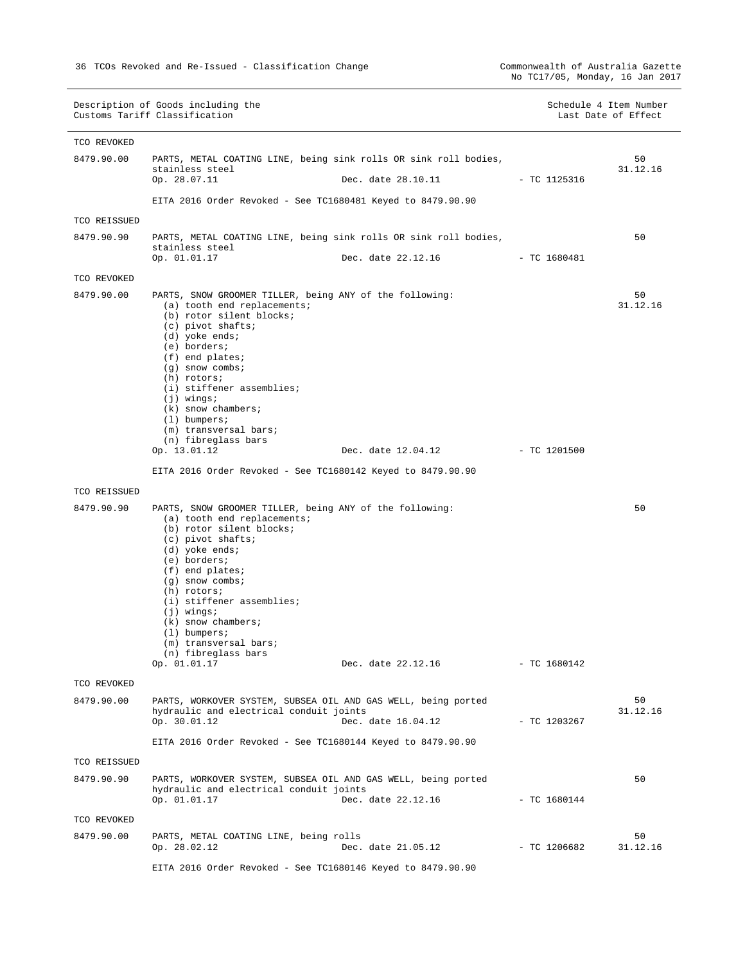| TCO REVOKED<br>8479.90.00<br>PARTS, METAL COATING LINE, being sink rolls OR sink roll bodies,<br>stainless steel<br>Op. 28.07.11<br>Dec. date 28.10.11<br>EITA 2016 Order Revoked - See TC1680481 Keyed to 8479.90.90<br>TCO REISSUED                                                                                                                                                                                         | $-$ TC 1125316 | 50<br>31.12.16 |
|-------------------------------------------------------------------------------------------------------------------------------------------------------------------------------------------------------------------------------------------------------------------------------------------------------------------------------------------------------------------------------------------------------------------------------|----------------|----------------|
|                                                                                                                                                                                                                                                                                                                                                                                                                               |                |                |
|                                                                                                                                                                                                                                                                                                                                                                                                                               |                |                |
|                                                                                                                                                                                                                                                                                                                                                                                                                               |                |                |
|                                                                                                                                                                                                                                                                                                                                                                                                                               |                |                |
|                                                                                                                                                                                                                                                                                                                                                                                                                               |                |                |
| 8479.90.90<br>PARTS, METAL COATING LINE, being sink rolls OR sink roll bodies,<br>stainless steel                                                                                                                                                                                                                                                                                                                             |                | 50             |
| Op. 01.01.17<br>Dec. date 22.12.16                                                                                                                                                                                                                                                                                                                                                                                            | $-$ TC 1680481 |                |
| TCO REVOKED                                                                                                                                                                                                                                                                                                                                                                                                                   |                |                |
| 8479.90.00<br>PARTS, SNOW GROOMER TILLER, being ANY of the following:<br>(a) tooth end replacements;<br>(b) rotor silent blocks;<br>(c) pivot shafts;<br>(d) yoke ends;<br>(e) borders;<br>$(f)$ end plates;<br>$(g)$ snow combs;<br>(h) rotors;<br>(i) stiffener assemblies;<br>$(j)$ wings;<br>$(k)$ snow chambers;<br>$(1)$ bumpers;<br>(m) transversal bars;<br>(n) fibreglass bars<br>Op. 13.01.12<br>Dec. date 12.04.12 | $-$ TC 1201500 | 50<br>31.12.16 |
| EITA 2016 Order Revoked - See TC1680142 Keyed to 8479.90.90                                                                                                                                                                                                                                                                                                                                                                   |                |                |
| TCO REISSUED                                                                                                                                                                                                                                                                                                                                                                                                                  |                |                |
| 8479.90.90<br>PARTS, SNOW GROOMER TILLER, being ANY of the following:<br>(a) tooth end replacements;<br>(b) rotor silent blocks;<br>(c) pivot shafts;<br>(d) yoke ends;<br>(e) borders;<br>$(f)$ end plates;<br>$(g)$ snow combs;<br>(h) rotors;<br>(i) stiffener assemblies;<br>$(j)$ wings;<br>$(k)$ snow chambers;<br>$(1)$ bumpers;<br>(m) transversal bars;<br>(n) fibreglass bars<br>Op. 01.01.17<br>Dec. date 22.12.16 | $-$ TC 1680142 | 50             |
| TCO REVOKED                                                                                                                                                                                                                                                                                                                                                                                                                   |                |                |
| 8479.90.00<br>PARTS, WORKOVER SYSTEM, SUBSEA OIL AND GAS WELL, being ported<br>hydraulic and electrical conduit joints<br>Op. 30.01.12<br>Dec. date 16.04.12                                                                                                                                                                                                                                                                  | $-$ TC 1203267 | 50<br>31.12.16 |
| EITA 2016 Order Revoked - See TC1680144 Keyed to 8479.90.90                                                                                                                                                                                                                                                                                                                                                                   |                |                |
| TCO REISSUED                                                                                                                                                                                                                                                                                                                                                                                                                  |                |                |
| 8479.90.90<br>PARTS, WORKOVER SYSTEM, SUBSEA OIL AND GAS WELL, being ported<br>hydraulic and electrical conduit joints<br>Op. 01.01.17<br>Dec. date 22.12.16                                                                                                                                                                                                                                                                  | - TC 1680144   | 50             |
| TCO REVOKED                                                                                                                                                                                                                                                                                                                                                                                                                   |                |                |
| 8479.90.00<br>PARTS, METAL COATING LINE, being rolls<br>Op. 28.02.12<br>Dec. date 21.05.12                                                                                                                                                                                                                                                                                                                                    | $-$ TC 1206682 | 50<br>31.12.16 |

EITA 2016 Order Revoked - See TC1680146 Keyed to 8479.90.90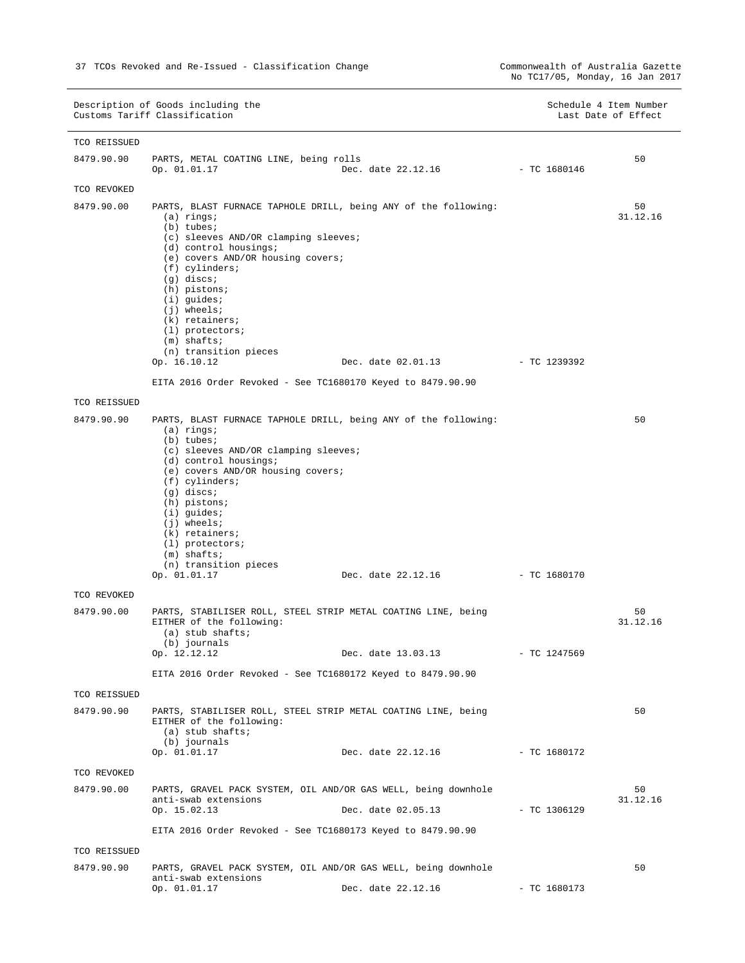Description of Goods including the Schedule 4 Item Number (Units of Schedule 4 Item Number Customs Tariff Classification Customs Tariff Classification TCO REISSUED 8479.90.90 PARTS, METAL COATING LINE, being rolls<br>Op. 01.01.17 Dec. Dec. date 22.12.16 - TC 1680146 50 TCO REVOKED 8479.90.00 PARTS, BLAST FURNACE TAPHOLE DRILL, being ANY of the following: (a) rings; (b) tubes; (c) sleeves AND/OR clamping sleeves; (d) control housings; (e) covers AND/OR housing covers; (f) cylinders; (g) discs; (h) pistons; (i) guides; (j) wheels; (k) retainers; (l) protectors;  $(m)$  shafts; (n) transition pieces Dec. date 02.01.13 - TC 1239392 EITA 2016 Order Revoked - See TC1680170 Keyed to 8479.90.90 50 31.12.16 TCO REISSUED 8479.90.90 PARTS, BLAST FURNACE TAPHOLE DRILL, being ANY of the following: (a) rings; (b) tubes; (c) sleeves AND/OR clamping sleeves; (d) control housings; (e) covers AND/OR housing covers; (f) cylinders; (g) discs; (h) pistons; (i) guides; (j) wheels; (k) retainers; (l) protectors; (m) shafts; (n) transition pieces<br>Op. 01.01.17 Dec. date 22.12.16 - TC 1680170 50 TCO REVOKED 8479.90.00 PARTS, STABILISER ROLL, STEEL STRIP METAL COATING LINE, being EITHER of the following: (a) stub shafts; (b) journals<br>Op.  $12.12.12$ Dec. date 13.03.13 - TC 1247569 EITA 2016 Order Revoked - See TC1680172 Keyed to 8479.90.90  $50$ 31.12.16 TCO REISSUED 8479.90.90 PARTS, STABILISER ROLL, STEEL STRIP METAL COATING LINE, being EITHER of the following: (a) stub shafts; (b) journals<br>Op. 01.01.17 Dec. date 22.12.16 - TC 1680172 50 TCO REVOKED 8479.90.00 PARTS, GRAVEL PACK SYSTEM, OIL AND/OR GAS WELL, being downhole anti-swab extensions<br>Op. 15.02.13 Dec. date 02.05.13 - TC 1306129 EITA 2016 Order Revoked - See TC1680173 Keyed to 8479.90.90 50 31.12.16 TCO REISSUED 8479.90.90 PARTS, GRAVEL PACK SYSTEM, OIL AND/OR GAS WELL, being downhole 50

anti-swab extensions<br>Op. 01.01.17 Dec. date 22.12.16 - TC 1680173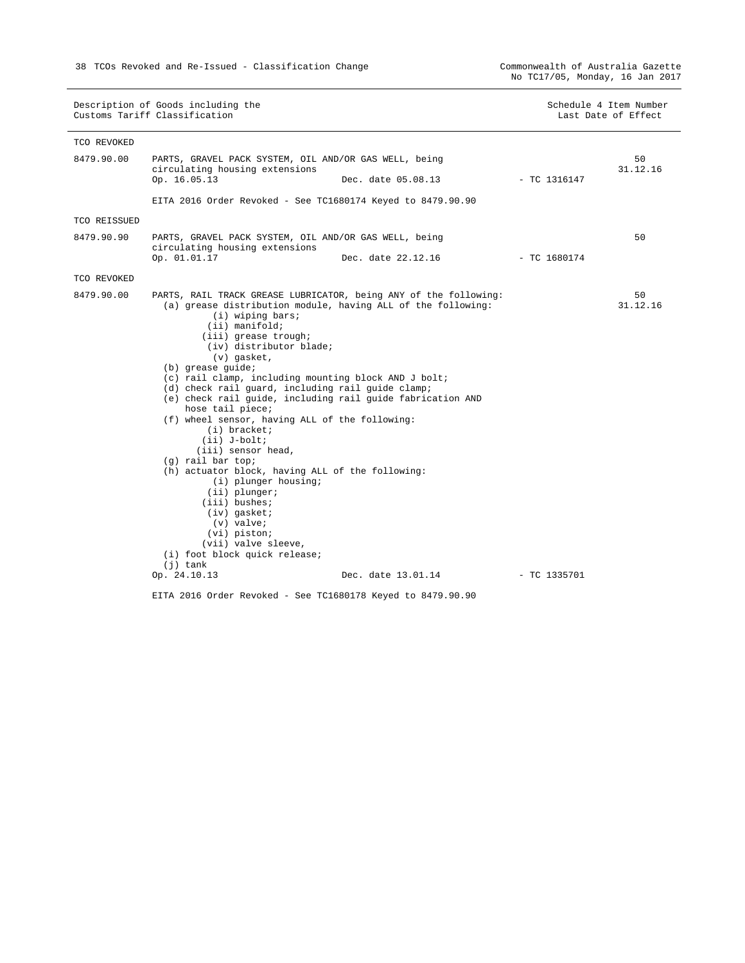$\overline{\phantom{a}}$ 

|              | Description of Goods including the<br>Customs Tariff Classification                                                                                                                                                                                                                                                                                                                                                                                                                                                                                                                                                                                                                                                                                                                                                                         |                    |                | Schedule 4 Item Number<br>Last Date of Effect |
|--------------|---------------------------------------------------------------------------------------------------------------------------------------------------------------------------------------------------------------------------------------------------------------------------------------------------------------------------------------------------------------------------------------------------------------------------------------------------------------------------------------------------------------------------------------------------------------------------------------------------------------------------------------------------------------------------------------------------------------------------------------------------------------------------------------------------------------------------------------------|--------------------|----------------|-----------------------------------------------|
| TCO REVOKED  |                                                                                                                                                                                                                                                                                                                                                                                                                                                                                                                                                                                                                                                                                                                                                                                                                                             |                    |                |                                               |
| 8479.90.00   | PARTS, GRAVEL PACK SYSTEM, OIL AND/OR GAS WELL, being<br>circulating housing extensions<br>Op. 16.05.13                                                                                                                                                                                                                                                                                                                                                                                                                                                                                                                                                                                                                                                                                                                                     | Dec. date 05.08.13 | - TC 1316147   | 50<br>31.12.16                                |
|              | EITA 2016 Order Revoked - See TC1680174 Keyed to 8479.90.90                                                                                                                                                                                                                                                                                                                                                                                                                                                                                                                                                                                                                                                                                                                                                                                 |                    |                |                                               |
| TCO REISSUED |                                                                                                                                                                                                                                                                                                                                                                                                                                                                                                                                                                                                                                                                                                                                                                                                                                             |                    |                |                                               |
| 8479.90.90   | PARTS, GRAVEL PACK SYSTEM, OIL AND/OR GAS WELL, being<br>circulating housing extensions<br>Op. 01.01.17                                                                                                                                                                                                                                                                                                                                                                                                                                                                                                                                                                                                                                                                                                                                     | Dec. date 22.12.16 | $-$ TC 1680174 | 50                                            |
|              |                                                                                                                                                                                                                                                                                                                                                                                                                                                                                                                                                                                                                                                                                                                                                                                                                                             |                    |                |                                               |
| TCO REVOKED  |                                                                                                                                                                                                                                                                                                                                                                                                                                                                                                                                                                                                                                                                                                                                                                                                                                             |                    |                |                                               |
| 8479.90.00   | PARTS, RAIL TRACK GREASE LUBRICATOR, being ANY of the following:<br>(a) grease distribution module, having ALL of the following:<br>(i) wiping bars;<br>$(i)$ manifold;<br>(iii) grease trough;<br>(iv) distributor blade;<br>(v) gasket,<br>(b) grease guide;<br>(c) rail clamp, including mounting block AND J bolt;<br>(d) check rail guard, including rail guide clamp;<br>(e) check rail guide, including rail guide fabrication AND<br>hose tail piece;<br>(f) wheel sensor, having ALL of the following:<br>$(i)$ bracket;<br>$(iii)$ J-bolt;<br>(iii) sensor head,<br>$(g)$ rail bar top;<br>(h) actuator block, having ALL of the following:<br>(i) plunger housing;<br>$(ii)$ plunger;<br>(iii) bushes;<br>$(iv)$ gasket;<br>$(v)$ valve;<br>$(vi)$ piston;<br>(vii) valve sleeve,<br>(i) foot block quick release;<br>$(j)$ tank |                    |                | 50<br>31.12.16                                |
|              | Op. 24.10.13                                                                                                                                                                                                                                                                                                                                                                                                                                                                                                                                                                                                                                                                                                                                                                                                                                | Dec. date 13.01.14 | $-$ TC 1335701 |                                               |
|              | EITA 2016 Order Revoked - See TC1680178 Keyed to 8479.90.90                                                                                                                                                                                                                                                                                                                                                                                                                                                                                                                                                                                                                                                                                                                                                                                 |                    |                |                                               |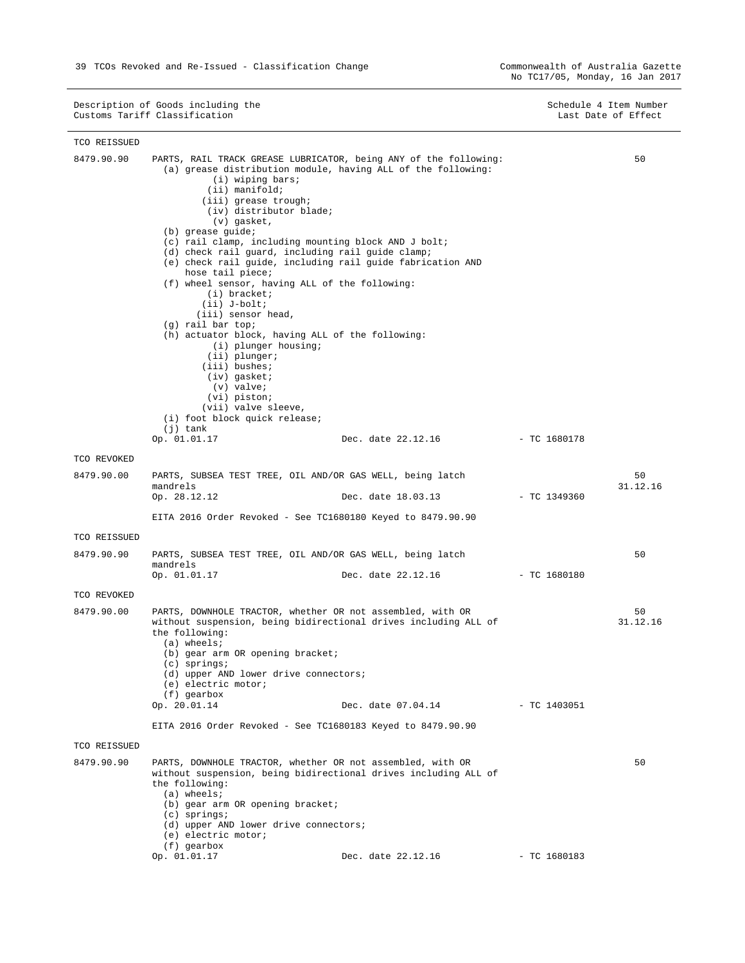| TCO REISSUED |                                                                                                                                                                                                                                                                                                                                                                                                                                                                                                                                                                                                                                                                                                                                                                                                                                                      |                    |                |                |
|--------------|------------------------------------------------------------------------------------------------------------------------------------------------------------------------------------------------------------------------------------------------------------------------------------------------------------------------------------------------------------------------------------------------------------------------------------------------------------------------------------------------------------------------------------------------------------------------------------------------------------------------------------------------------------------------------------------------------------------------------------------------------------------------------------------------------------------------------------------------------|--------------------|----------------|----------------|
| 8479.90.90   | PARTS, RAIL TRACK GREASE LUBRICATOR, being ANY of the following:<br>(a) grease distribution module, having ALL of the following:<br>(i) wiping bars;<br>$(i)$ manifold;<br>(iii) grease trough;<br>(iv) distributor blade;<br>$(v)$ gasket,<br>(b) grease guide;<br>(c) rail clamp, including mounting block AND J bolt;<br>(d) check rail guard, including rail guide clamp;<br>(e) check rail guide, including rail guide fabrication AND<br>hose tail piece;<br>(f) wheel sensor, having ALL of the following:<br>$(i)$ bracket;<br>(ii) J-bolt;<br>(iii) sensor head,<br>(g) rail bar top;<br>(h) actuator block, having ALL of the following:<br>(i) plunger housing;<br>$(ii)$ plunger;<br>(iii) bushes;<br>(iv) gasket;<br>$(v)$ valve;<br>(vi) piston;<br>(vii) valve sleeve,<br>(i) foot block quick release;<br>$(j)$ tank<br>Op. 01.01.17 | Dec. date 22.12.16 | - TC 1680178   | 50             |
| TCO REVOKED  |                                                                                                                                                                                                                                                                                                                                                                                                                                                                                                                                                                                                                                                                                                                                                                                                                                                      |                    |                |                |
| 8479.90.00   | PARTS, SUBSEA TEST TREE, OIL AND/OR GAS WELL, being latch<br>mandrels<br>Op. 28.12.12<br>EITA 2016 Order Revoked - See TC1680180 Keyed to 8479.90.90                                                                                                                                                                                                                                                                                                                                                                                                                                                                                                                                                                                                                                                                                                 | Dec. date 18.03.13 | - TC 1349360   | 50<br>31.12.16 |
|              |                                                                                                                                                                                                                                                                                                                                                                                                                                                                                                                                                                                                                                                                                                                                                                                                                                                      |                    |                |                |
| TCO REISSUED |                                                                                                                                                                                                                                                                                                                                                                                                                                                                                                                                                                                                                                                                                                                                                                                                                                                      |                    |                |                |
| 8479.90.90   | PARTS, SUBSEA TEST TREE, OIL AND/OR GAS WELL, being latch<br>mandrels<br>Op. 01.01.17                                                                                                                                                                                                                                                                                                                                                                                                                                                                                                                                                                                                                                                                                                                                                                | Dec. date 22.12.16 | - TC 1680180   | 50             |
| TCO REVOKED  |                                                                                                                                                                                                                                                                                                                                                                                                                                                                                                                                                                                                                                                                                                                                                                                                                                                      |                    |                |                |
| 8479.90.00   | PARTS, DOWNHOLE TRACTOR, whether OR not assembled, with OR<br>without suspension, being bidirectional drives including ALL of<br>the following:<br>$(a)$ wheels;<br>(b) gear arm OR opening bracket;<br>$(c)$ springs;<br>(d) upper AND lower drive connectors;<br>(e) electric motor;<br>(f) gearbox<br>Op. 20.01.14                                                                                                                                                                                                                                                                                                                                                                                                                                                                                                                                | Dec. date 07.04.14 | $-$ TC 1403051 | 50<br>31.12.16 |
|              |                                                                                                                                                                                                                                                                                                                                                                                                                                                                                                                                                                                                                                                                                                                                                                                                                                                      |                    |                |                |
|              | EITA 2016 Order Revoked - See TC1680183 Keyed to 8479.90.90                                                                                                                                                                                                                                                                                                                                                                                                                                                                                                                                                                                                                                                                                                                                                                                          |                    |                |                |
| TCO REISSUED |                                                                                                                                                                                                                                                                                                                                                                                                                                                                                                                                                                                                                                                                                                                                                                                                                                                      |                    |                |                |
| 8479.90.90   | PARTS, DOWNHOLE TRACTOR, whether OR not assembled, with OR<br>without suspension, being bidirectional drives including ALL of<br>the following:<br>$(a)$ wheels;<br>(b) gear arm OR opening bracket;<br>$(c)$ springs;<br>(d) upper AND lower drive connectors;<br>(e) electric motor;<br>$(f)$ gearbox<br>Op. 01.01.17                                                                                                                                                                                                                                                                                                                                                                                                                                                                                                                              | Dec. date 22.12.16 | $-$ TC 1680183 | 50             |
|              |                                                                                                                                                                                                                                                                                                                                                                                                                                                                                                                                                                                                                                                                                                                                                                                                                                                      |                    |                |                |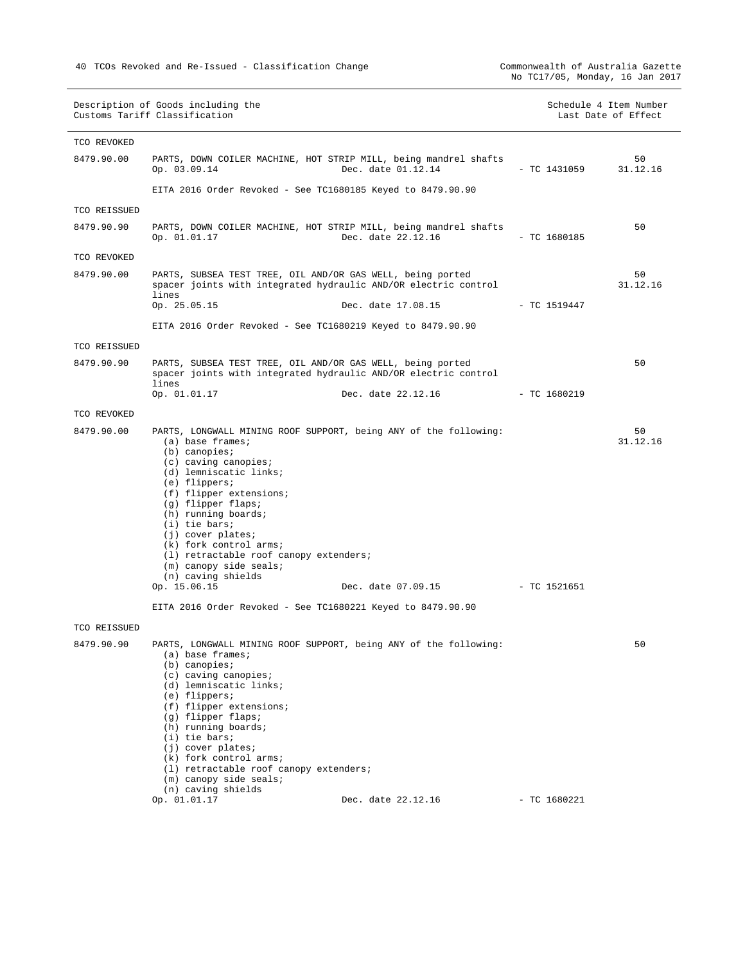| Description of Goods including the | Schedule 4 Item Number |
|------------------------------------|------------------------|
| Customs Tariff Classification      | Last Date of Effect    |

| TCO REVOKED  |                                                                                                                                                                                                                                                                                                                                                                                                                               |                                                                                        |                |                |
|--------------|-------------------------------------------------------------------------------------------------------------------------------------------------------------------------------------------------------------------------------------------------------------------------------------------------------------------------------------------------------------------------------------------------------------------------------|----------------------------------------------------------------------------------------|----------------|----------------|
| 8479.90.00   | Op. 03.09.14                                                                                                                                                                                                                                                                                                                                                                                                                  | PARTS, DOWN COILER MACHINE, HOT STRIP MILL, being mandrel shafts<br>Dec. date 01.12.14 | $-$ TC 1431059 | 50<br>31.12.16 |
|              | EITA 2016 Order Revoked - See TC1680185 Keyed to 8479.90.90                                                                                                                                                                                                                                                                                                                                                                   |                                                                                        |                |                |
| TCO REISSUED |                                                                                                                                                                                                                                                                                                                                                                                                                               |                                                                                        |                |                |
| 8479.90.90   | Op. 01.01.17                                                                                                                                                                                                                                                                                                                                                                                                                  | PARTS, DOWN COILER MACHINE, HOT STRIP MILL, being mandrel shafts<br>Dec. date 22.12.16 | - TC 1680185   | 50             |
| TCO REVOKED  |                                                                                                                                                                                                                                                                                                                                                                                                                               |                                                                                        |                |                |
| 8479.90.00   | PARTS, SUBSEA TEST TREE, OIL AND/OR GAS WELL, being ported<br>lines                                                                                                                                                                                                                                                                                                                                                           | spacer joints with integrated hydraulic AND/OR electric control                        |                | 50<br>31.12.16 |
|              | Op. 25.05.15                                                                                                                                                                                                                                                                                                                                                                                                                  | Dec. date 17.08.15                                                                     | - TC 1519447   |                |
|              | EITA 2016 Order Revoked - See TC1680219 Keyed to 8479.90.90                                                                                                                                                                                                                                                                                                                                                                   |                                                                                        |                |                |
| TCO REISSUED |                                                                                                                                                                                                                                                                                                                                                                                                                               |                                                                                        |                |                |
| 8479.90.90   | PARTS, SUBSEA TEST TREE, OIL AND/OR GAS WELL, being ported<br>lines                                                                                                                                                                                                                                                                                                                                                           | spacer joints with integrated hydraulic AND/OR electric control                        |                | 50             |
|              | Op. 01.01.17                                                                                                                                                                                                                                                                                                                                                                                                                  | Dec. date 22.12.16                                                                     | - TC 1680219   |                |
| TCO REVOKED  |                                                                                                                                                                                                                                                                                                                                                                                                                               |                                                                                        |                |                |
| 8479.90.00   | (a) base frames;<br>$(b)$ canopies;<br>$(c)$ caving canopies;<br>(d) lemniscatic links;<br>$(e)$ flippers;<br>(f) flipper extensions;<br>(g) flipper flaps;<br>(h) running boards;<br>$(i)$ tie bars;<br>(j) cover plates;<br>(k) fork control arms;<br>(1) retractable roof canopy extenders;<br>(m) canopy side seals;<br>(n) caving shields<br>Op. 15.06.15<br>EITA 2016 Order Revoked - See TC1680221 Keyed to 8479.90.90 | PARTS, LONGWALL MINING ROOF SUPPORT, being ANY of the following:<br>Dec. date 07.09.15 | - TC 1521651   | 50<br>31.12.16 |
| TCO REISSUED |                                                                                                                                                                                                                                                                                                                                                                                                                               |                                                                                        |                |                |
| 8479.90.90   | (a) base frames;<br>$(b)$ canopies;<br>$(c)$ caving canopies;<br>(d) lemniscatic links;<br>(e) flippers;<br>(f) flipper extensions;<br>(g) flipper flaps;<br>(h) running boards;<br>$(i)$ tie bars;<br>(j) cover plates;<br>(k) fork control arms;<br>(1) retractable roof canopy extenders;<br>$(m)$ canopy side seals;<br>(n) caving shields                                                                                | PARTS, LONGWALL MINING ROOF SUPPORT, being ANY of the following:                       |                | 50             |
|              | Op. 01.01.17                                                                                                                                                                                                                                                                                                                                                                                                                  | Dec. date 22.12.16                                                                     | $-$ TC 1680221 |                |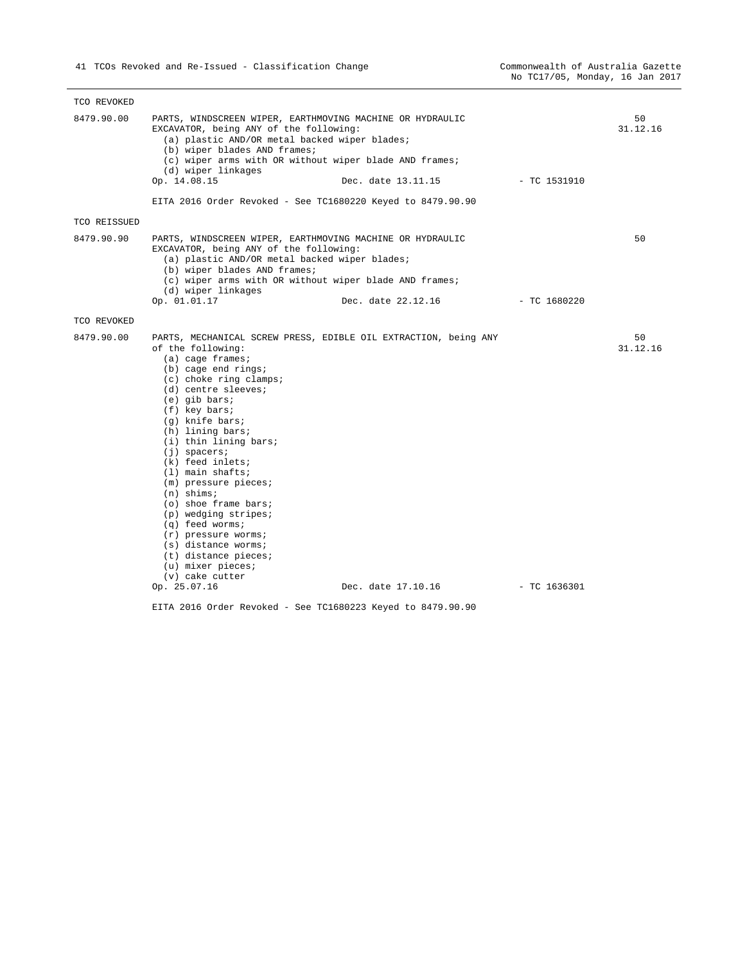| TCO REVOKED  |                                                                                                                                                                                                                                                                                                                                                                                                                                                                                                                        |                                                                 |                |                |
|--------------|------------------------------------------------------------------------------------------------------------------------------------------------------------------------------------------------------------------------------------------------------------------------------------------------------------------------------------------------------------------------------------------------------------------------------------------------------------------------------------------------------------------------|-----------------------------------------------------------------|----------------|----------------|
| 8479.90.00   | PARTS, WINDSCREEN WIPER, EARTHMOVING MACHINE OR HYDRAULIC<br>EXCAVATOR, being ANY of the following:<br>(a) plastic AND/OR metal backed wiper blades;<br>(b) wiper blades AND frames;<br>(c) wiper arms with OR without wiper blade AND frames;<br>(d) wiper linkages<br>Op. 14.08.15                                                                                                                                                                                                                                   | Dec. date 13.11.15                                              | $-$ TC 1531910 | 50<br>31.12.16 |
|              |                                                                                                                                                                                                                                                                                                                                                                                                                                                                                                                        | EITA 2016 Order Revoked - See TC1680220 Keyed to 8479.90.90     |                |                |
| TCO REISSUED |                                                                                                                                                                                                                                                                                                                                                                                                                                                                                                                        |                                                                 |                |                |
| 8479.90.90   | PARTS, WINDSCREEN WIPER, EARTHMOVING MACHINE OR HYDRAULIC<br>EXCAVATOR, being ANY of the following:<br>(a) plastic AND/OR metal backed wiper blades;<br>(b) wiper blades AND frames;<br>(c) wiper arms with OR without wiper blade AND frames;<br>(d) wiper linkages<br>Op. 01.01.17                                                                                                                                                                                                                                   | Dec. date 22.12.16                                              | $-$ TC 1680220 | 50             |
| TCO REVOKED  |                                                                                                                                                                                                                                                                                                                                                                                                                                                                                                                        |                                                                 |                |                |
| 8479.90.00   | of the following:<br>(a) cage frames;<br>$(b)$ cage end rings;<br>(c) choke ring clamps;<br>(d) centre sleeves;<br>$(e)$ qib bars;<br>$(f)$ key bars;<br>(q) knife bars;<br>(h) lining bars;<br>(i) thin lining bars;<br>$(i)$ spacers;<br>$(k)$ feed inlets;<br>$(1)$ main shafts;<br>$(m)$ pressure pieces;<br>$(n)$ shims;<br>(o) shoe frame bars;<br>(p) wedging stripes;<br>(q) feed worms;<br>$(r)$ pressure worms;<br>$(s)$ distance worms;<br>$(t)$ distance pieces;<br>$(u)$ mixer pieces;<br>(v) cake cutter | PARTS, MECHANICAL SCREW PRESS, EDIBLE OIL EXTRACTION, being ANY |                | 50<br>31.12.16 |
|              | Op. 25.07.16                                                                                                                                                                                                                                                                                                                                                                                                                                                                                                           | Dec. date 17.10.16                                              | $-$ TC 1636301 |                |
|              |                                                                                                                                                                                                                                                                                                                                                                                                                                                                                                                        | EITA 2016 Order Revoked - See TC1680223 Keyed to 8479.90.90     |                |                |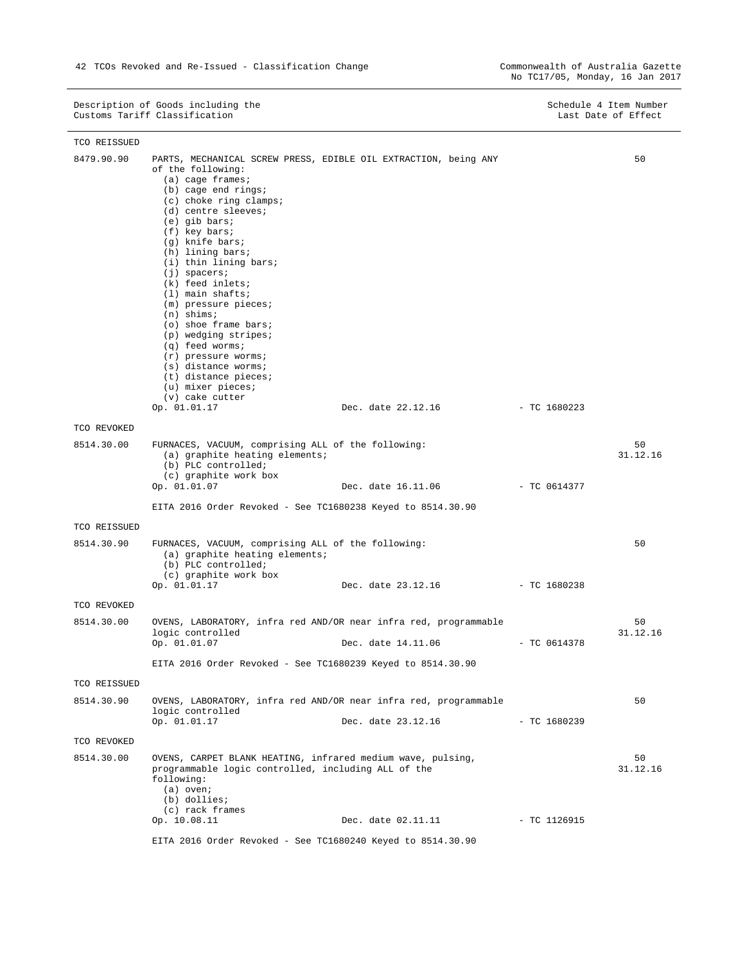| TCO REISSUED |                                                                                                                                                                                                                                                                                                                                                                                                                                                                                                                                                                                                                             |                |                |
|--------------|-----------------------------------------------------------------------------------------------------------------------------------------------------------------------------------------------------------------------------------------------------------------------------------------------------------------------------------------------------------------------------------------------------------------------------------------------------------------------------------------------------------------------------------------------------------------------------------------------------------------------------|----------------|----------------|
| 8479.90.90   | PARTS, MECHANICAL SCREW PRESS, EDIBLE OIL EXTRACTION, being ANY<br>of the following:<br>$(a)$ cage frames;<br>$(b)$ cage end rings;<br>(c) choke ring clamps;<br>(d) centre sleeves;<br>$(e)$ qib bars;<br>(f) key bars;<br>(g) knife bars;<br>(h) lining bars;<br>(i) thin lining bars;<br>$(i)$ spacers;<br>(k) feed inlets;<br>$(1)$ main shafts;<br>$(m)$ pressure pieces;<br>$(n)$ shims;<br>(o) shoe frame bars;<br>(p) wedging stripes;<br>$(q)$ feed worms;<br>$(r)$ pressure worms;<br>(s) distance worms;<br>(t) distance pieces;<br>$(u)$ mixer pieces;<br>(v) cake cutter<br>Op. 01.01.17<br>Dec. date 22.12.16 | - TC 1680223   | 50             |
| TCO REVOKED  |                                                                                                                                                                                                                                                                                                                                                                                                                                                                                                                                                                                                                             |                |                |
| 8514.30.00   | FURNACES, VACUUM, comprising ALL of the following:<br>(a) graphite heating elements;<br>(b) PLC controlled;<br>(c) graphite work box<br>Op. 01.01.07<br>Dec. date 16.11.06<br>EITA 2016 Order Revoked - See TC1680238 Keyed to 8514.30.90                                                                                                                                                                                                                                                                                                                                                                                   | - TC 0614377   | 50<br>31.12.16 |
| TCO REISSUED |                                                                                                                                                                                                                                                                                                                                                                                                                                                                                                                                                                                                                             |                |                |
| 8514.30.90   | FURNACES, VACUUM, comprising ALL of the following:<br>(a) graphite heating elements;<br>(b) PLC controlled;<br>(c) graphite work box<br>Dec. date 23.12.16<br>Op. 01.01.17                                                                                                                                                                                                                                                                                                                                                                                                                                                  | - TC 1680238   | 50             |
| TCO REVOKED  |                                                                                                                                                                                                                                                                                                                                                                                                                                                                                                                                                                                                                             |                |                |
| 8514.30.00   | OVENS, LABORATORY, infra red AND/OR near infra red, programmable<br>logic controlled<br>Op. 01.01.07<br>Dec. date 14.11.06<br>EITA 2016 Order Revoked - See TC1680239 Keyed to 8514.30.90                                                                                                                                                                                                                                                                                                                                                                                                                                   | - TC 0614378   | 50<br>31.12.16 |
| TCO REISSUED |                                                                                                                                                                                                                                                                                                                                                                                                                                                                                                                                                                                                                             |                |                |
| 8514.30.90   | OVENS, LABORATORY, infra red AND/OR near infra red, programmable<br>logic controlled<br>Op. 01.01.17<br>Dec. date 23.12.16                                                                                                                                                                                                                                                                                                                                                                                                                                                                                                  | $-$ TC 1680239 | 50             |
| TCO REVOKED  |                                                                                                                                                                                                                                                                                                                                                                                                                                                                                                                                                                                                                             |                |                |
| 8514.30.00   | OVENS, CARPET BLANK HEATING, infrared medium wave, pulsing,<br>programmable logic controlled, including ALL of the<br>following:<br>$(a)$ oven;<br>(b) dollies;<br>(c) rack frames<br>Op. 10.08.11<br>Dec. date 02.11.11                                                                                                                                                                                                                                                                                                                                                                                                    | - TC 1126915   | 50<br>31.12.16 |
|              | EITA 2016 Order Revoked - See TC1680240 Keyed to 8514.30.90                                                                                                                                                                                                                                                                                                                                                                                                                                                                                                                                                                 |                |                |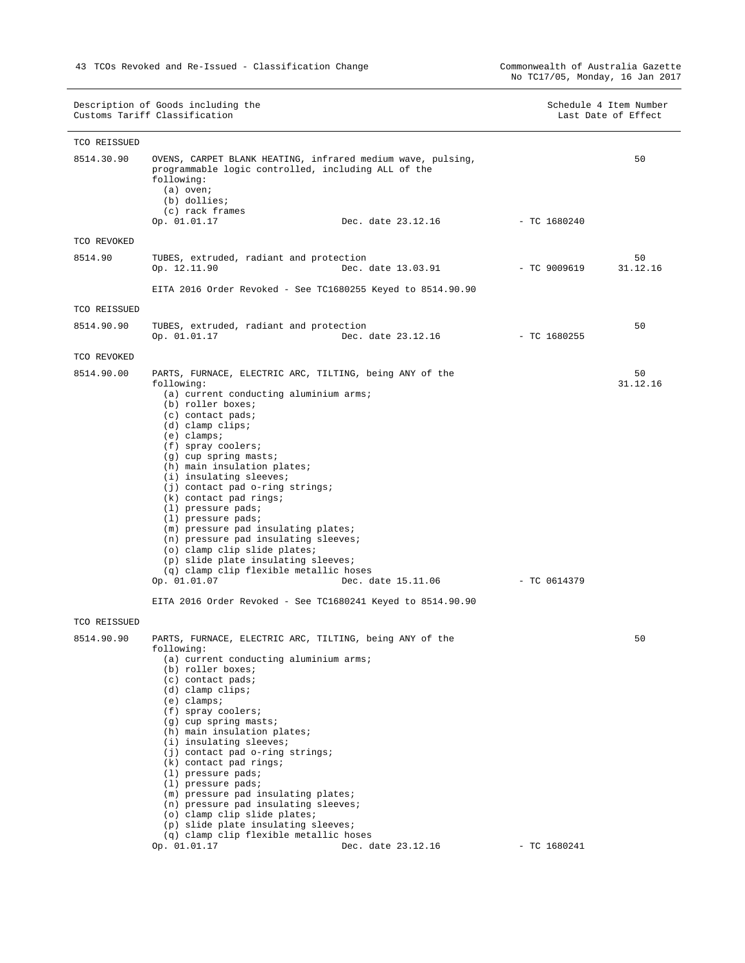|                                                                                                                                                                                                                                                               |                                                                     |                                                                                                                                                                                                                                                                                                                                                                                                                                                                                                                                                                                                                                                                                                                                                                                                                                                                                                                                                                                                                                                                                      | Schedule 4 Item Number<br>Last Date of Effect |
|---------------------------------------------------------------------------------------------------------------------------------------------------------------------------------------------------------------------------------------------------------------|---------------------------------------------------------------------|--------------------------------------------------------------------------------------------------------------------------------------------------------------------------------------------------------------------------------------------------------------------------------------------------------------------------------------------------------------------------------------------------------------------------------------------------------------------------------------------------------------------------------------------------------------------------------------------------------------------------------------------------------------------------------------------------------------------------------------------------------------------------------------------------------------------------------------------------------------------------------------------------------------------------------------------------------------------------------------------------------------------------------------------------------------------------------------|-----------------------------------------------|
|                                                                                                                                                                                                                                                               |                                                                     |                                                                                                                                                                                                                                                                                                                                                                                                                                                                                                                                                                                                                                                                                                                                                                                                                                                                                                                                                                                                                                                                                      |                                               |
| following:<br>$(a)$ oven;<br>(b) dollies;<br>(c) rack frames<br>Op. 01.01.17                                                                                                                                                                                  | Dec. date 23.12.16                                                  | - TC 1680240                                                                                                                                                                                                                                                                                                                                                                                                                                                                                                                                                                                                                                                                                                                                                                                                                                                                                                                                                                                                                                                                         | 50                                            |
|                                                                                                                                                                                                                                                               |                                                                     |                                                                                                                                                                                                                                                                                                                                                                                                                                                                                                                                                                                                                                                                                                                                                                                                                                                                                                                                                                                                                                                                                      |                                               |
| Op. 12.11.90                                                                                                                                                                                                                                                  |                                                                     |                                                                                                                                                                                                                                                                                                                                                                                                                                                                                                                                                                                                                                                                                                                                                                                                                                                                                                                                                                                                                                                                                      | 50<br>31.12.16                                |
|                                                                                                                                                                                                                                                               |                                                                     |                                                                                                                                                                                                                                                                                                                                                                                                                                                                                                                                                                                                                                                                                                                                                                                                                                                                                                                                                                                                                                                                                      |                                               |
|                                                                                                                                                                                                                                                               |                                                                     |                                                                                                                                                                                                                                                                                                                                                                                                                                                                                                                                                                                                                                                                                                                                                                                                                                                                                                                                                                                                                                                                                      |                                               |
| Op. 01.01.17                                                                                                                                                                                                                                                  | Dec. date 23.12.16                                                  | $-$ TC 1680255                                                                                                                                                                                                                                                                                                                                                                                                                                                                                                                                                                                                                                                                                                                                                                                                                                                                                                                                                                                                                                                                       | 50                                            |
|                                                                                                                                                                                                                                                               |                                                                     |                                                                                                                                                                                                                                                                                                                                                                                                                                                                                                                                                                                                                                                                                                                                                                                                                                                                                                                                                                                                                                                                                      |                                               |
| following:<br>(b) roller boxes;<br>(c) contact pads;<br>(d) clamp clips;<br>$(e)$ clamps;<br>(f) spray coolers;<br>(g) cup spring masts;<br>(i) insulating sleeves;<br>$(k)$ contact pad rings;<br>$(1)$ pressure pads;<br>(1) pressure pads;<br>Op. 01.01.07 | Dec. date 15.11.06                                                  | - TC 0614379                                                                                                                                                                                                                                                                                                                                                                                                                                                                                                                                                                                                                                                                                                                                                                                                                                                                                                                                                                                                                                                                         | 50<br>31.12.16                                |
|                                                                                                                                                                                                                                                               |                                                                     |                                                                                                                                                                                                                                                                                                                                                                                                                                                                                                                                                                                                                                                                                                                                                                                                                                                                                                                                                                                                                                                                                      |                                               |
| following:<br>(b) roller boxes;<br>(c) contact pads;<br>$(d)$ clamp clips;<br>$(e)$ clamps;<br>(f) spray coolers;<br>$(q)$ cup spring masts;<br>(i) insulating sleeves;<br>$(k)$ contact pad rings;<br>$(1)$ pressure pads;<br>$(1)$ pressure pads;           |                                                                     |                                                                                                                                                                                                                                                                                                                                                                                                                                                                                                                                                                                                                                                                                                                                                                                                                                                                                                                                                                                                                                                                                      | 50                                            |
|                                                                                                                                                                                                                                                               | Description of Goods including the<br>Customs Tariff Classification | OVENS, CARPET BLANK HEATING, infrared medium wave, pulsing,<br>programmable logic controlled, including ALL of the<br>TUBES, extruded, radiant and protection<br>EITA 2016 Order Revoked - See TC1680255 Keyed to 8514.90.90<br>TUBES, extruded, radiant and protection<br>PARTS, FURNACE, ELECTRIC ARC, TILTING, being ANY of the<br>(a) current conducting aluminium arms;<br>(h) main insulation plates;<br>(j) contact pad o-ring strings;<br>(m) pressure pad insulating plates;<br>(n) pressure pad insulating sleeves;<br>(o) clamp clip slide plates;<br>(p) slide plate insulating sleeves;<br>(q) clamp clip flexible metallic hoses<br>EITA 2016 Order Revoked - See TC1680241 Keyed to 8514.90.90<br>PARTS, FURNACE, ELECTRIC ARC, TILTING, being ANY of the<br>(a) current conducting aluminium arms;<br>(h) main insulation plates;<br>(j) contact pad o-ring strings;<br>(m) pressure pad insulating plates;<br>(n) pressure pad insulating sleeves;<br>(o) clamp clip slide plates;<br>(p) slide plate insulating sleeves;<br>(q) clamp clip flexible metallic hoses | Dec. date 13.03.91 - TC 9009619               |

Op. 01.01.17 Dec. date 23.12.16 - TC 1680241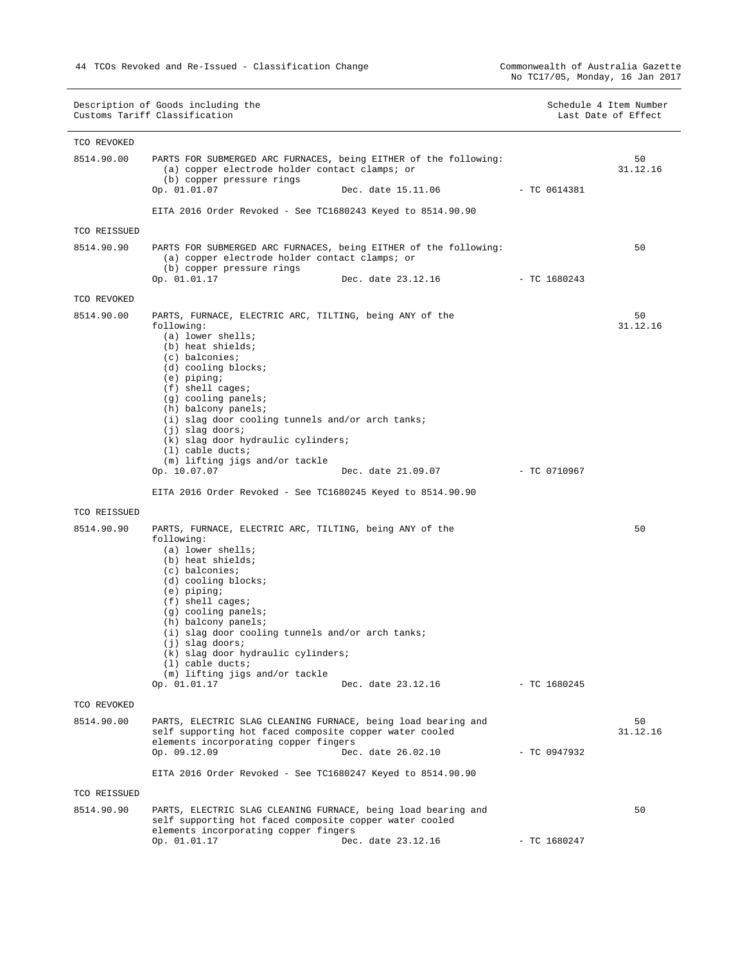Description of Goods including the Schedule 4 Item Number (North Schedule 4 Item Number Customs Tariff Classification Customs Tariff Classification TCO REVOKED 8514.90.00 PARTS FOR SUBMERGED ARC FURNACES, being EITHER of the following: (a) copper electrode holder contact clamps; or (b) copper pressure rings<br>Op.  $01.01.07$ Dec. date 15.11.06 - TC 0614381 EITA 2016 Order Revoked - See TC1680243 Keyed to 8514.90.90 50 31.12.16 TCO REISSUED 8514.90.90 PARTS FOR SUBMERGED ARC FURNACES, being EITHER of the following: (a) copper electrode holder contact clamps; or (b) copper pressure rings<br>Op. 01.01.17 Dec. date 23.12.16 - TC 1680243 50 TCO REVOKED 8514.90.00 PARTS, FURNACE, ELECTRIC ARC, TILTING, being ANY of the following: (a) lower shells; (b) heat shields; (c) balconies; (d) cooling blocks; (e) piping; (f) shell cages; (g) cooling panels; (h) balcony panels; (i) slag door cooling tunnels and/or arch tanks; (j) slag doors; (k) slag door hydraulic cylinders; (l) cable ducts; (m) lifting jigs and/or tackle<br>Op.  $10.07.07$ Dec. date 21.09.07 - TC 0710967 EITA 2016 Order Revoked - See TC1680245 Keyed to 8514.90.90 50 31.12.16 TCO REISSUED 8514.90.90 PARTS, FURNACE, ELECTRIC ARC, TILTING, being ANY of the following: (a) lower shells; (b) heat shields; (c) balconies; (d) cooling blocks; (e) piping; (f) shell cages; (g) cooling panels; (h) balcony panels; (i) slag door cooling tunnels and/or arch tanks; (j) slag doors; (k) slag door hydraulic cylinders; (l) cable ducts; (m) lifting jigs and/or tackle<br>Op.  $01.01.17$ Dec. date 23.12.16 - TC 1680245 50 TCO REVOKED 8514.90.00 PARTS, ELECTRIC SLAG CLEANING FURNACE, being load bearing and self supporting hot faced composite copper water cooled elements incorporating copper fingers<br>Op. 09.12.09 Dec Op. 09.12.09 Dec. date 26.02.10 - TC 0947932 EITA 2016 Order Revoked - See TC1680247 Keyed to 8514.90.90  $50$ 31.12.16 TCO REISSUED 8514.90.90 PARTS, ELECTRIC SLAG CLEANING FURNACE, being load bearing and self supporting hot faced composite copper water cooled elements incorporating copper fingers<br>Op. 01.01.17 Dec Dec. date 23.12.16 - TC 1680247 50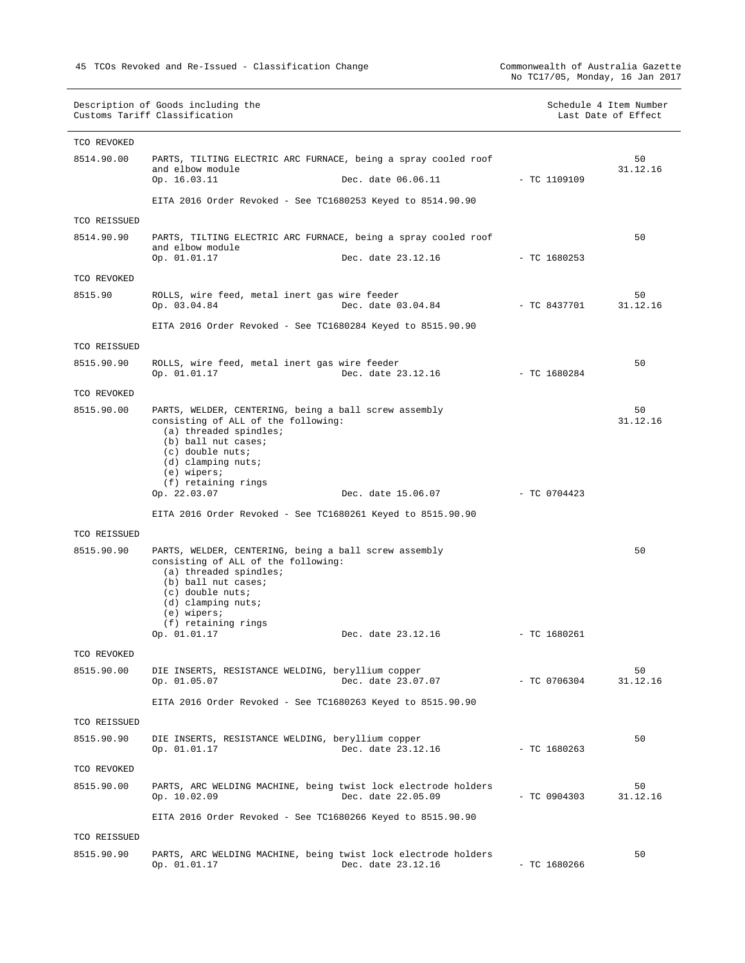| Description of Goods including the | Schedule 4 Item Number |
|------------------------------------|------------------------|
| Customs Tariff Classification      | Last Date of Effect    |

| TCO REVOKED                |                                                                                                                                                                                                                                                                         |                |                |
|----------------------------|-------------------------------------------------------------------------------------------------------------------------------------------------------------------------------------------------------------------------------------------------------------------------|----------------|----------------|
| 8514.90.00                 | PARTS, TILTING ELECTRIC ARC FURNACE, being a spray cooled roof<br>and elbow module<br>Op. 16.03.11<br>Dec. date 06.06.11                                                                                                                                                | $-$ TC 1109109 | 50<br>31.12.16 |
|                            |                                                                                                                                                                                                                                                                         |                |                |
|                            | EITA 2016 Order Revoked - See TC1680253 Keyed to 8514.90.90                                                                                                                                                                                                             |                |                |
| TCO REISSUED               |                                                                                                                                                                                                                                                                         |                |                |
| 8514.90.90                 | PARTS, TILTING ELECTRIC ARC FURNACE, being a spray cooled roof<br>and elbow module<br>Op. 01.01.17<br>Dec. date 23.12.16                                                                                                                                                | $-$ TC 1680253 | 50             |
| TCO REVOKED                |                                                                                                                                                                                                                                                                         |                |                |
| 8515.90                    |                                                                                                                                                                                                                                                                         |                | 50             |
|                            | ROLLS, wire feed, metal inert gas wire feeder<br>Dec. date 03.04.84 - TC 8437701<br>Op. 03.04.84                                                                                                                                                                        |                | 31.12.16       |
|                            | EITA 2016 Order Revoked - See TC1680284 Keyed to 8515.90.90                                                                                                                                                                                                             |                |                |
| TCO REISSUED               |                                                                                                                                                                                                                                                                         |                |                |
| 8515.90.90                 | ROLLS, wire feed, metal inert gas wire feeder<br>Op. 01.01.17<br>Dec. date 23.12.16                                                                                                                                                                                     | $-$ TC 1680284 | 50             |
| TCO REVOKED                |                                                                                                                                                                                                                                                                         |                |                |
| 8515.90.00                 | PARTS, WELDER, CENTERING, being a ball screw assembly<br>consisting of ALL of the following:<br>(a) threaded spindles;<br>(b) ball nut cases;<br>(c) double nuts;<br>(d) clamping nuts;<br>(e) wipers;<br>(f) retaining rings                                           |                | 50<br>31.12.16 |
|                            | Op. 22.03.07<br>Dec. date 15.06.07                                                                                                                                                                                                                                      | $-$ TC 0704423 |                |
|                            |                                                                                                                                                                                                                                                                         |                |                |
|                            |                                                                                                                                                                                                                                                                         |                |                |
|                            | EITA 2016 Order Revoked - See TC1680261 Keyed to 8515.90.90                                                                                                                                                                                                             |                |                |
| TCO REISSUED<br>8515.90.90 | PARTS, WELDER, CENTERING, being a ball screw assembly<br>consisting of ALL of the following:<br>$(a)$ threaded spindles;<br>(b) ball nut cases;<br>(c) double nuts;<br>(d) clamping nuts;<br>$(e)$ wipers;<br>(f) retaining rings<br>Op. 01.01.17<br>Dec. date 23.12.16 | $-$ TC 1680261 | 50             |
| TCO REVOKED                |                                                                                                                                                                                                                                                                         |                |                |
| 8515.90.00                 | DIE INSERTS, RESISTANCE WELDING, beryllium copper<br>Dec. date 23.07.07<br>Op. 01.05.07                                                                                                                                                                                 | $-$ TC 0706304 | 50<br>31.12.16 |
|                            | EITA 2016 Order Revoked - See TC1680263 Keyed to 8515.90.90                                                                                                                                                                                                             |                |                |
| TCO REISSUED               |                                                                                                                                                                                                                                                                         |                |                |
| 8515.90.90                 | DIE INSERTS, RESISTANCE WELDING, beryllium copper<br>Dec. date 23.12.16                                                                                                                                                                                                 |                | 50             |
|                            | Op. 01.01.17                                                                                                                                                                                                                                                            | $-$ TC 1680263 |                |
| TCO REVOKED                |                                                                                                                                                                                                                                                                         |                |                |
| 8515.90.00                 | PARTS, ARC WELDING MACHINE, being twist lock electrode holders<br>Op. 10.02.09<br>Dec. date 22.05.09                                                                                                                                                                    | $-$ TC 0904303 | 50<br>31.12.16 |
|                            | EITA 2016 Order Revoked - See TC1680266 Keyed to 8515.90.90                                                                                                                                                                                                             |                |                |
| TCO REISSUED               |                                                                                                                                                                                                                                                                         |                |                |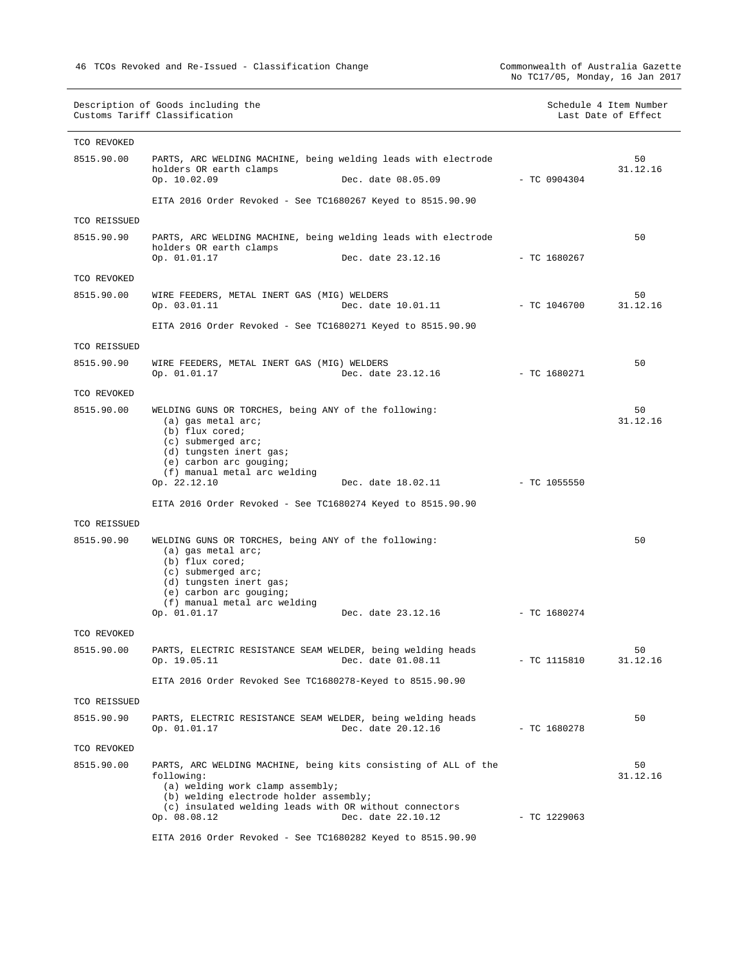| TCO REVOKED  |                                                                                                                                                                                                                                       |                                 |                |                |
|--------------|---------------------------------------------------------------------------------------------------------------------------------------------------------------------------------------------------------------------------------------|---------------------------------|----------------|----------------|
| 8515.90.00   | PARTS, ARC WELDING MACHINE, being welding leads with electrode<br>holders OR earth clamps<br>Op. 10.02.09                                                                                                                             | Dec. date 08.05.09              | $-$ TC 0904304 | 50<br>31.12.16 |
|              | EITA 2016 Order Revoked - See TC1680267 Keyed to 8515.90.90                                                                                                                                                                           |                                 |                |                |
| TCO REISSUED |                                                                                                                                                                                                                                       |                                 |                |                |
| 8515.90.90   | PARTS, ARC WELDING MACHINE, being welding leads with electrode<br>holders OR earth clamps<br>Op. 01.01.17                                                                                                                             | Dec. date 23.12.16              | - TC 1680267   | 50             |
| TCO REVOKED  |                                                                                                                                                                                                                                       |                                 |                |                |
| 8515.90.00   | WIRE FEEDERS, METAL INERT GAS (MIG) WELDERS<br>Op. 03.01.11                                                                                                                                                                           | Dec. date 10.01.11 - TC 1046700 |                | 50<br>31.12.16 |
|              | EITA 2016 Order Revoked - See TC1680271 Keyed to 8515.90.90                                                                                                                                                                           |                                 |                |                |
| TCO REISSUED |                                                                                                                                                                                                                                       |                                 |                |                |
| 8515.90.90   | WIRE FEEDERS, METAL INERT GAS (MIG) WELDERS<br>Op. 01.01.17                                                                                                                                                                           | Dec. date 23.12.16              | - TC 1680271   | 50             |
| TCO REVOKED  |                                                                                                                                                                                                                                       |                                 |                |                |
| 8515.90.00   | WELDING GUNS OR TORCHES, being ANY of the following:<br>(a) gas metal arc;<br>(b) flux cored;<br>$(c)$ submerged arc;<br>(d) tungsten inert gas;<br>(e) carbon arc gouging;<br>(f) manual metal arc welding                           |                                 |                | 50<br>31.12.16 |
|              | Op. 22.12.10                                                                                                                                                                                                                          | Dec. date 18.02.11              | - TC 1055550   |                |
|              | EITA 2016 Order Revoked - See TC1680274 Keyed to 8515.90.90                                                                                                                                                                           |                                 |                |                |
| TCO REISSUED |                                                                                                                                                                                                                                       |                                 |                |                |
| 8515.90.90   | WELDING GUNS OR TORCHES, being ANY of the following:<br>(a) gas metal arc;<br>(b) flux cored;<br>(c) submerged arc;<br>(d) tungsten inert gas;<br>(e) carbon arc gouging;<br>(f) manual metal arc welding<br>Op. 01.01.17             | Dec. date 23.12.16 - TC 1680274 |                | 50             |
| TCO REVOKED  |                                                                                                                                                                                                                                       |                                 |                |                |
| 8515.90.00   | PARTS, ELECTRIC RESISTANCE SEAM WELDER, being welding heads<br>Op. 19.05.11                                                                                                                                                           | Dec. date 01.08.11              | $-$ TC 1115810 | 50<br>31.12.16 |
|              | EITA 2016 Order Revoked See TC1680278-Keyed to 8515.90.90                                                                                                                                                                             |                                 |                |                |
| TCO REISSUED |                                                                                                                                                                                                                                       |                                 |                |                |
| 8515.90.90   | PARTS, ELECTRIC RESISTANCE SEAM WELDER, being welding heads<br>Op. 01.01.17                                                                                                                                                           | Dec. date 20.12.16              | $-$ TC 1680278 | 50             |
| TCO REVOKED  |                                                                                                                                                                                                                                       |                                 |                |                |
| 8515.90.00   | PARTS, ARC WELDING MACHINE, being kits consisting of ALL of the<br>following:<br>(a) welding work clamp assembly;<br>(b) welding electrode holder assembly;<br>(c) insulated welding leads with OR without connectors<br>Op. 08.08.12 | Dec. date 22.10.12              | $-$ TC 1229063 | 50<br>31.12.16 |
|              | EITA 2016 Order Revoked - See TC1680282 Keyed to 8515.90.90                                                                                                                                                                           |                                 |                |                |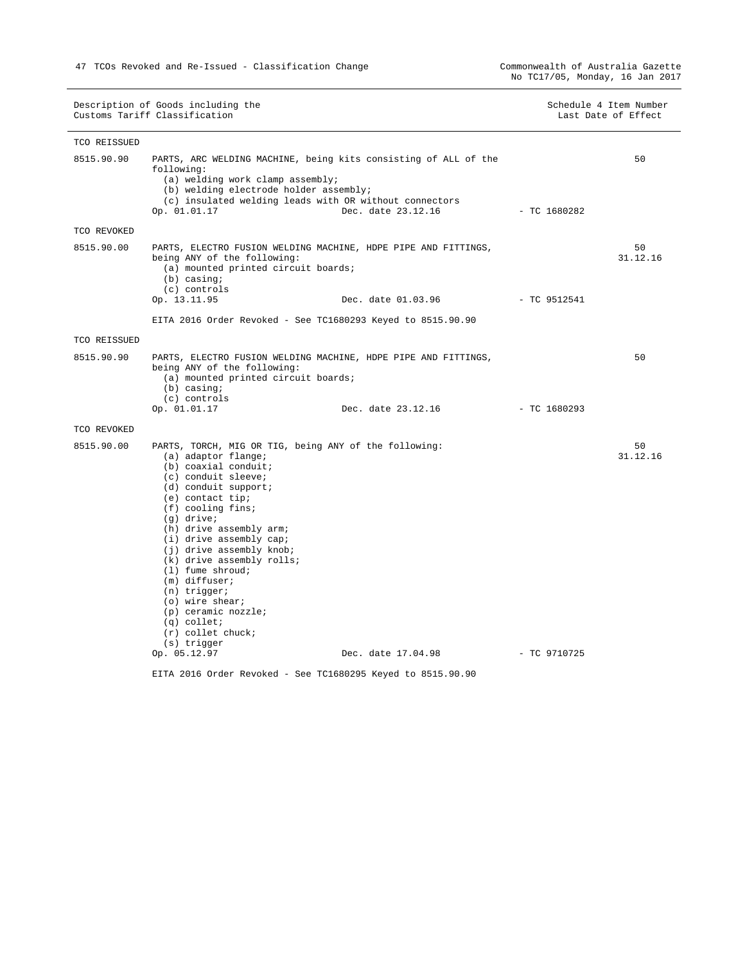Description of Goods including the Schedule 4 Item Number<br>
Customs Tariff Classification Customs Tariff Classification Customs Tariff Classification TCO REISSUED 8515.90.90 PARTS, ARC WELDING MACHINE, being kits consisting of ALL of the following: (a) welding work clamp assembly; (b) welding electrode holder assembly; (c) insulated welding leads with OR without connectors Op. 01.01.17 Dec. date 23.12.16 - TC 1680282 50 TCO REVOKED 8515.90.00 PARTS, ELECTRO FUSION WELDING MACHINE, HDPE PIPE AND FITTINGS, being ANY of the following: (a) mounted printed circuit boards; (b) casing;  $(c)$  controls<br>Op. 13.11.95 Dec. date 01.03.96 - TC 9512541 EITA 2016 Order Revoked - See TC1680293 Keyed to 8515.90.90 50 31.12.16 TCO REISSUED 8515.90.90 PARTS, ELECTRO FUSION WELDING MACHINE, HDPE PIPE AND FITTINGS, being ANY of the following: (a) mounted printed circuit boards; (b) casing;  $(c)$  controls<br>Op.  $01.01.17$ Dec. date 23.12.16 - TC 1680293 50 TCO REVOKED 8515.90.00 PARTS, TORCH, MIG OR TIG, being ANY of the following: (a) adaptor flange; (b) coaxial conduit; (c) conduit sleeve; (d) conduit support; (e) contact tip; (f) cooling fins; (g) drive; (h) drive assembly arm; (i) drive assembly cap; (j) drive assembly knob; (k) drive assembly rolls; (l) fume shroud; (m) diffuser; (n) trigger; (o) wire shear; (p) ceramic nozzle; (q) collet; (r) collet chuck; (s) trigger<br>Op. 05.12.97 Dec. date 17.04.98 - TC 9710725  $50$ 31.12.16

EITA 2016 Order Revoked - See TC1680295 Keyed to 8515.90.90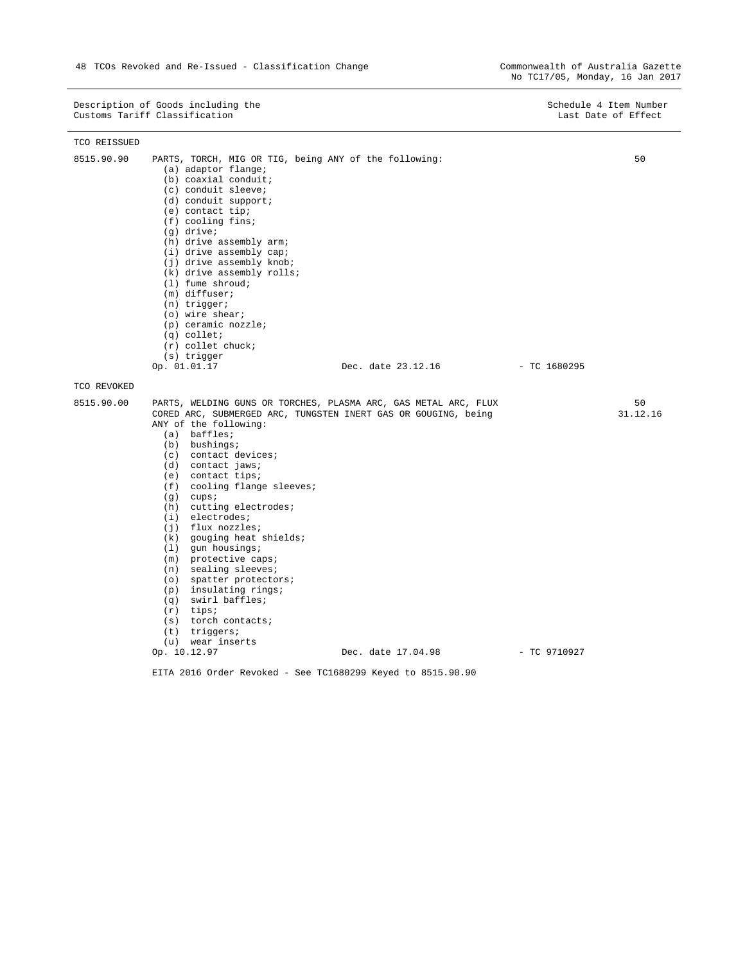| TCO REISSUED |                                                                                                                                                                                                                                                                                                                                                                                                                                                                                                                                                                                                                                                                         |                                 |              |                |
|--------------|-------------------------------------------------------------------------------------------------------------------------------------------------------------------------------------------------------------------------------------------------------------------------------------------------------------------------------------------------------------------------------------------------------------------------------------------------------------------------------------------------------------------------------------------------------------------------------------------------------------------------------------------------------------------------|---------------------------------|--------------|----------------|
| 8515.90.90   | PARTS, TORCH, MIG OR TIG, being ANY of the following:<br>(a) adaptor flange;<br>(b) coaxial conduit;<br>(c) conduit sleeve;<br>$(d)$ conduit support;<br>$(e)$ contact tip;<br>(f) cooling fins;<br>$(q)$ drive;<br>(h) drive assembly arm;<br>$(i)$ drive assembly cap;<br>(j) drive assembly knob;<br>(k) drive assembly rolls;<br>$(1)$ fume shroud;<br>$(m)$ diffuser;<br>$(n)$ trigger;<br>$(o)$ wire shear;<br>$(p)$ ceramic nozzle;<br>$(q)$ collet;<br>$(r)$ collet chuck;<br>(s) trigger<br>Op. 01.01.17                                                                                                                                                       | Dec. date 23.12.16 - TC 1680295 |              | 50             |
| TCO REVOKED  |                                                                                                                                                                                                                                                                                                                                                                                                                                                                                                                                                                                                                                                                         |                                 |              |                |
| 8515.90.00   | PARTS, WELDING GUNS OR TORCHES, PLASMA ARC, GAS METAL ARC, FLUX<br>CORED ARC, SUBMERGED ARC, TUNGSTEN INERT GAS OR GOUGING, being<br>ANY of the following:<br>$(a)$ baffles;<br>$(b)$ bushings;<br>(c) contact devices;<br>(d) contact jaws;<br>(e) contact tips;<br>(f) cooling flange sleeves;<br>$(g)$ cups;<br>(h) cutting electrodes;<br>$(i)$ electrodes;<br>(j) flux nozzles;<br>(k) gouging heat shields;<br>$(1)$ gun housings;<br>$(m)$ protective caps;<br>(n) sealing sleeves;<br>(o) spatter protectors;<br>$(p)$ insulating rings;<br>$(q)$ swirl baffles;<br>$(r)$ tips;<br>$(s)$ torch contacts;<br>$(t)$ triggers;<br>(u) wear inserts<br>Op. 10.12.97 | Dec. date 17.04.98              | - TC 9710927 | 50<br>31.12.16 |

EITA 2016 Order Revoked - See TC1680299 Keyed to 8515.90.90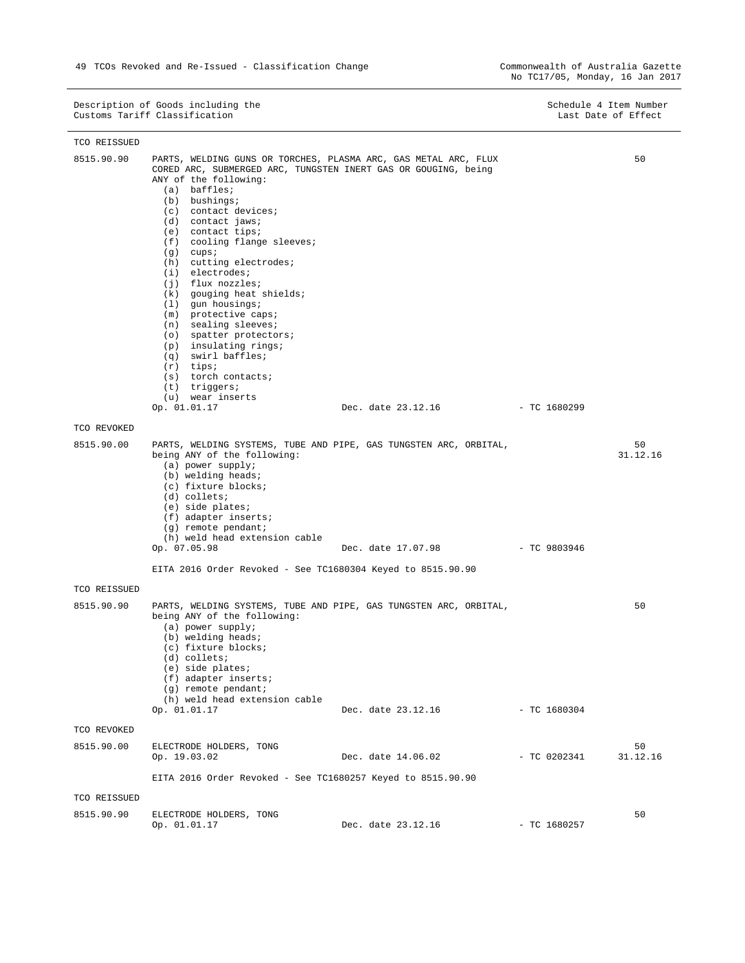| TCO REISSUED |                                                                                                                                                                                                                                                                                                                                                                                                                                                                                                                                                                                                                                                                     |                                 |                |                |
|--------------|---------------------------------------------------------------------------------------------------------------------------------------------------------------------------------------------------------------------------------------------------------------------------------------------------------------------------------------------------------------------------------------------------------------------------------------------------------------------------------------------------------------------------------------------------------------------------------------------------------------------------------------------------------------------|---------------------------------|----------------|----------------|
| 8515.90.90   | PARTS, WELDING GUNS OR TORCHES, PLASMA ARC, GAS METAL ARC, FLUX<br>CORED ARC, SUBMERGED ARC, TUNGSTEN INERT GAS OR GOUGING, being<br>ANY of the following:<br>(a) baffles;<br>(b) bushings;<br>(c) contact devices;<br>(d) contact jaws;<br>(e) contact tips;<br>(f) cooling flange sleeves;<br>$(g)$ cups;<br>(h) cutting electrodes;<br>$(i)$ electrodes;<br>$(i)$ flux nozzles;<br>(k) gouging heat shields;<br>$(1)$ gun housings;<br>$(m)$ protective caps;<br>$(n)$ sealing sleeves;<br>(o) spatter protectors;<br>(p) insulating rings;<br>(q) swirl baffles;<br>$(r)$ tips;<br>$(s)$ torch contacts;<br>$(t)$ triggers;<br>(u) wear inserts<br>Op. 01.01.17 | Dec. date 23.12.16 - TC 1680299 |                | 50             |
| TCO REVOKED  |                                                                                                                                                                                                                                                                                                                                                                                                                                                                                                                                                                                                                                                                     |                                 |                |                |
| 8515.90.00   | PARTS, WELDING SYSTEMS, TUBE AND PIPE, GAS TUNGSTEN ARC, ORBITAL,<br>being ANY of the following:<br>(a) power supply;<br>(b) welding heads;<br>(c) fixture blocks;<br>(d) collets;<br>(e) side plates;<br>(f) adapter inserts;<br>$(g)$ remote pendant;<br>(h) weld head extension cable<br>Op. 07.05.98<br>EITA 2016 Order Revoked - See TC1680304 Keyed to 8515.90.90                                                                                                                                                                                                                                                                                             | Dec. date 17.07.98 - TC 9803946 |                | 50<br>31.12.16 |
| TCO REISSUED |                                                                                                                                                                                                                                                                                                                                                                                                                                                                                                                                                                                                                                                                     |                                 |                |                |
| 8515.90.90   | PARTS, WELDING SYSTEMS, TUBE AND PIPE, GAS TUNGSTEN ARC, ORBITAL,<br>being ANY of the following:<br>(a) power supply;<br>(b) welding heads;<br>(c) fixture blocks;<br>$(d)$ collets;<br>(e) side plates;<br>$(f)$ adapter inserts;<br>(g) remote pendant;<br>(h) weld head extension cable<br>Op. 01.01.17                                                                                                                                                                                                                                                                                                                                                          | Dec. date 23.12.16              | $-$ TC 1680304 | 50             |
| TCO REVOKED  |                                                                                                                                                                                                                                                                                                                                                                                                                                                                                                                                                                                                                                                                     |                                 |                |                |
| 8515.90.00   | ELECTRODE HOLDERS, TONG<br>Op. 19.03.02<br>EITA 2016 Order Revoked - See TC1680257 Keyed to 8515.90.90                                                                                                                                                                                                                                                                                                                                                                                                                                                                                                                                                              | Dec. date 14.06.02              | - TC 0202341   | 50<br>31.12.16 |
| TCO REISSUED |                                                                                                                                                                                                                                                                                                                                                                                                                                                                                                                                                                                                                                                                     |                                 |                |                |
| 8515.90.90   | ELECTRODE HOLDERS, TONG<br>Op. 01.01.17                                                                                                                                                                                                                                                                                                                                                                                                                                                                                                                                                                                                                             | Dec. date 23.12.16              | $-$ TC 1680257 | 50             |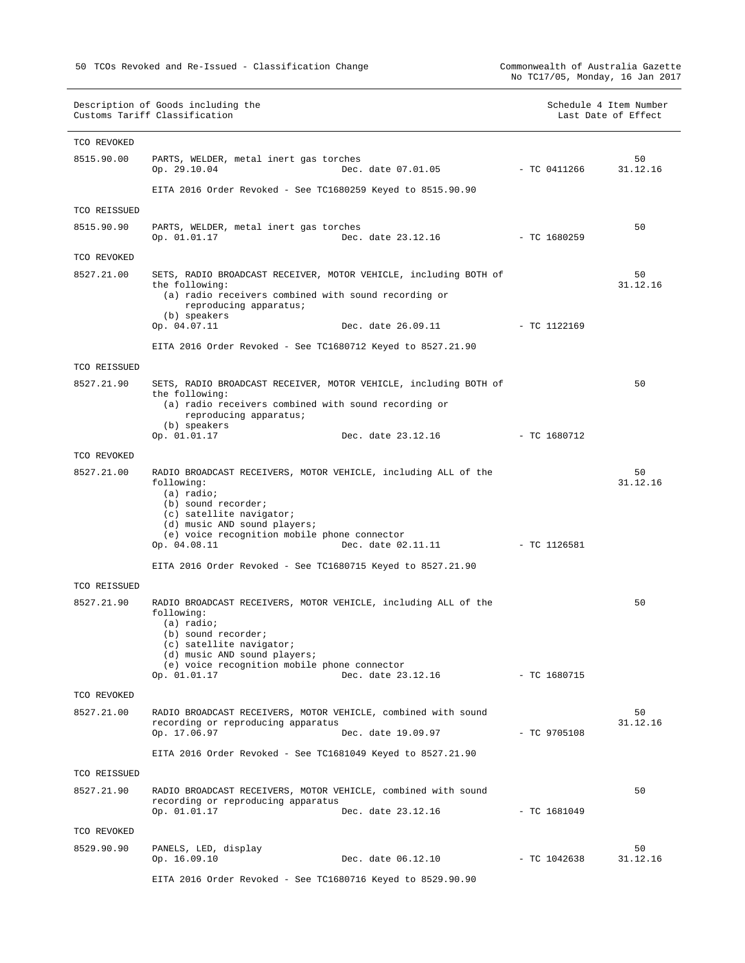No TC17/05, Monday, 16 Jan 2017

| TCO REVOKED  |                                                                                                                                                                                                                                                                     |                    |                |                |
|--------------|---------------------------------------------------------------------------------------------------------------------------------------------------------------------------------------------------------------------------------------------------------------------|--------------------|----------------|----------------|
| 8515.90.00   | PARTS, WELDER, metal inert gas torches<br>Op. 29.10.04                                                                                                                                                                                                              | Dec. date 07.01.05 | $-$ TC 0411266 | 50<br>31.12.16 |
|              | EITA 2016 Order Revoked - See TC1680259 Keyed to 8515.90.90                                                                                                                                                                                                         |                    |                |                |
| TCO REISSUED |                                                                                                                                                                                                                                                                     |                    |                |                |
| 8515.90.90   | PARTS, WELDER, metal inert gas torches<br>Op. 01.01.17                                                                                                                                                                                                              | Dec. date 23.12.16 | $-$ TC 1680259 | 50             |
| TCO REVOKED  |                                                                                                                                                                                                                                                                     |                    |                |                |
| 8527.21.00   | SETS, RADIO BROADCAST RECEIVER, MOTOR VEHICLE, including BOTH of<br>the following:<br>(a) radio receivers combined with sound recording or<br>reproducing apparatus;<br>(b) speakers                                                                                |                    |                | 50<br>31.12.16 |
|              | Op. 04.07.11                                                                                                                                                                                                                                                        | Dec. date 26.09.11 | $-$ TC 1122169 |                |
|              | EITA 2016 Order Revoked - See TC1680712 Keyed to 8527.21.90                                                                                                                                                                                                         |                    |                |                |
| TCO REISSUED |                                                                                                                                                                                                                                                                     |                    |                |                |
| 8527.21.90   | SETS, RADIO BROADCAST RECEIVER, MOTOR VEHICLE, including BOTH of<br>the following:<br>(a) radio receivers combined with sound recording or<br>reproducing apparatus;<br>(b) speakers                                                                                |                    |                | 50             |
|              | Op. 01.01.17                                                                                                                                                                                                                                                        | Dec. date 23.12.16 | $-$ TC 1680712 |                |
| TCO REVOKED  |                                                                                                                                                                                                                                                                     |                    |                |                |
| 8527.21.00   | RADIO BROADCAST RECEIVERS, MOTOR VEHICLE, including ALL of the<br>following:<br>(a) radio;<br>(b) sound recorder;<br>(c) satellite navigator;<br>(d) music AND sound players;<br>(e) voice recognition mobile phone connector<br>Op. 04.08.11                       | Dec. date 02.11.11 | - TC 1126581   | 50<br>31.12.16 |
|              | EITA 2016 Order Revoked - See TC1680715 Keyed to 8527.21.90                                                                                                                                                                                                         |                    |                |                |
| TCO REISSUED |                                                                                                                                                                                                                                                                     |                    |                |                |
| 8527.21.90   | RADIO BROADCAST RECEIVERS, MOTOR VEHICLE, including ALL of the<br>following:<br>(a) radio;<br>(b) sound recorder;<br>(c) satellite navigator;<br>(d) music AND sound players;<br>(e) voice recognition mobile phone connector<br>Op. 01.01.17<br>Dec. date 23.12.16 |                    | $-$ TC 1680715 | 50             |
| TCO REVOKED  |                                                                                                                                                                                                                                                                     |                    |                |                |
| 8527.21.00   | RADIO BROADCAST RECEIVERS, MOTOR VEHICLE, combined with sound<br>recording or reproducing apparatus<br>Op. 17.06.97                                                                                                                                                 | Dec. date 19.09.97 | $-$ TC 9705108 | 50<br>31.12.16 |
|              | EITA 2016 Order Revoked - See TC1681049 Keyed to 8527.21.90                                                                                                                                                                                                         |                    |                |                |
| TCO REISSUED |                                                                                                                                                                                                                                                                     |                    |                |                |
| 8527.21.90   | RADIO BROADCAST RECEIVERS, MOTOR VEHICLE, combined with sound<br>recording or reproducing apparatus<br>Op. 01.01.17                                                                                                                                                 | Dec. date 23.12.16 | $-$ TC 1681049 | 50             |
| TCO REVOKED  |                                                                                                                                                                                                                                                                     |                    |                |                |
| 8529.90.90   | PANELS, LED, display<br>Op. 16.09.10                                                                                                                                                                                                                                | Dec. date 06.12.10 | $-$ TC 1042638 | 50<br>31.12.16 |
|              | EITA 2016 Order Revoked - See TC1680716 Keyed to 8529.90.90                                                                                                                                                                                                         |                    |                |                |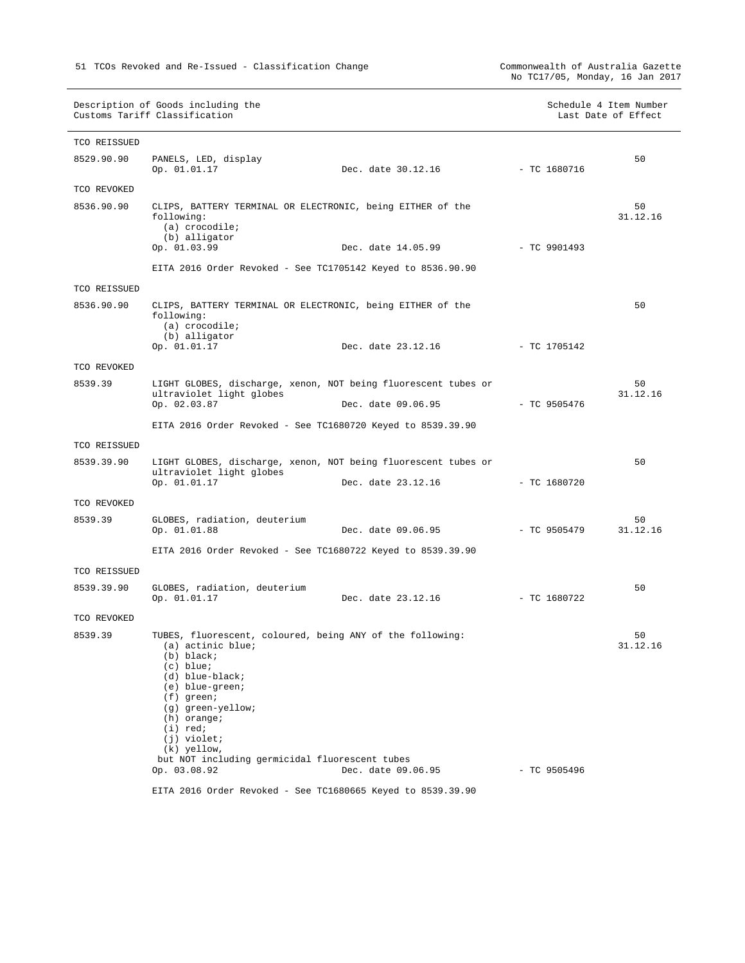No TC17/05, Monday, 16 Jan 2017

| TCO REISSUED |                                                                                                                                                                                                                                                                                                                         |                    |                |                |
|--------------|-------------------------------------------------------------------------------------------------------------------------------------------------------------------------------------------------------------------------------------------------------------------------------------------------------------------------|--------------------|----------------|----------------|
| 8529.90.90   | PANELS, LED, display<br>Op. 01.01.17                                                                                                                                                                                                                                                                                    | Dec. date 30.12.16 | $-$ TC 1680716 | 50             |
| TCO REVOKED  |                                                                                                                                                                                                                                                                                                                         |                    |                |                |
| 8536.90.90   | CLIPS, BATTERY TERMINAL OR ELECTRONIC, being EITHER of the<br>following:<br>(a) crocodile;<br>(b) alligator<br>Op. 01.03.99                                                                                                                                                                                             | Dec. date 14.05.99 | - TC 9901493   | 50<br>31.12.16 |
|              | EITA 2016 Order Revoked - See TC1705142 Keyed to 8536.90.90                                                                                                                                                                                                                                                             |                    |                |                |
| TCO REISSUED |                                                                                                                                                                                                                                                                                                                         |                    |                |                |
| 8536.90.90   | CLIPS, BATTERY TERMINAL OR ELECTRONIC, being EITHER of the<br>following:<br>(a) crocodile;<br>(b) alligator                                                                                                                                                                                                             |                    |                | 50             |
|              | Op. 01.01.17                                                                                                                                                                                                                                                                                                            | Dec. date 23.12.16 | $-$ TC 1705142 |                |
| TCO REVOKED  |                                                                                                                                                                                                                                                                                                                         |                    |                |                |
| 8539.39      | LIGHT GLOBES, discharge, xenon, NOT being fluorescent tubes or<br>ultraviolet light globes                                                                                                                                                                                                                              |                    |                | 50<br>31.12.16 |
|              | Op. 02.03.87                                                                                                                                                                                                                                                                                                            | Dec. date 09.06.95 | $-$ TC 9505476 |                |
|              | EITA 2016 Order Revoked - See TC1680720 Keyed to 8539.39.90                                                                                                                                                                                                                                                             |                    |                |                |
| TCO REISSUED |                                                                                                                                                                                                                                                                                                                         |                    |                |                |
| 8539.39.90   | LIGHT GLOBES, discharge, xenon, NOT being fluorescent tubes or<br>ultraviolet light globes<br>Op. 01.01.17                                                                                                                                                                                                              | Dec. date 23.12.16 | $-$ TC 1680720 | 50             |
| TCO REVOKED  |                                                                                                                                                                                                                                                                                                                         |                    |                |                |
| 8539.39      | GLOBES, radiation, deuterium<br>Op. 01.01.88                                                                                                                                                                                                                                                                            | Dec. date 09.06.95 | $-$ TC 9505479 | 50<br>31.12.16 |
|              | EITA 2016 Order Revoked - See TC1680722 Keyed to 8539.39.90                                                                                                                                                                                                                                                             |                    |                |                |
| TCO REISSUED |                                                                                                                                                                                                                                                                                                                         |                    |                |                |
| 8539.39.90   | GLOBES, radiation, deuterium<br>Op. 01.01.17                                                                                                                                                                                                                                                                            | Dec. date 23.12.16 | $-$ TC 1680722 | 50             |
| TCO REVOKED  |                                                                                                                                                                                                                                                                                                                         |                    |                |                |
| 8539.39      | TUBES, fluorescent, coloured, being ANY of the following:<br>(a) actinic blue;<br>(b) black;<br>$(c)$ blue;<br>(d) blue-black;<br>(e) blue-green;<br>$(f)$ green;<br>(q) green-yellow;<br>(h) orange;<br>$(i)$ red;<br>$(j)$ violet;<br>$(k)$ yellow,<br>but NOT including germicidal fluorescent tubes<br>Op. 03.08.92 | Dec. date 09.06.95 | $-$ TC 9505496 | 50<br>31.12.16 |
|              | EITA 2016 Order Revoked - See TC1680665 Keyed to 8539.39.90                                                                                                                                                                                                                                                             |                    |                |                |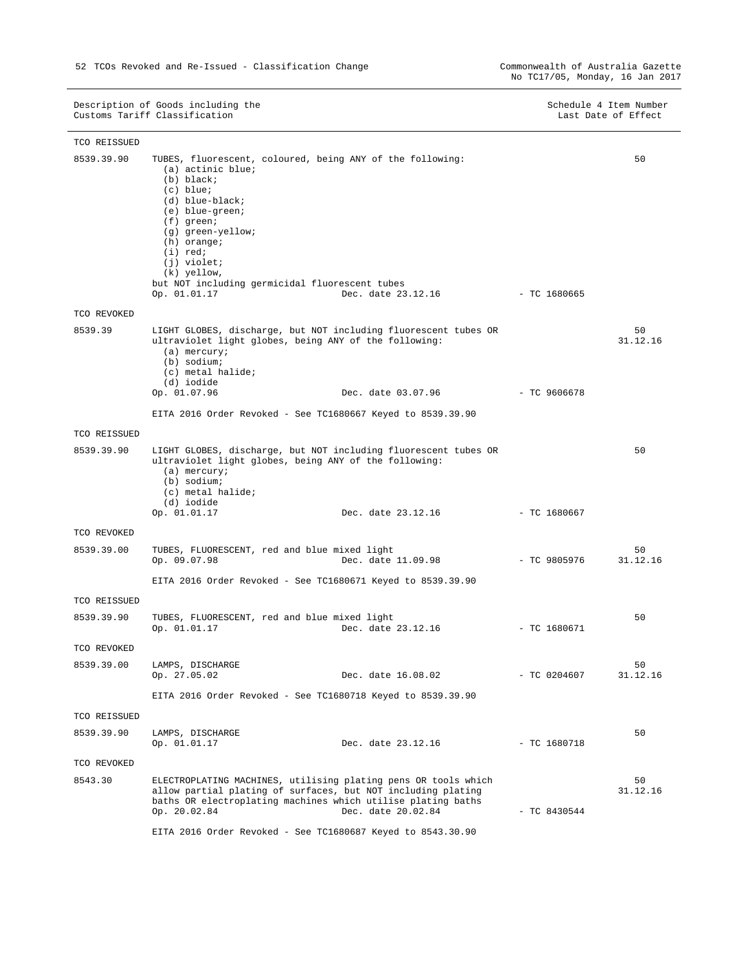|              | Description of Goods including the<br>Customs Tariff Classification                                                                                                                                                                                                                                                                             | Schedule 4 Item Number<br>Last Date of Effect |                |
|--------------|-------------------------------------------------------------------------------------------------------------------------------------------------------------------------------------------------------------------------------------------------------------------------------------------------------------------------------------------------|-----------------------------------------------|----------------|
| TCO REISSUED |                                                                                                                                                                                                                                                                                                                                                 |                                               |                |
| 8539.39.90   | TUBES, fluorescent, coloured, being ANY of the following:<br>(a) actinic blue;<br>$(b)$ black;<br>$(c)$ blue;<br>(d) blue-black;<br>(e) blue-green;<br>$(f)$ green;<br>(g) green-yellow;<br>$(h)$ orange;<br>$(i)$ red;<br>$(j)$ violet;<br>(k) yellow,<br>but NOT including germicidal fluorescent tubes<br>Dec. date 23.12.16<br>Op. 01.01.17 | $-$ TC 1680665                                | 50             |
| TCO REVOKED  |                                                                                                                                                                                                                                                                                                                                                 |                                               |                |
| 8539.39      | LIGHT GLOBES, discharge, but NOT including fluorescent tubes OR<br>ultraviolet light globes, being ANY of the following:<br>$(a)$ mercury;<br>(b) sodium;<br>(c) metal halide;<br>(d) iodide                                                                                                                                                    |                                               | 50<br>31.12.16 |
|              | Dec. date 03.07.96<br>Op. 01.07.96                                                                                                                                                                                                                                                                                                              | $-$ TC 9606678                                |                |
|              | EITA 2016 Order Revoked - See TC1680667 Keyed to 8539.39.90                                                                                                                                                                                                                                                                                     |                                               |                |
| TCO REISSUED |                                                                                                                                                                                                                                                                                                                                                 |                                               |                |
| 8539.39.90   | LIGHT GLOBES, discharge, but NOT including fluorescent tubes OR<br>ultraviolet light globes, being ANY of the following:<br>(a) mercury;<br>(b) sodium;<br>(c) metal halide;<br>(d) iodide<br>Op. 01.01.17<br>Dec. date 23.12.16                                                                                                                | $-$ TC 1680667                                | 50             |
| TCO REVOKED  |                                                                                                                                                                                                                                                                                                                                                 |                                               |                |
| 8539.39.00   | TUBES, FLUORESCENT, red and blue mixed light<br>Op. 09.07.98<br>Dec. date 11.09.98                                                                                                                                                                                                                                                              | - TC 9805976                                  | 50<br>31.12.16 |
|              | EITA 2016 Order Revoked - See TC1680671 Keyed to 8539.39.90                                                                                                                                                                                                                                                                                     |                                               |                |
| TCO REISSUED |                                                                                                                                                                                                                                                                                                                                                 |                                               |                |
| 8539.39.90   | TUBES, FLUORESCENT, red and blue mixed light<br>Op. 01.01.17<br>Dec. date 23.12.16                                                                                                                                                                                                                                                              | $-$ TC 1680671                                | 50             |
| TCO REVOKED  |                                                                                                                                                                                                                                                                                                                                                 |                                               |                |
| 8539.39.00   | LAMPS, DISCHARGE<br>Op. 27.05.02<br>Dec. date 16.08.02                                                                                                                                                                                                                                                                                          | $-$ TC 0204607                                | 50<br>31.12.16 |
|              | EITA 2016 Order Revoked - See TC1680718 Keyed to 8539.39.90                                                                                                                                                                                                                                                                                     |                                               |                |
| TCO REISSUED |                                                                                                                                                                                                                                                                                                                                                 |                                               |                |
| 8539.39.90   | LAMPS, DISCHARGE<br>Op. 01.01.17<br>Dec. date 23.12.16                                                                                                                                                                                                                                                                                          | $-$ TC 1680718                                | 50             |
| TCO REVOKED  |                                                                                                                                                                                                                                                                                                                                                 |                                               |                |
| 8543.30      | ELECTROPLATING MACHINES, utilising plating pens OR tools which<br>allow partial plating of surfaces, but NOT including plating<br>baths OR electroplating machines which utilise plating baths<br>Dec. date 20.02.84<br>Op. 20.02.84                                                                                                            | $-$ TC 8430544                                | 50<br>31.12.16 |
|              | EITA 2016 Order Revoked - See TC1680687 Keyed to 8543.30.90                                                                                                                                                                                                                                                                                     |                                               |                |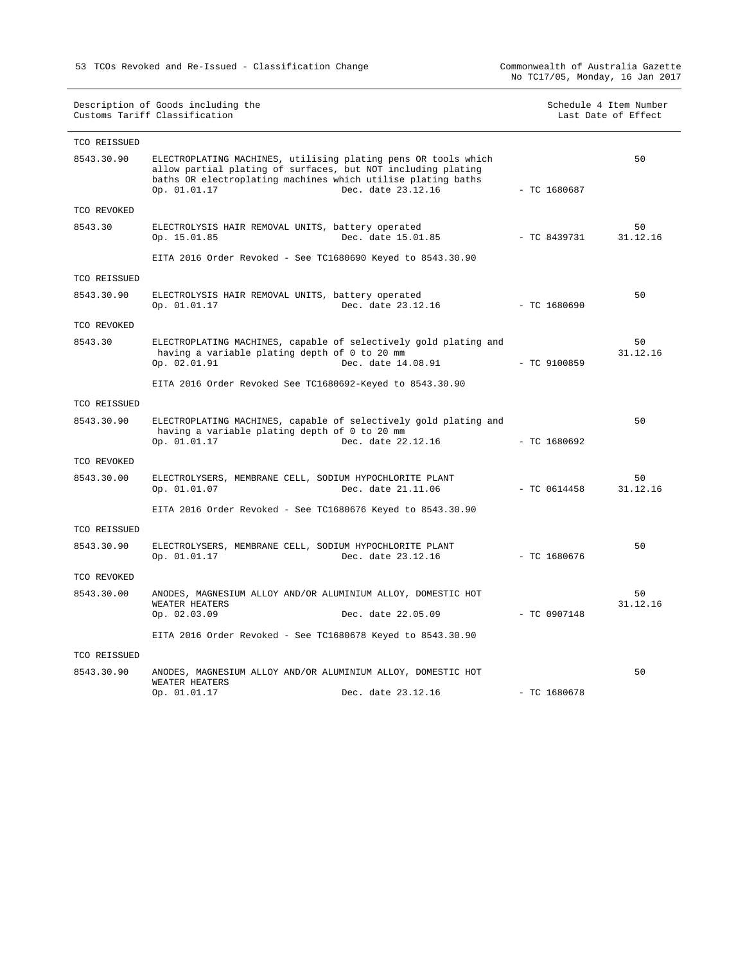Commonwealth of Australia Gazette<br>No TC17/05, Monday, 16 Jan 2017

|                            | Description of Goods including the<br>Customs Tariff Classification |                                                                                                                                                                                                                      |                | Schedule 4 Item Number<br>Last Date of Effect |
|----------------------------|---------------------------------------------------------------------|----------------------------------------------------------------------------------------------------------------------------------------------------------------------------------------------------------------------|----------------|-----------------------------------------------|
| TCO REISSUED               |                                                                     |                                                                                                                                                                                                                      |                |                                               |
| 8543.30.90                 | Op. 01.01.17                                                        | ELECTROPLATING MACHINES, utilising plating pens OR tools which<br>allow partial plating of surfaces, but NOT including plating<br>baths OR electroplating machines which utilise plating baths<br>Dec. date 23.12.16 | $-$ TC 1680687 | 50                                            |
| TCO REVOKED                |                                                                     |                                                                                                                                                                                                                      |                |                                               |
| 8543.30                    | Op. 15.01.85                                                        | ELECTROLYSIS HAIR REMOVAL UNITS, battery operated<br>Dec. date 15.01.85                                                                                                                                              | - TC 8439731   | 50<br>31.12.16                                |
|                            |                                                                     | EITA 2016 Order Revoked - See TC1680690 Keyed to 8543.30.90                                                                                                                                                          |                |                                               |
| TCO REISSUED               |                                                                     |                                                                                                                                                                                                                      |                |                                               |
| 8543.30.90                 | Op. 01.01.17                                                        | ELECTROLYSIS HAIR REMOVAL UNITS, battery operated<br>Dec. date 23.12.16                                                                                                                                              | - TC 1680690   | 50                                            |
| TCO REVOKED                |                                                                     |                                                                                                                                                                                                                      |                |                                               |
| 8543.30                    | having a variable plating depth of 0 to 20 mm<br>Op. 02.01.91       | ELECTROPLATING MACHINES, capable of selectively gold plating and<br>Dec. date 14.08.91<br>$- TC 9100859$                                                                                                             |                | 50<br>31.12.16                                |
|                            |                                                                     | EITA 2016 Order Revoked See TC1680692-Keyed to 8543.30.90                                                                                                                                                            |                |                                               |
| TCO REISSUED               |                                                                     |                                                                                                                                                                                                                      |                |                                               |
| 8543.30.90                 | having a variable plating depth of 0 to 20 mm<br>Op. 01.01.17       | ELECTROPLATING MACHINES, capable of selectively gold plating and<br>Dec. date 22.12.16                                                                                                                               | $-$ TC 1680692 | 50                                            |
| TCO REVOKED                |                                                                     |                                                                                                                                                                                                                      |                |                                               |
| 8543.30.00                 | Op. 01.01.07                                                        | ELECTROLYSERS, MEMBRANE CELL, SODIUM HYPOCHLORITE PLANT<br>Dec. date 21.11.06                                                                                                                                        | $-$ TC 0614458 | 50<br>31.12.16                                |
|                            |                                                                     | EITA 2016 Order Revoked - See TC1680676 Keyed to 8543.30.90                                                                                                                                                          |                |                                               |
| TCO REISSUED               |                                                                     |                                                                                                                                                                                                                      |                |                                               |
| 8543.30.90                 | Op. 01.01.17                                                        | ELECTROLYSERS, MEMBRANE CELL, SODIUM HYPOCHLORITE PLANT<br>Dec. date 23.12.16                                                                                                                                        | $-$ TC 1680676 | 50                                            |
| TCO REVOKED                |                                                                     |                                                                                                                                                                                                                      |                |                                               |
| 8543.30.00                 | WEATER HEATERS<br>Op. 02.03.09                                      | ANODES, MAGNESIUM ALLOY AND/OR ALUMINIUM ALLOY, DOMESTIC HOT<br>Dec. date 22.05.09                                                                                                                                   | $-$ TC 0907148 | 50<br>31.12.16                                |
|                            |                                                                     |                                                                                                                                                                                                                      |                |                                               |
|                            |                                                                     | EITA 2016 Order Revoked - See TC1680678 Keyed to 8543.30.90                                                                                                                                                          |                |                                               |
| TCO REISSUED<br>8543.30.90 |                                                                     | ANODES, MAGNESIUM ALLOY AND/OR ALUMINIUM ALLOY, DOMESTIC HOT                                                                                                                                                         |                | 50                                            |
|                            | WEATER HEATERS<br>Op. 01.01.17                                      | Dec. date 23.12.16                                                                                                                                                                                                   | $- TC 1680678$ |                                               |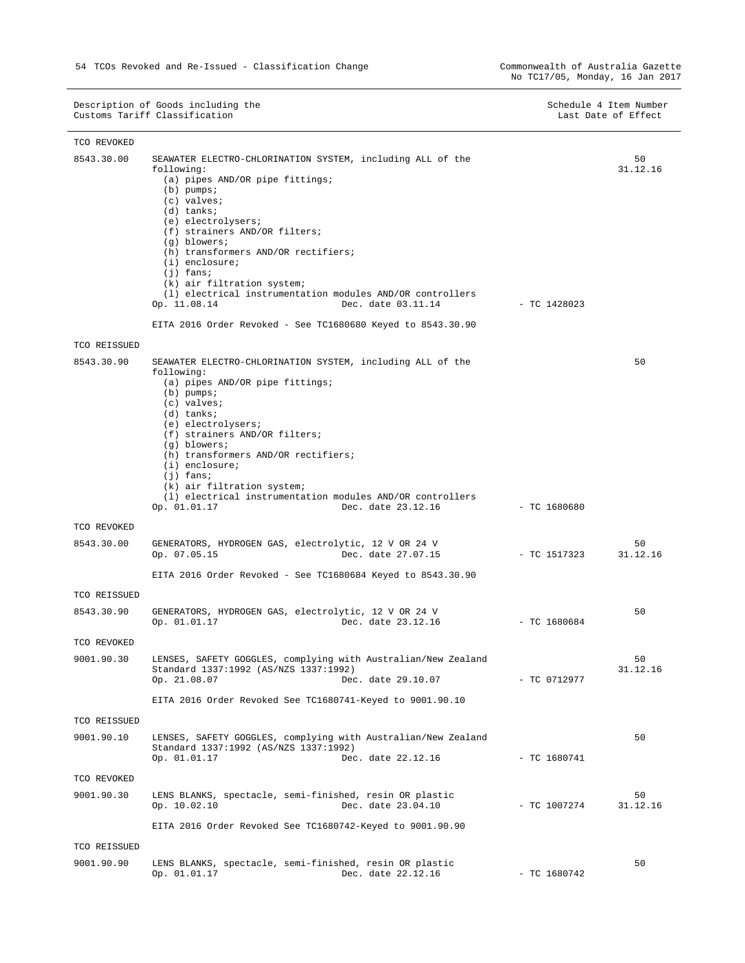Description of Goods including the Schedule 4 Item Number (Units of Schedule 4 Item Number Customs Tariff Classification Customs Tariff Classification TCO REVOKED 8543.30.00 SEAWATER ELECTRO-CHLORINATION SYSTEM, including ALL of the following: (a) pipes AND/OR pipe fittings; (b) pumps; (c) valves; (d) tanks; (e) electrolysers; (f) strainers AND/OR filters; (g) blowers; (h) transformers AND/OR rectifiers; (i) enclosure; (j) fans; (k) air filtration system; (1) electrical instrumentation modules AND/OR controllers<br>Op. 11.08.14 Dec. date 03.11.14 Dec. date 03.11.14 - TC 1428023 EITA 2016 Order Revoked - See TC1680680 Keyed to 8543.30.90 50 31.12.16 TCO REISSUED 8543.30.90 SEAWATER ELECTRO-CHLORINATION SYSTEM, including ALL of the following: (a) pipes AND/OR pipe fittings; (b) pumps; (c) valves; (d) tanks; (e) electrolysers; (f) strainers AND/OR filters; (g) blowers; (h) transformers AND/OR rectifiers; (i) enclosure; (j) fans; (k) air filtration system; (l) electrical instrumentation modules AND/OR controllers Dec. date 23.12.16 - TC 1680680 50 TCO REVOKED 8543.30.00 GENERATORS, HYDROGEN GAS, electrolytic, 12 V OR 24 V Dec. date 27.07.15 - TC 1517323 EITA 2016 Order Revoked - See TC1680684 Keyed to 8543.30.90 50 31.12.16 TCO REISSUED 8543.30.90 GENERATORS, HYDROGEN GAS, electrolytic, 12 V OR 24 V Op. 01.01.17 Dec. date 23.12.16 - TC 1680684 50 TCO REVOKED 9001.90.30 LENSES, SAFETY GOGGLES, complying with Australian/New Zealand Standard 1337:1992 (AS/NZS 1337:1992) Dec. date 29.10.07 - TC 0712977 EITA 2016 Order Revoked See TC1680741-Keyed to 9001.90.10 50 31.12.16 TCO REISSUED 9001.90.10 LENSES, SAFETY GOGGLES, complying with Australian/New Zealand Standard 1337:1992 (AS/NZS 1337:1992) Dec. date 22.12.16 - TC 1680741 50 TCO REVOKED

9001.90.30 LENS BLANKS, spectacle, semi-finished, resin OR plastic Op. 10.02.10 Dec. date 23.04.10 - TC 1007274 EITA 2016 Order Revoked See TC1680742-Keyed to 9001.90.90  $50$ 31.12.16 TCO REISSUED

9001.90.90 LENS BLANKS, spectacle, semi-finished, resin OR plastic  $Dec. date 22.12.16 - TC 1680742$ 50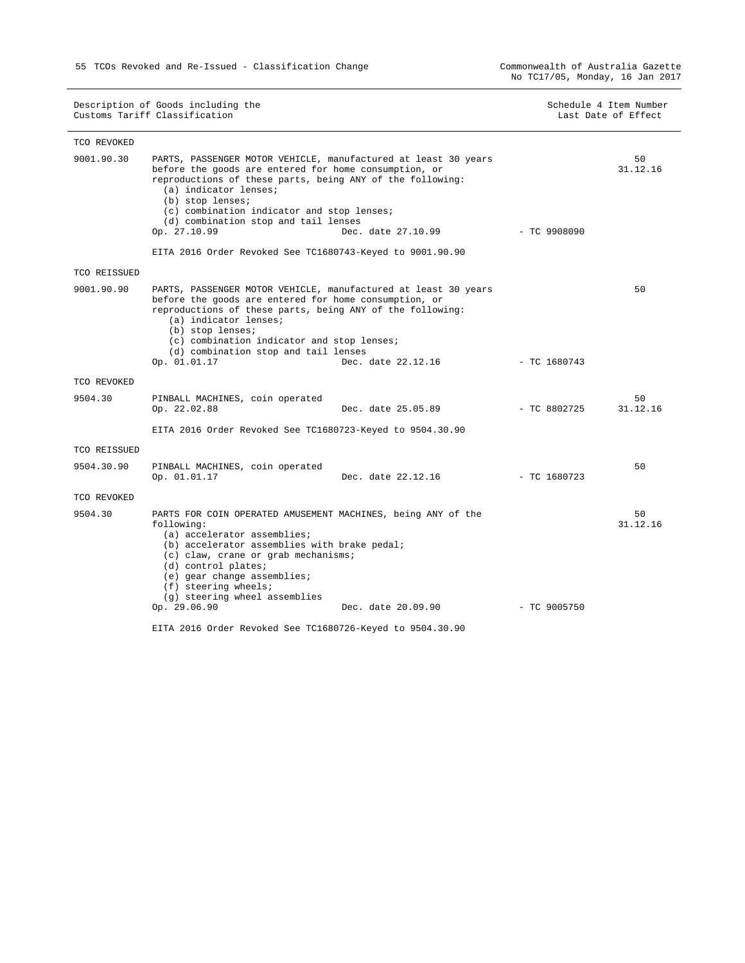Commonwealth of Australia Gazette<br>No TC17/05, Monday, 16 Jan 2017

| Schedule 4 Item Number |  |  |                     |
|------------------------|--|--|---------------------|
|                        |  |  | Last Date of Effect |

| TCO REVOKED  |                                                                                                                                                                                                                                                                                                                                         |                    |                |                |
|--------------|-----------------------------------------------------------------------------------------------------------------------------------------------------------------------------------------------------------------------------------------------------------------------------------------------------------------------------------------|--------------------|----------------|----------------|
| 9001.90.30   | PARTS, PASSENGER MOTOR VEHICLE, manufactured at least 30 years<br>before the goods are entered for home consumption, or<br>reproductions of these parts, being ANY of the following:<br>(a) indicator lenses;<br>(b) stop lenses;<br>(c) combination indicator and stop lenses;<br>(d) combination stop and tail lenses<br>Op. 27.10.99 | Dec. date 27.10.99 | $-$ TC 9908090 | 50<br>31.12.16 |
|              | EITA 2016 Order Revoked See TC1680743-Keyed to 9001.90.90                                                                                                                                                                                                                                                                               |                    |                |                |
| TCO REISSUED |                                                                                                                                                                                                                                                                                                                                         |                    |                |                |
| 9001.90.90   | PARTS, PASSENGER MOTOR VEHICLE, manufactured at least 30 years<br>before the goods are entered for home consumption, or<br>reproductions of these parts, being ANY of the following:<br>(a) indicator lenses;<br>(b) stop lenses;<br>(c) combination indicator and stop lenses;<br>(d) combination stop and tail lenses<br>Op. 01.01.17 | Dec. date 22.12.16 | $-$ TC 1680743 | 50             |
| TCO REVOKED  |                                                                                                                                                                                                                                                                                                                                         |                    |                |                |
| 9504.30      | PINBALL MACHINES, coin operated<br>Op. 22.02.88                                                                                                                                                                                                                                                                                         | Dec. date 25.05.89 | $-$ TC 8802725 | 50<br>31.12.16 |
|              | EITA 2016 Order Revoked See TC1680723-Keyed to 9504.30.90                                                                                                                                                                                                                                                                               |                    |                |                |
| TCO REISSUED |                                                                                                                                                                                                                                                                                                                                         |                    |                |                |
| 9504.30.90   | PINBALL MACHINES, coin operated<br>Op. 01.01.17                                                                                                                                                                                                                                                                                         | Dec. date 22.12.16 | $-$ TC 1680723 | 50             |
| TCO REVOKED  |                                                                                                                                                                                                                                                                                                                                         |                    |                |                |
| 9504.30      | PARTS FOR COIN OPERATED AMUSEMENT MACHINES, being ANY of the<br>following:<br>(a) accelerator assemblies;<br>(b) accelerator assemblies with brake pedal;<br>(c) claw, crane or grab mechanisms;<br>(d) control plates;<br>(e) gear change assemblies;<br>$(f)$ steering wheels;<br>(g) steering wheel assemblies                       |                    |                | 50<br>31.12.16 |
|              | Op. 29.06.90                                                                                                                                                                                                                                                                                                                            | Dec. date 20.09.90 | $-$ TC 9005750 |                |
|              | EITA 2016 Order Revoked See TC1680726-Keyed to 9504.30.90                                                                                                                                                                                                                                                                               |                    |                |                |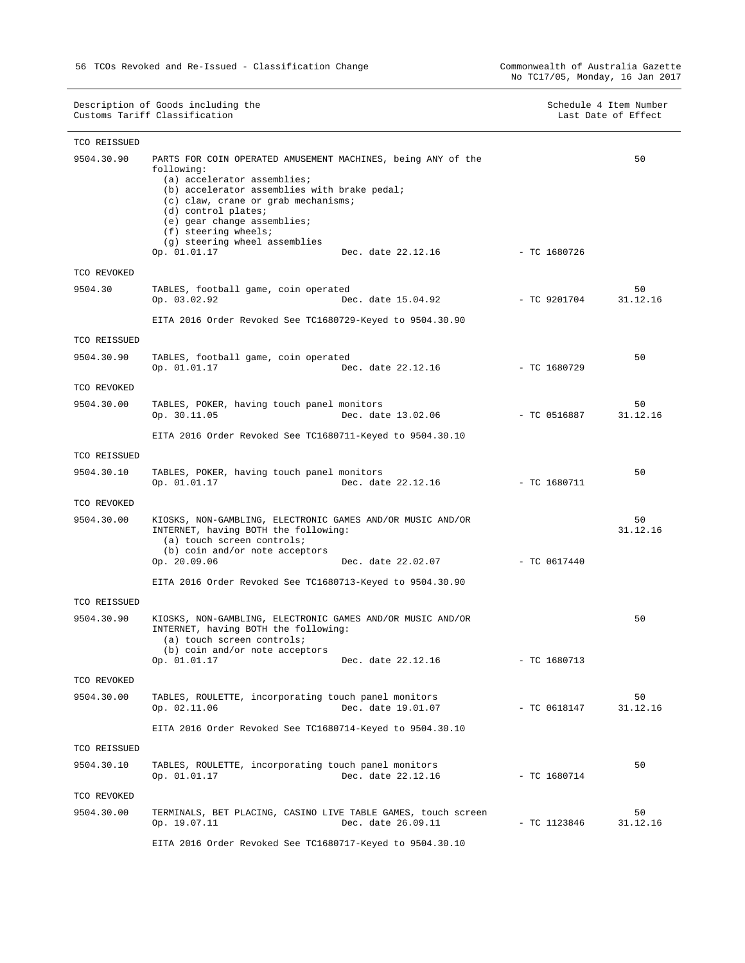| TCO REISSUED |                                                                                                                                                                                                                                                                                                                                                         |                |                |
|--------------|---------------------------------------------------------------------------------------------------------------------------------------------------------------------------------------------------------------------------------------------------------------------------------------------------------------------------------------------------------|----------------|----------------|
| 9504.30.90   | PARTS FOR COIN OPERATED AMUSEMENT MACHINES, being ANY of the<br>following:<br>(a) accelerator assemblies;<br>(b) accelerator assemblies with brake pedal;<br>(c) claw, crane or grab mechanisms;<br>(d) control plates;<br>(e) gear change assemblies;<br>$(f)$ steering wheels;<br>(g) steering wheel assemblies<br>Op. 01.01.17<br>Dec. date 22.12.16 | $-$ TC 1680726 | 50             |
| TCO REVOKED  |                                                                                                                                                                                                                                                                                                                                                         |                |                |
| 9504.30      | TABLES, football game, coin operated<br>Op. 03.02.92<br>Dec. date 15.04.92<br>EITA 2016 Order Revoked See TC1680729-Keyed to 9504.30.90                                                                                                                                                                                                                 | $-$ TC 9201704 | 50<br>31.12.16 |
|              |                                                                                                                                                                                                                                                                                                                                                         |                |                |
| TCO REISSUED |                                                                                                                                                                                                                                                                                                                                                         |                |                |
| 9504.30.90   | TABLES, football game, coin operated<br>Op. 01.01.17<br>Dec. date 22.12.16                                                                                                                                                                                                                                                                              | $-$ TC 1680729 | 50             |
| TCO REVOKED  |                                                                                                                                                                                                                                                                                                                                                         |                |                |
| 9504.30.00   | TABLES, POKER, having touch panel monitors<br>Op. 30.11.05<br>Dec. date 13.02.06                                                                                                                                                                                                                                                                        | - TC 0516887   | 50<br>31.12.16 |
|              | EITA 2016 Order Revoked See TC1680711-Keyed to 9504.30.10                                                                                                                                                                                                                                                                                               |                |                |
| TCO REISSUED |                                                                                                                                                                                                                                                                                                                                                         |                |                |
| 9504.30.10   | TABLES, POKER, having touch panel monitors<br>Op. 01.01.17<br>Dec. date 22.12.16                                                                                                                                                                                                                                                                        | - TC 1680711   | 50             |
| TCO REVOKED  |                                                                                                                                                                                                                                                                                                                                                         |                |                |
| 9504.30.00   | KIOSKS, NON-GAMBLING, ELECTRONIC GAMES AND/OR MUSIC AND/OR<br>INTERNET, having BOTH the following:<br>(a) touch screen controls;<br>(b) coin and/or note acceptors<br>Op. 20.09.06<br>Dec. date 22.02.07                                                                                                                                                | $-$ TC 0617440 | 50<br>31.12.16 |
|              | EITA 2016 Order Revoked See TC1680713-Keyed to 9504.30.90                                                                                                                                                                                                                                                                                               |                |                |
| TCO REISSUED |                                                                                                                                                                                                                                                                                                                                                         |                |                |
| 9504.30.90   | KIOSKS, NON-GAMBLING, ELECTRONIC GAMES AND/OR MUSIC AND/OR<br>INTERNET, having BOTH the following:<br>(a) touch screen controls;<br>(b) coin and/or note acceptors                                                                                                                                                                                      | $-$ TC 1680713 | 50             |
|              | Op. 01.01.17<br>Dec. date 22.12.16                                                                                                                                                                                                                                                                                                                      |                |                |
| TCO REVOKED  |                                                                                                                                                                                                                                                                                                                                                         |                |                |
| 9504.30.00   | TABLES, ROULETTE, incorporating touch panel monitors<br>Dec. date 19.01.07<br>Op. 02.11.06                                                                                                                                                                                                                                                              | $-$ TC 0618147 | 50<br>31.12.16 |
|              | EITA 2016 Order Revoked See TC1680714-Keyed to 9504.30.10                                                                                                                                                                                                                                                                                               |                |                |
| TCO REISSUED |                                                                                                                                                                                                                                                                                                                                                         |                |                |
| 9504.30.10   | TABLES, ROULETTE, incorporating touch panel monitors<br>Dec. date 22.12.16<br>Op. 01.01.17                                                                                                                                                                                                                                                              | $-$ TC 1680714 | 50             |
| TCO REVOKED  |                                                                                                                                                                                                                                                                                                                                                         |                |                |
| 9504.30.00   | TERMINALS, BET PLACING, CASINO LIVE TABLE GAMES, touch screen<br>Dec. date 26.09.11<br>Op. 19.07.11                                                                                                                                                                                                                                                     | $-$ TC 1123846 | 50<br>31.12.16 |
|              | EITA 2016 Order Revoked See TC1680717-Keyed to 9504.30.10                                                                                                                                                                                                                                                                                               |                |                |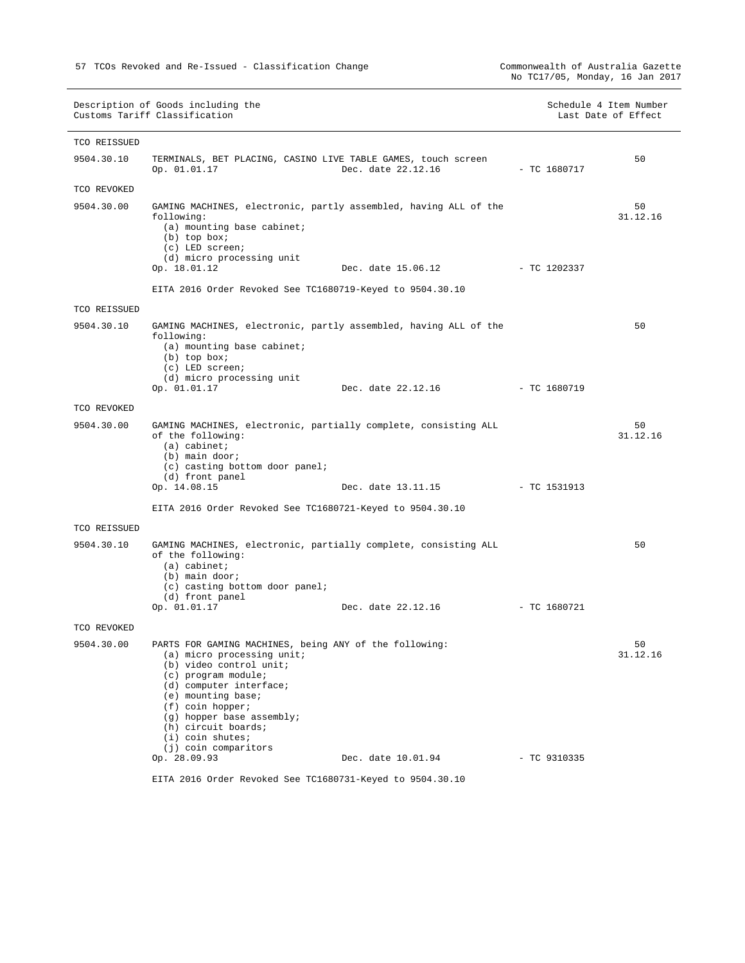Commonwealth of Australia Gazette<br>No TC17/05, Monday, 16 Jan 2017

|                            | Description of Goods including the<br>Customs Tariff Classification                                                                                                                                                                                                                                             |                                 |                | Schedule 4 Item Number<br>Last Date of Effect |
|----------------------------|-----------------------------------------------------------------------------------------------------------------------------------------------------------------------------------------------------------------------------------------------------------------------------------------------------------------|---------------------------------|----------------|-----------------------------------------------|
| TCO REISSUED               |                                                                                                                                                                                                                                                                                                                 |                                 |                |                                               |
| 9504.30.10                 | TERMINALS, BET PLACING, CASINO LIVE TABLE GAMES, touch screen<br>Op. 01.01.17                                                                                                                                                                                                                                   | Dec. date 22.12.16              | $-$ TC 1680717 | 50                                            |
| TCO REVOKED                |                                                                                                                                                                                                                                                                                                                 |                                 |                |                                               |
| 9504.30.00                 | GAMING MACHINES, electronic, partly assembled, having ALL of the<br>following:<br>$(a)$ mounting base cabinet;<br>$(b)$ top box;<br>(c) LED screen;<br>(d) micro processing unit<br>Op. 18.01.12                                                                                                                | Dec. date 15.06.12              | - TC 1202337   | 50<br>31.12.16                                |
|                            | EITA 2016 Order Revoked See TC1680719-Keyed to 9504.30.10                                                                                                                                                                                                                                                       |                                 |                |                                               |
| TCO REISSUED               |                                                                                                                                                                                                                                                                                                                 |                                 |                |                                               |
| 9504.30.10                 | GAMING MACHINES, electronic, partly assembled, having ALL of the<br>following:<br>$(a)$ mounting base cabinet;<br>$(b)$ top box;<br>(c) LED screen;<br>(d) micro processing unit<br>Op. 01.01.17                                                                                                                | Dec. date 22.12.16 - TC 1680719 |                | 50                                            |
| TCO REVOKED                |                                                                                                                                                                                                                                                                                                                 |                                 |                |                                               |
| 9504.30.00                 | GAMING MACHINES, electronic, partially complete, consisting ALL<br>of the following:<br>$(a)$ cabinet;<br>$(b)$ main door;<br>(c) casting bottom door panel;<br>(d) front panel<br>Op. 14.08.15                                                                                                                 | Dec. date 13.11.15              | - TC 1531913   | 50<br>31.12.16                                |
|                            | EITA 2016 Order Revoked See TC1680721-Keyed to 9504.30.10                                                                                                                                                                                                                                                       |                                 |                |                                               |
|                            |                                                                                                                                                                                                                                                                                                                 |                                 |                |                                               |
| TCO REISSUED<br>9504.30.10 | GAMING MACHINES, electronic, partially complete, consisting ALL<br>of the following:<br>$(a)$ cabinet;<br>$(b)$ main door;<br>(c) casting bottom door panel;<br>(d) front panel<br>Op. 01.01.17                                                                                                                 | Dec. date 22.12.16              | $-$ TC 1680721 | 50                                            |
| TCO REVOKED                |                                                                                                                                                                                                                                                                                                                 |                                 |                |                                               |
| 9504.30.00                 | PARTS FOR GAMING MACHINES, being ANY of the following:<br>(a) micro processing unit;<br>(b) video control unit;<br>(c) program module;<br>(d) computer interface;<br>(e) mounting base;<br>$(f)$ coin hopper;<br>(g) hopper base assembly;<br>(h) circuit boards;<br>$(i)$ coin shutes;<br>(j) coin comparitors |                                 |                | 50<br>31.12.16                                |
|                            | Op. 28.09.93                                                                                                                                                                                                                                                                                                    | Dec. date 10.01.94              | $-TC$ 9310335  |                                               |

EITA 2016 Order Revoked See TC1680731-Keyed to 9504.30.10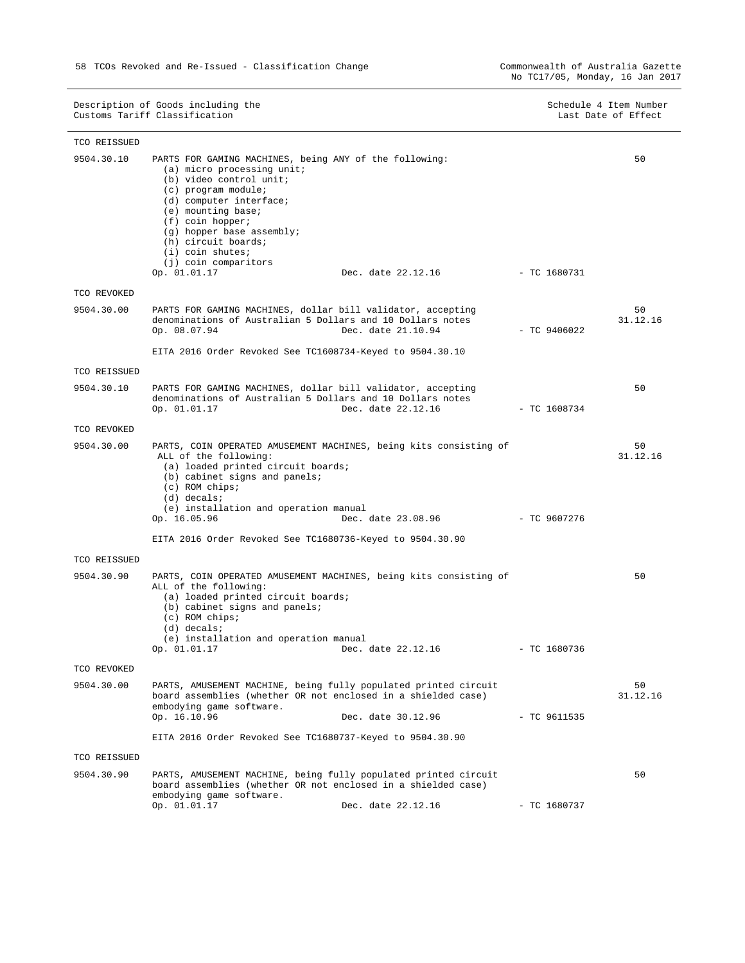|                            | Description of Goods including the<br>Customs Tariff Classification                                                                                                                                                                                                                                                                                     |                | Schedule 4 Item Number<br>Last Date of Effect |
|----------------------------|---------------------------------------------------------------------------------------------------------------------------------------------------------------------------------------------------------------------------------------------------------------------------------------------------------------------------------------------------------|----------------|-----------------------------------------------|
| TCO REISSUED               |                                                                                                                                                                                                                                                                                                                                                         |                |                                               |
| 9504.30.10                 | PARTS FOR GAMING MACHINES, being ANY of the following:<br>$(a)$ micro processing unit;<br>(b) video control unit;<br>(c) program module;<br>(d) computer interface;<br>(e) mounting base;<br>$(f)$ coin hopper;<br>(q) hopper base assembly;<br>(h) circuit boards;<br>$(i)$ coin shutes;<br>(j) coin comparitors<br>Op. 01.01.17<br>Dec. date 22.12.16 | - TC 1680731   | 50                                            |
| TCO REVOKED                |                                                                                                                                                                                                                                                                                                                                                         |                |                                               |
| 9504.30.00                 | PARTS FOR GAMING MACHINES, dollar bill validator, accepting<br>denominations of Australian 5 Dollars and 10 Dollars notes<br>Op. 08.07.94<br>Dec. date 21.10.94<br>EITA 2016 Order Revoked See TC1608734-Keyed to 9504.30.10                                                                                                                            | $-$ TC 9406022 | 50<br>31.12.16                                |
|                            |                                                                                                                                                                                                                                                                                                                                                         |                |                                               |
| TCO REISSUED<br>9504.30.10 | PARTS FOR GAMING MACHINES, dollar bill validator, accepting<br>denominations of Australian 5 Dollars and 10 Dollars notes<br>Dec. date 22.12.16<br>Op. 01.01.17                                                                                                                                                                                         | $-$ TC 1608734 | 50                                            |
| TCO REVOKED                |                                                                                                                                                                                                                                                                                                                                                         |                |                                               |
| 9504.30.00                 | PARTS, COIN OPERATED AMUSEMENT MACHINES, being kits consisting of<br>ALL of the following:<br>(a) loaded printed circuit boards;<br>(b) cabinet signs and panels;<br>$(c)$ ROM chips;<br>$(d)$ decals;<br>(e) installation and operation manual<br>Dec. date 23.08.96<br>Op. 16.05.96                                                                   | - TC 9607276   | 50<br>31.12.16                                |
|                            | EITA 2016 Order Revoked See TC1680736-Keyed to 9504.30.90                                                                                                                                                                                                                                                                                               |                |                                               |
| TCO REISSUED               |                                                                                                                                                                                                                                                                                                                                                         |                |                                               |
| 9504.30.90                 | PARTS, COIN OPERATED AMUSEMENT MACHINES, being kits consisting of<br>ALL of the following:<br>(a) loaded printed circuit boards;<br>(b) cabinet signs and panels;<br>(c) ROM chips;<br>$(d)$ decals;<br>(e) installation and operation manual<br>Op. 01.01.17<br>Dec. date 22.12.16                                                                     | $-$ TC 1680736 | 50                                            |
| TCO REVOKED                |                                                                                                                                                                                                                                                                                                                                                         |                |                                               |
| 9504.30.00                 | PARTS, AMUSEMENT MACHINE, being fully populated printed circuit<br>board assemblies (whether OR not enclosed in a shielded case)<br>embodying game software.<br>Op. 16.10.96<br>Dec. date 30.12.96<br>EITA 2016 Order Revoked See TC1680737-Keyed to 9504.30.90                                                                                         | - TC 9611535   | 50<br>31.12.16                                |
| TCO REISSUED               |                                                                                                                                                                                                                                                                                                                                                         |                |                                               |
| 9504.30.90                 | PARTS, AMUSEMENT MACHINE, being fully populated printed circuit                                                                                                                                                                                                                                                                                         |                | 50                                            |

|                          | FARIS, AMOSEMENT MACHINE, DEING LUITY POPUIATEU PIINTEU CILCUIT |              |
|--------------------------|-----------------------------------------------------------------|--------------|
|                          | board assemblies (whether OR not enclosed in a shielded case)   |              |
| embodying game software. |                                                                 |              |
| Op. 01.01.17             | Dec. date 22.12.16                                              | - TC 1680737 |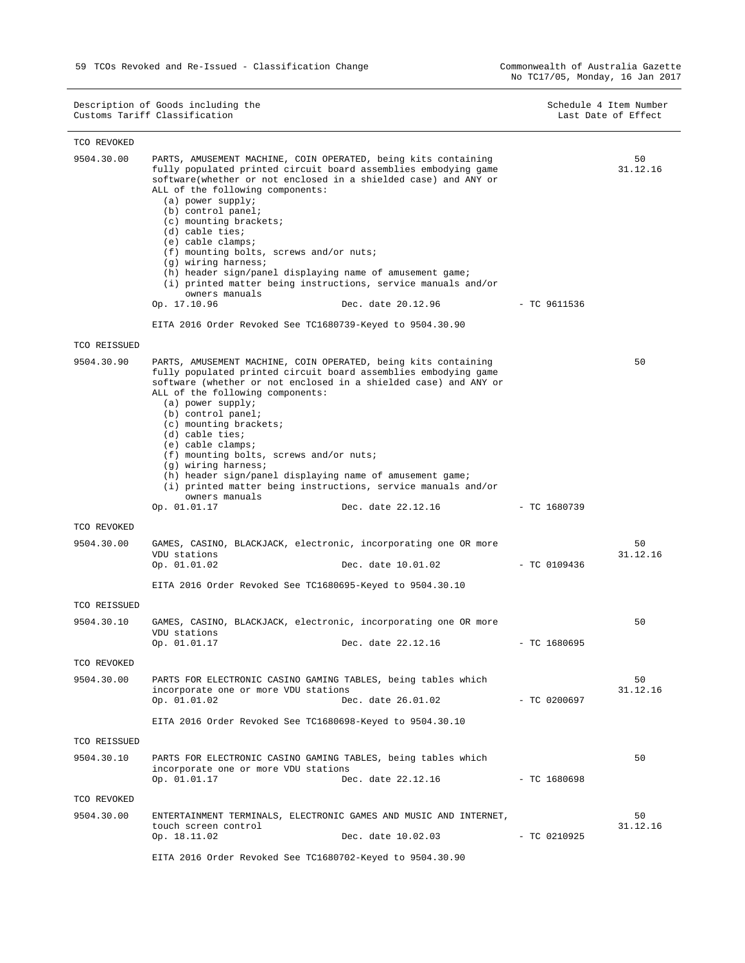$\overline{\phantom{0}}$ 

|                            | Description of Goods including the<br>Customs Tariff Classification                                                                                                                                                                                                                                                                                                                                                                                                                                                                                                                          |                    |                | Schedule 4 Item Number<br>Last Date of Effect |
|----------------------------|----------------------------------------------------------------------------------------------------------------------------------------------------------------------------------------------------------------------------------------------------------------------------------------------------------------------------------------------------------------------------------------------------------------------------------------------------------------------------------------------------------------------------------------------------------------------------------------------|--------------------|----------------|-----------------------------------------------|
| TCO REVOKED                |                                                                                                                                                                                                                                                                                                                                                                                                                                                                                                                                                                                              |                    |                |                                               |
| 9504.30.00                 | PARTS, AMUSEMENT MACHINE, COIN OPERATED, being kits containing<br>fully populated printed circuit board assemblies embodying game<br>software(whether or not enclosed in a shielded case) and ANY or<br>ALL of the following components:<br>(a) power supply;<br>(b) control panel;<br>(c) mounting brackets;<br>$(d)$ cable ties;<br>$(e)$ cable clamps;<br>(f) mounting bolts, screws and/or nuts;<br>$(q)$ wiring harness;<br>(h) header sign/panel displaying name of amusement game;<br>(i) printed matter being instructions, service manuals and/or<br>owners manuals<br>Op. 17.10.96 | Dec. date 20.12.96 | $-$ TC 9611536 | 50<br>31.12.16                                |
|                            | EITA 2016 Order Revoked See TC1680739-Keyed to 9504.30.90                                                                                                                                                                                                                                                                                                                                                                                                                                                                                                                                    |                    |                |                                               |
| TCO REISSUED               |                                                                                                                                                                                                                                                                                                                                                                                                                                                                                                                                                                                              |                    |                |                                               |
| 9504.30.90                 | PARTS, AMUSEMENT MACHINE, COIN OPERATED, being kits containing<br>fully populated printed circuit board assemblies embodying game<br>software (whether or not enclosed in a shielded case) and ANY or<br>ALL of the following components:<br>(a) power supply;<br>(b) control panel;<br>(c) mounting brackets;<br>$(d)$ cable ties;<br>(e) cable clamps;<br>(f) mounting bolts, screws and/or nuts;<br>$(g)$ wiring harness;<br>(h) header sign/panel displaying name of amusement game;<br>(i) printed matter being instructions, service manuals and/or<br>owners manuals<br>Op. 01.01.17  | Dec. date 22.12.16 | $-$ TC 1680739 | 50                                            |
| TCO REVOKED                |                                                                                                                                                                                                                                                                                                                                                                                                                                                                                                                                                                                              |                    |                |                                               |
| 9504.30.00                 | GAMES, CASINO, BLACKJACK, electronic, incorporating one OR more<br>VDU stations<br>Op. 01.01.02<br>EITA 2016 Order Revoked See TC1680695-Keyed to 9504.30.10                                                                                                                                                                                                                                                                                                                                                                                                                                 | Dec. date 10.01.02 | $- TC 0109436$ | 50<br>31.12.16                                |
| TCO REISSUED               |                                                                                                                                                                                                                                                                                                                                                                                                                                                                                                                                                                                              |                    |                |                                               |
| 9504.30.10                 | GAMES, CASINO, BLACKJACK, electronic, incorporating one OR more<br>VDU stations<br>Op. 01.01.17                                                                                                                                                                                                                                                                                                                                                                                                                                                                                              | Dec. date 22.12.16 | $-$ TC 1680695 | 50                                            |
| TCO REVOKED                |                                                                                                                                                                                                                                                                                                                                                                                                                                                                                                                                                                                              |                    |                |                                               |
| 9504.30.00                 | PARTS FOR ELECTRONIC CASINO GAMING TABLES, being tables which<br>incorporate one or more VDU stations<br>Op. 01.01.02                                                                                                                                                                                                                                                                                                                                                                                                                                                                        | Dec. date 26.01.02 | - TC 0200697   | 50<br>31.12.16                                |
|                            | EITA 2016 Order Revoked See TC1680698-Keyed to 9504.30.10                                                                                                                                                                                                                                                                                                                                                                                                                                                                                                                                    |                    |                |                                               |
| TCO REISSUED<br>9504.30.10 | PARTS FOR ELECTRONIC CASINO GAMING TABLES, being tables which<br>incorporate one or more VDU stations<br>Op. 01.01.17                                                                                                                                                                                                                                                                                                                                                                                                                                                                        | Dec. date 22.12.16 | $-$ TC 1680698 | 50                                            |
| TCO REVOKED                |                                                                                                                                                                                                                                                                                                                                                                                                                                                                                                                                                                                              |                    |                |                                               |
| 9504.30.00                 | ENTERTAINMENT TERMINALS, ELECTRONIC GAMES AND MUSIC AND INTERNET,<br>touch screen control<br>Op. 18.11.02                                                                                                                                                                                                                                                                                                                                                                                                                                                                                    | Dec. date 10.02.03 | $-$ TC 0210925 | 50<br>31.12.16                                |

EITA 2016 Order Revoked See TC1680702-Keyed to 9504.30.90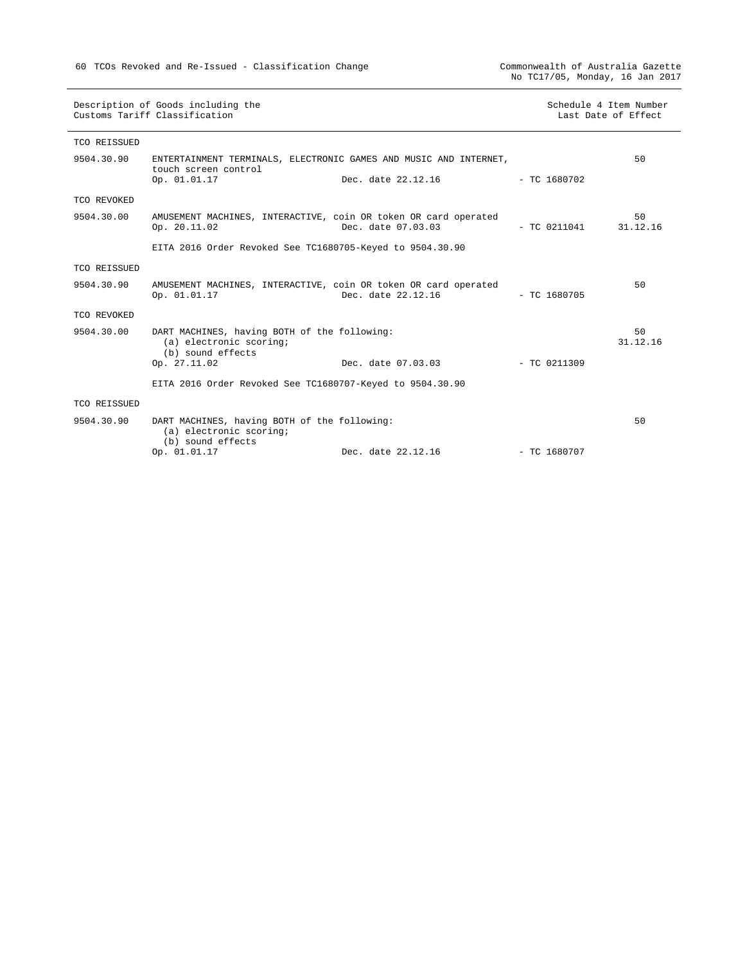| Description of Goods including the | Schedule 4 Item Number |
|------------------------------------|------------------------|
| Customs Tariff Classification      | Last Date of Effect    |

| TCO REISSUED |                                                                                              |                    |                         |                |
|--------------|----------------------------------------------------------------------------------------------|--------------------|-------------------------|----------------|
| 9504.30.90   | ENTERTAINMENT TERMINALS, ELECTRONIC GAMES AND MUSIC AND INTERNET,<br>touch screen control    |                    |                         | 50             |
|              | Op. 01.01.17                                                                                 | Dec. date 22.12.16 | $-$ TC 1680702          |                |
| TCO REVOKED  |                                                                                              |                    |                         |                |
| 9504.30.00   | AMUSEMENT MACHINES, INTERACTIVE, coin OR token OR card operated<br>Op. 20.11.02              | Dec. date 07.03.03 | $-$ TC 0211041 31.12.16 | 50             |
|              | EITA 2016 Order Revoked See TC1680705-Keyed to 9504.30.90                                    |                    |                         |                |
| TCO REISSUED |                                                                                              |                    |                         |                |
| 9504.30.90   | AMUSEMENT MACHINES, INTERACTIVE, coin OR token OR card operated<br>Op. 01.01.17              | Dec. date 22.12.16 | $-$ TC 1680705          | 50             |
| TCO REVOKED  |                                                                                              |                    |                         |                |
| 9504.30.00   | DART MACHINES, having BOTH of the following:<br>(a) electronic scoring;<br>(b) sound effects |                    |                         | 50<br>31.12.16 |
|              | Op. 27.11.02                                                                                 | Dec. date 07.03.03 | $-$ TC 0211309          |                |
|              | EITA 2016 Order Revoked See TC1680707-Keyed to 9504.30.90                                    |                    |                         |                |
| TCO REISSUED |                                                                                              |                    |                         |                |
| 9504.30.90   | DART MACHINES, having BOTH of the following:<br>(a) electronic scoring;<br>(b) sound effects |                    |                         | 50             |
|              | Op. 01.01.17                                                                                 | Dec. date 22.12.16 | - TC 1680707            |                |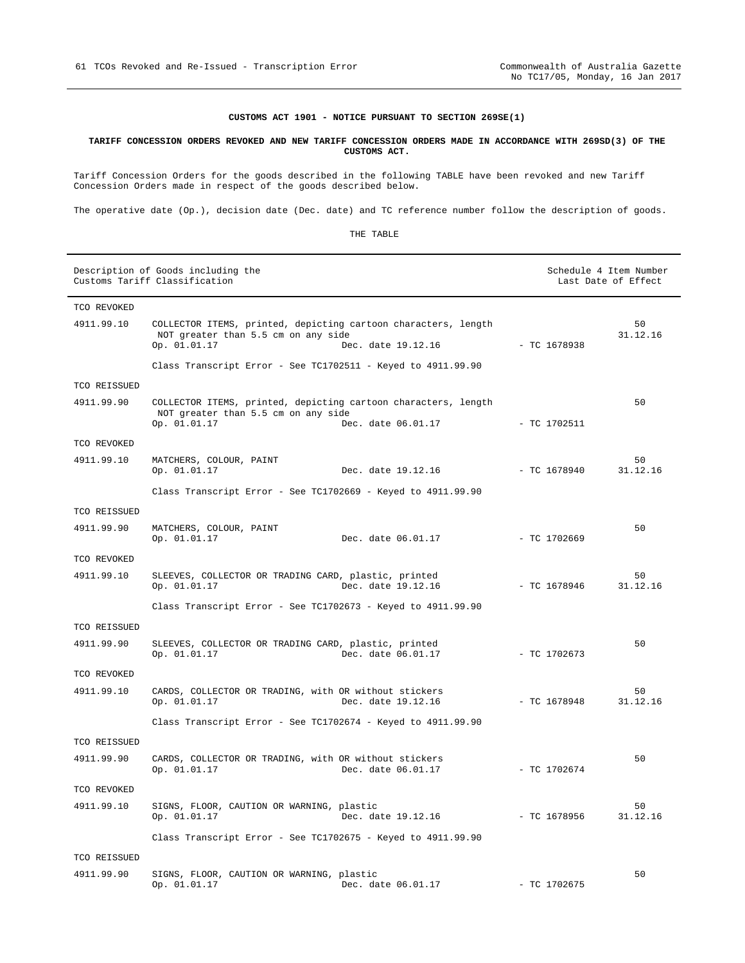# **CUSTOMS ACT 1901 - NOTICE PURSUANT TO SECTION 269SE(1)**

# **TARIFF CONCESSION ORDERS REVOKED AND NEW TARIFF CONCESSION ORDERS MADE IN ACCORDANCE WITH 269SD(3) OF THE CUSTOMS ACT.**

Tariff Concession Orders for the goods described in the following TABLE have been revoked and new Tariff Concession Orders made in respect of the goods described below.

The operative date (Op.), decision date (Dec. date) and TC reference number follow the description of goods.

# THE TABLE

|              | Description of Goods including the<br>Customs Tariff Classification                                                                         |                                 | Schedule 4 Item Number<br>Last Date of Effect |
|--------------|---------------------------------------------------------------------------------------------------------------------------------------------|---------------------------------|-----------------------------------------------|
| TCO REVOKED  |                                                                                                                                             |                                 |                                               |
| 4911.99.10   | COLLECTOR ITEMS, printed, depicting cartoon characters, length<br>NOT greater than 5.5 cm on any side<br>Op. 01.01.17<br>Dec. date 19.12.16 | $-$ TC 1678938                  | 50<br>31.12.16                                |
|              | Class Transcript Error - See TC1702511 - Keyed to 4911.99.90                                                                                |                                 |                                               |
| TCO REISSUED |                                                                                                                                             |                                 |                                               |
| 4911.99.90   | COLLECTOR ITEMS, printed, depicting cartoon characters, length<br>NOT greater than 5.5 cm on any side<br>Op. 01.01.17<br>Dec. date 06.01.17 | - TC 1702511                    | 50                                            |
| TCO REVOKED  |                                                                                                                                             |                                 |                                               |
| 4911.99.10   | MATCHERS, COLOUR, PAINT<br>Op. 01.01.17                                                                                                     | Dec. date 19.12.16 - TC 1678940 | 50<br>31.12.16                                |
|              | Class Transcript Error - See TC1702669 - Keyed to 4911.99.90                                                                                |                                 |                                               |
| TCO REISSUED |                                                                                                                                             |                                 |                                               |
| 4911.99.90   | MATCHERS, COLOUR, PAINT<br>Dec. date 06.01.17<br>Op. 01.01.17                                                                               | - TC 1702669                    | 50                                            |
| TCO REVOKED  |                                                                                                                                             |                                 |                                               |
| 4911.99.10   | SLEEVES, COLLECTOR OR TRADING CARD, plastic, printed<br>Dec. date 19.12.16<br>Op. 01.01.17                                                  | $-$ TC 1678946                  | 50<br>31.12.16                                |
|              | Class Transcript Error - See TC1702673 - Keyed to 4911.99.90                                                                                |                                 |                                               |
| TCO REISSUED |                                                                                                                                             |                                 |                                               |
| 4911.99.90   | SLEEVES, COLLECTOR OR TRADING CARD, plastic, printed<br>Dec. date 06.01.17<br>Op. 01.01.17                                                  | - TC 1702673                    | 50                                            |
| TCO REVOKED  |                                                                                                                                             |                                 |                                               |
| 4911.99.10   | CARDS, COLLECTOR OR TRADING, with OR without stickers<br>Dec. date 19.12.16<br>Op. 01.01.17                                                 | - TC 1678948                    | 50<br>31.12.16                                |
|              | Class Transcript Error - See TC1702674 - Keyed to 4911.99.90                                                                                |                                 |                                               |
| TCO REISSUED |                                                                                                                                             |                                 |                                               |
| 4911.99.90   | CARDS, COLLECTOR OR TRADING, with OR without stickers<br>Op. 01.01.17<br>Dec. date 06.01.17                                                 | - TC 1702674                    | 50                                            |
| TCO REVOKED  |                                                                                                                                             |                                 |                                               |
| 4911.99.10   | SIGNS, FLOOR, CAUTION OR WARNING, plastic<br>Op. 01.01.17<br>Dec. date 19.12.16                                                             | - TC 1678956                    | 50<br>31.12.16                                |
|              | Class Transcript Error - See TC1702675 - Keyed to 4911.99.90                                                                                |                                 |                                               |
| TCO REISSUED |                                                                                                                                             |                                 |                                               |
| 4911.99.90   | SIGNS, FLOOR, CAUTION OR WARNING, plastic<br>Op. 01.01.17<br>Dec. date 06.01.17                                                             | $-$ TC 1702675                  | 50                                            |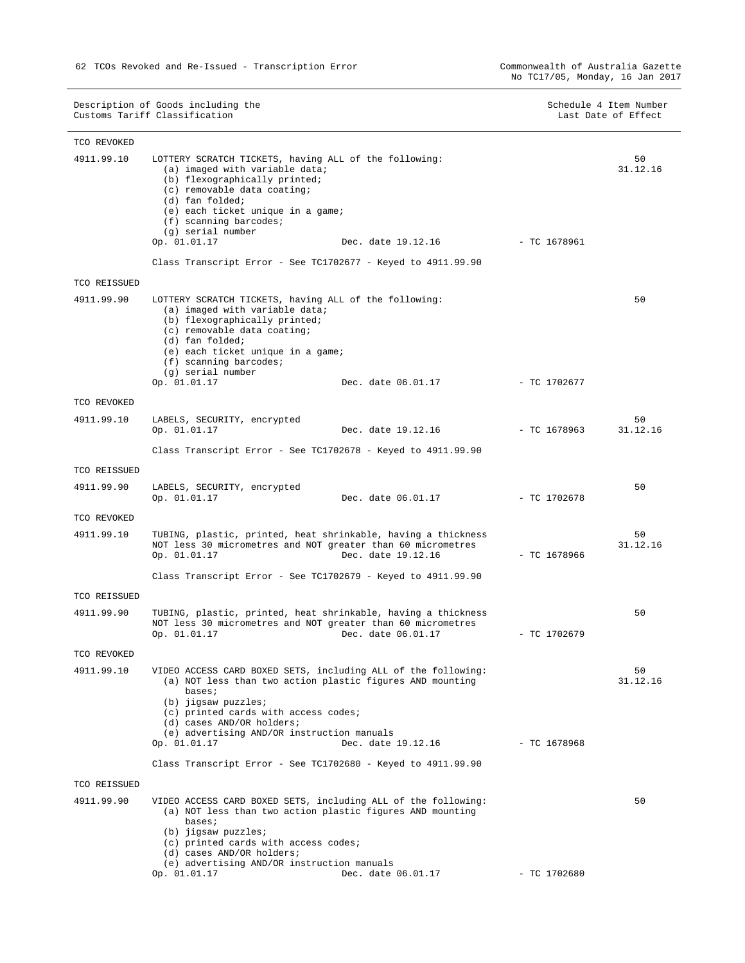62 TCOs Revoked and Re-Issued - Transcription Error

|              | Description of Goods including the<br>Customs Tariff Classification                                                                                                                                                                                                                                                  |                | Schedule 4 Item Number<br>Last Date of Effect |
|--------------|----------------------------------------------------------------------------------------------------------------------------------------------------------------------------------------------------------------------------------------------------------------------------------------------------------------------|----------------|-----------------------------------------------|
| TCO REVOKED  |                                                                                                                                                                                                                                                                                                                      |                |                                               |
| 4911.99.10   | LOTTERY SCRATCH TICKETS, having ALL of the following:<br>(a) imaged with variable data;<br>(b) flexographically printed;<br>(c) removable data coating;<br>(d) fan folded;<br>(e) each ticket unique in a game;<br>(f) scanning barcodes;<br>(q) serial number<br>Op. 01.01.17<br>Dec. date 19.12.16                 | - TC 1678961   | 50<br>31.12.16                                |
|              | Class Transcript Error - See TC1702677 - Keyed to 4911.99.90                                                                                                                                                                                                                                                         |                |                                               |
| TCO REISSUED |                                                                                                                                                                                                                                                                                                                      |                |                                               |
| 4911.99.90   | LOTTERY SCRATCH TICKETS, having ALL of the following:<br>(a) imaged with variable data;<br>(b) flexographically printed;<br>(c) removable data coating;<br>(d) fan folded;<br>(e) each ticket unique in a game;<br>$(f)$ scanning barcodes;<br>(g) serial number<br>Op. 01.01.17<br>Dec. date 06.01.17               | $-$ TC 1702677 | 50                                            |
| TCO REVOKED  |                                                                                                                                                                                                                                                                                                                      |                |                                               |
| 4911.99.10   | LABELS, SECURITY, encrypted<br>Op. 01.01.17<br>Dec. date 19.12.16                                                                                                                                                                                                                                                    | - TC 1678963   | 50<br>31.12.16                                |
|              | Class Transcript Error - See TC1702678 - Keyed to 4911.99.90                                                                                                                                                                                                                                                         |                |                                               |
| TCO REISSUED |                                                                                                                                                                                                                                                                                                                      |                |                                               |
| 4911.99.90   | LABELS, SECURITY, encrypted<br>Dec. date 06.01.17<br>Op. 01.01.17                                                                                                                                                                                                                                                    | $-$ TC 1702678 | 50                                            |
| TCO REVOKED  |                                                                                                                                                                                                                                                                                                                      |                |                                               |
| 4911.99.10   | TUBING, plastic, printed, heat shrinkable, having a thickness<br>NOT less 30 micrometres and NOT greater than 60 micrometres<br>Dec. date 19.12.16<br>Op. 01.01.17                                                                                                                                                   | $-$ TC 1678966 | 50<br>31.12.16                                |
|              | Class Transcript Error - See TC1702679 - Keyed to 4911.99.90                                                                                                                                                                                                                                                         |                |                                               |
| TCO REISSUED |                                                                                                                                                                                                                                                                                                                      |                |                                               |
| 4911.99.90   | TUBING, plastic, printed, heat shrinkable, having a thickness<br>NOT less 30 micrometres and NOT greater than 60 micrometres<br>Op. 01.01.17<br>Dec. date 06.01.17                                                                                                                                                   | $-$ TC 1702679 | 50                                            |
| TCO REVOKED  |                                                                                                                                                                                                                                                                                                                      |                |                                               |
| 4911.99.10   | VIDEO ACCESS CARD BOXED SETS, including ALL of the following:<br>(a) NOT less than two action plastic figures AND mounting<br>bases;<br>(b) jigsaw puzzles;<br>(c) printed cards with access codes;<br>(d) cases AND/OR holders;<br>(e) advertising AND/OR instruction manuals<br>Op. 01.01.17<br>Dec. date 19.12.16 | - TC 1678968   | 50<br>31.12.16                                |
|              | Class Transcript Error - See TC1702680 - Keyed to 4911.99.90                                                                                                                                                                                                                                                         |                |                                               |
| TCO REISSUED |                                                                                                                                                                                                                                                                                                                      |                |                                               |
| 4911.99.90   | VIDEO ACCESS CARD BOXED SETS, including ALL of the following:<br>(a) NOT less than two action plastic figures AND mounting<br>bases;<br>(b) jigsaw puzzles;<br>(c) printed cards with access codes;<br>(d) cases AND/OR holders;<br>(e) advertising AND/OR instruction manuals                                       |                | 50                                            |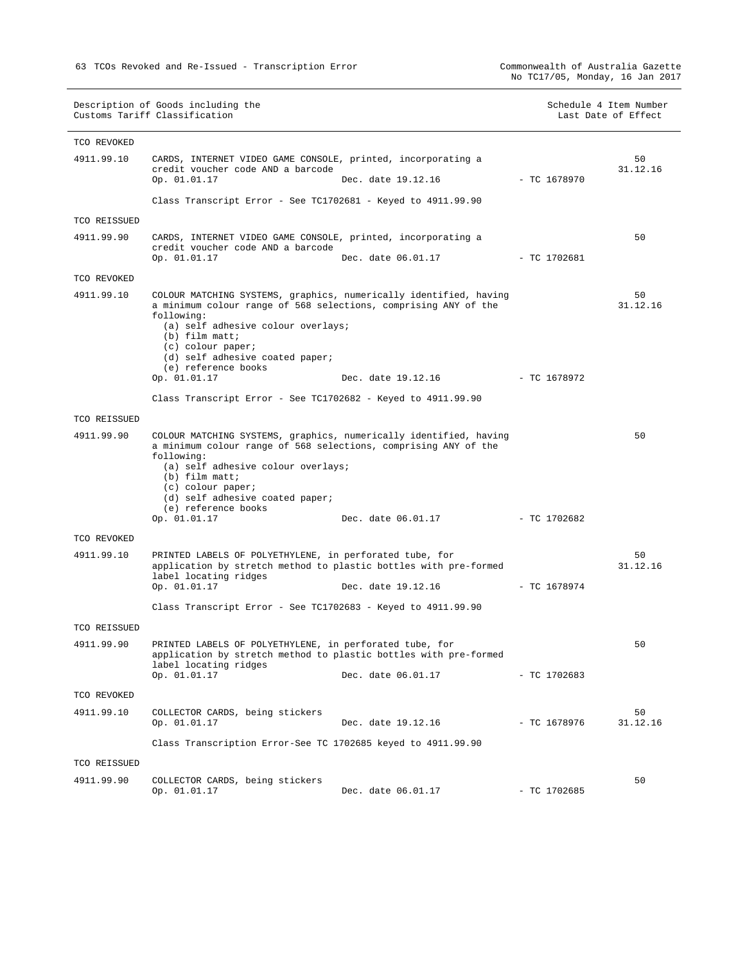63 TCOs Revoked and Re-Issued - Transcription Error

| TCO REVOKED  |                                                                                                                                                                                                                                                                                                             |                    |                |                |
|--------------|-------------------------------------------------------------------------------------------------------------------------------------------------------------------------------------------------------------------------------------------------------------------------------------------------------------|--------------------|----------------|----------------|
| 4911.99.10   | CARDS, INTERNET VIDEO GAME CONSOLE, printed, incorporating a<br>credit voucher code AND a barcode                                                                                                                                                                                                           |                    |                | 50<br>31.12.16 |
|              | Op. 01.01.17                                                                                                                                                                                                                                                                                                | Dec. date 19.12.16 | $-$ TC 1678970 |                |
|              | Class Transcript Error - See TC1702681 - Keyed to 4911.99.90                                                                                                                                                                                                                                                |                    |                |                |
| TCO REISSUED |                                                                                                                                                                                                                                                                                                             |                    |                |                |
| 4911.99.90   | CARDS, INTERNET VIDEO GAME CONSOLE, printed, incorporating a<br>credit voucher code AND a barcode<br>Op. 01.01.17                                                                                                                                                                                           | Dec. date 06.01.17 | $-$ TC 1702681 | 50             |
| TCO REVOKED  |                                                                                                                                                                                                                                                                                                             |                    |                |                |
| 4911.99.10   | COLOUR MATCHING SYSTEMS, graphics, numerically identified, having                                                                                                                                                                                                                                           |                    |                | 50             |
|              | a minimum colour range of 568 selections, comprising ANY of the<br>following:<br>(a) self adhesive colour overlays;<br>$(b)$ film matt;<br>(c) colour paper;<br>(d) self adhesive coated paper;<br>(e) reference books                                                                                      |                    |                | 31.12.16       |
|              | Op. 01.01.17                                                                                                                                                                                                                                                                                                | Dec. date 19.12.16 | $-$ TC 1678972 |                |
|              | Class Transcript Error - See TC1702682 - Keyed to 4911.99.90                                                                                                                                                                                                                                                |                    |                |                |
| TCO REISSUED |                                                                                                                                                                                                                                                                                                             |                    |                |                |
| 4911.99.90   | COLOUR MATCHING SYSTEMS, graphics, numerically identified, having<br>a minimum colour range of 568 selections, comprising ANY of the<br>following:<br>(a) self adhesive colour overlays;<br>$(b)$ film matt;<br>(c) colour paper;<br>(d) self adhesive coated paper;<br>(e) reference books<br>Op. 01.01.17 | Dec. date 06.01.17 | $-$ TC 1702682 | 50             |
| TCO REVOKED  |                                                                                                                                                                                                                                                                                                             |                    |                |                |
| 4911.99.10   | PRINTED LABELS OF POLYETHYLENE, in perforated tube, for<br>application by stretch method to plastic bottles with pre-formed<br>label locating ridges<br>Op. 01.01.17                                                                                                                                        | Dec. date 19.12.16 | $-$ TC 1678974 | 50<br>31.12.16 |
|              | Class Transcript Error - See TC1702683 - Keyed to 4911.99.90                                                                                                                                                                                                                                                |                    |                |                |
| TCO REISSUED |                                                                                                                                                                                                                                                                                                             |                    |                |                |
| 4911.99.90   | PRINTED LABELS OF POLYETHYLENE, in perforated tube, for<br>application by stretch method to plastic bottles with pre-formed<br>label locating ridges                                                                                                                                                        |                    |                | 50             |
|              | Op. 01.01.17                                                                                                                                                                                                                                                                                                | Dec. date 06.01.17 | $-$ TC 1702683 |                |
| TCO REVOKED  |                                                                                                                                                                                                                                                                                                             |                    |                |                |
| 4911.99.10   | COLLECTOR CARDS, being stickers<br>Op. 01.01.17                                                                                                                                                                                                                                                             | Dec. date 19.12.16 | $-$ TC 1678976 | 50<br>31.12.16 |
|              | Class Transcription Error-See TC 1702685 keyed to 4911.99.90                                                                                                                                                                                                                                                |                    |                |                |
| TCO REISSUED |                                                                                                                                                                                                                                                                                                             |                    |                |                |
| 4911.99.90   | COLLECTOR CARDS, being stickers<br>Op. 01.01.17                                                                                                                                                                                                                                                             | Dec. date 06.01.17 | $-$ TC 1702685 | 50             |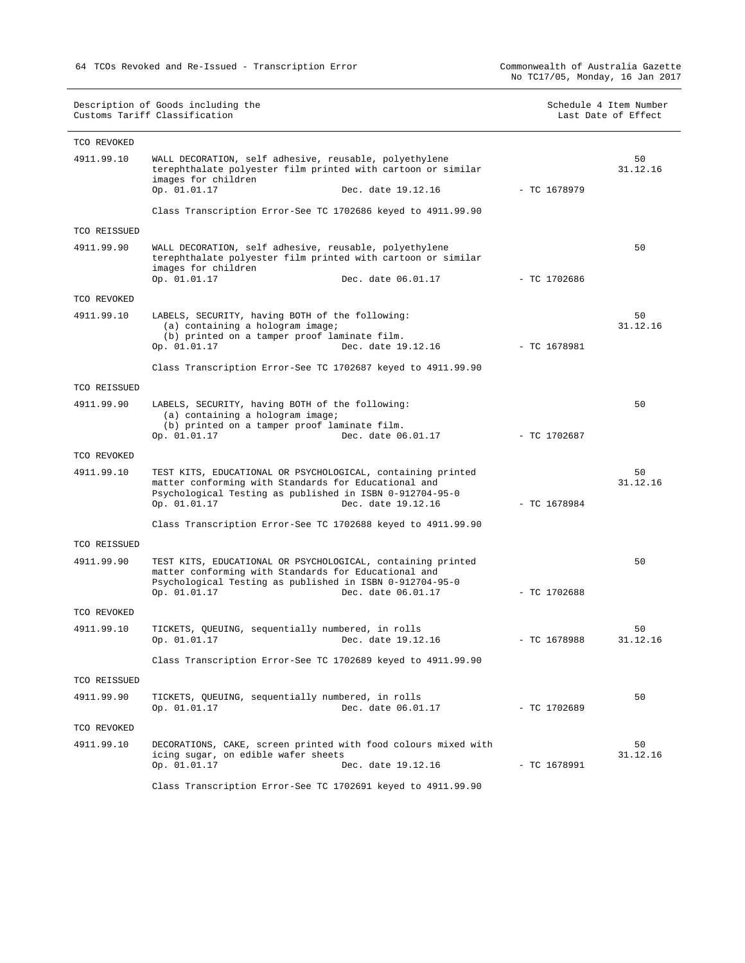64 TCOs Revoked and Re-Issued - Transcription Error Commonwealth of Australia Gazette

No TC17/05, Monday, 16 Jan 2017

|              | Customs Tariff Classification                                                                                                                                                                                                             |                | Last Date of Effect |
|--------------|-------------------------------------------------------------------------------------------------------------------------------------------------------------------------------------------------------------------------------------------|----------------|---------------------|
| TCO REVOKED  |                                                                                                                                                                                                                                           |                |                     |
| 4911.99.10   | WALL DECORATION, self adhesive, reusable, polyethylene<br>terephthalate polyester film printed with cartoon or similar<br>images for children                                                                                             |                | 50<br>31.12.16      |
|              | Op. 01.01.17<br>Dec. date 19.12.16                                                                                                                                                                                                        | - TC 1678979   |                     |
|              | Class Transcription Error-See TC 1702686 keyed to 4911.99.90                                                                                                                                                                              |                |                     |
| TCO REISSUED |                                                                                                                                                                                                                                           |                |                     |
| 4911.99.90   | WALL DECORATION, self adhesive, reusable, polyethylene<br>terephthalate polyester film printed with cartoon or similar<br>images for children<br>Op. 01.01.17<br>Dec. date 06.01.17                                                       | - TC 1702686   | 50                  |
| TCO REVOKED  |                                                                                                                                                                                                                                           |                |                     |
| 4911.99.10   | LABELS, SECURITY, having BOTH of the following:<br>(a) containing a hologram image;<br>(b) printed on a tamper proof laminate film.<br>Dec. date 19.12.16<br>Op. 01.01.17<br>Class Transcription Error-See TC 1702687 keyed to 4911.99.90 | $-$ TC 1678981 | 50<br>31.12.16      |
| TCO REISSUED |                                                                                                                                                                                                                                           |                |                     |
| 4911.99.90   | LABELS, SECURITY, having BOTH of the following:<br>(a) containing a hologram image;<br>(b) printed on a tamper proof laminate film.<br>Op. 01.01.17<br>Dec. date 06.01.17                                                                 | $-$ TC 1702687 | 50                  |
| TCO REVOKED  |                                                                                                                                                                                                                                           |                |                     |
| 4911.99.10   | TEST KITS, EDUCATIONAL OR PSYCHOLOGICAL, containing printed<br>matter conforming with Standards for Educational and<br>Psychological Testing as published in ISBN 0-912704-95-0<br>Op. 01.01.17<br>Dec. date 19.12.16                     | $-$ TC 1678984 | 50<br>31.12.16      |
|              | Class Transcription Error-See TC 1702688 keyed to 4911.99.90                                                                                                                                                                              |                |                     |
| TCO REISSUED |                                                                                                                                                                                                                                           |                |                     |
| 4911.99.90   | TEST KITS, EDUCATIONAL OR PSYCHOLOGICAL, containing printed<br>matter conforming with Standards for Educational and<br>Psychological Testing as published in ISBN 0-912704-95-0<br>Op. 01.01.17<br>Dec. date 06.01.17                     | $-$ TC 1702688 | 50                  |
| TCO REVOKED  |                                                                                                                                                                                                                                           |                |                     |
| 4911.99.10   | TICKETS, QUEUING, sequentially numbered, in rolls<br>Op. 01.01.17<br>Dec. date 19.12.16                                                                                                                                                   | $-$ TC 1678988 | 50<br>31.12.16      |
|              | Class Transcription Error-See TC 1702689 keyed to 4911.99.90                                                                                                                                                                              |                |                     |
| TCO REISSUED |                                                                                                                                                                                                                                           |                |                     |
| 4911.99.90   | TICKETS, OUEUING, sequentially numbered, in rolls<br>Op. 01.01.17<br>Dec. date 06.01.17                                                                                                                                                   | $-$ TC 1702689 | 50                  |
| TCO REVOKED  |                                                                                                                                                                                                                                           |                |                     |
| 4911.99.10   | DECORATIONS, CAKE, screen printed with food colours mixed with<br>icing sugar, on edible wafer sheets<br>Op. 01.01.17<br>Dec. date 19.12.16                                                                                               | $-$ TC 1678991 | 50<br>31.12.16      |

Description of Goods including the Schedule 4 Item Number Schedule 4 Item Number

Class Transcription Error-See TC 1702691 keyed to 4911.99.90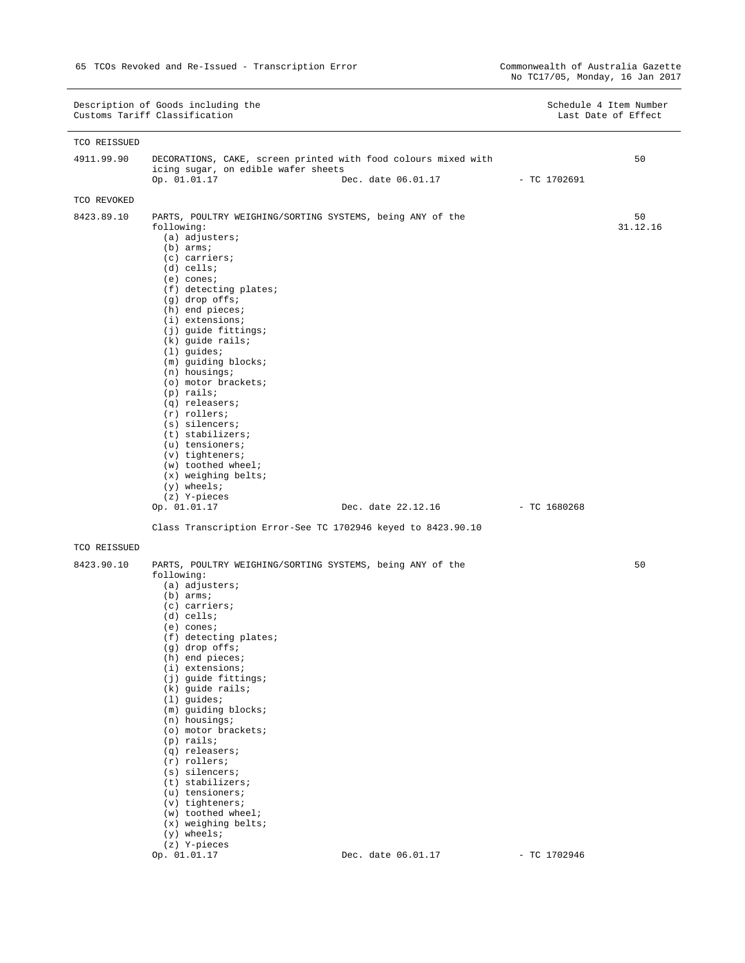|              | Description of Goods including the<br>Customs Tariff Classification                                                                                                                                                                                                                                                                                                                                                                                                                                                                                                                   |                    |                | Schedule 4 Item Number<br>Last Date of Effect |
|--------------|---------------------------------------------------------------------------------------------------------------------------------------------------------------------------------------------------------------------------------------------------------------------------------------------------------------------------------------------------------------------------------------------------------------------------------------------------------------------------------------------------------------------------------------------------------------------------------------|--------------------|----------------|-----------------------------------------------|
| TCO REISSUED |                                                                                                                                                                                                                                                                                                                                                                                                                                                                                                                                                                                       |                    |                |                                               |
| 4911.99.90   | DECORATIONS, CAKE, screen printed with food colours mixed with<br>icing sugar, on edible wafer sheets                                                                                                                                                                                                                                                                                                                                                                                                                                                                                 |                    |                | 50                                            |
|              | Op. 01.01.17                                                                                                                                                                                                                                                                                                                                                                                                                                                                                                                                                                          | Dec. date 06.01.17 | - TC 1702691   |                                               |
| TCO REVOKED  |                                                                                                                                                                                                                                                                                                                                                                                                                                                                                                                                                                                       |                    |                |                                               |
| 8423.89.10   | PARTS, POULTRY WEIGHING/SORTING SYSTEMS, being ANY of the<br>following:<br>(a) adjusters;<br>$(b)$ arms;<br>$(c)$ carriers;<br>$(d)$ cells;<br>$(e)$ cones;<br>(f) detecting plates;<br>(g) drop offs;<br>(h) end pieces;<br>$(i)$ extensions;<br>(j) guide fittings;<br>$(k)$ guide rails;<br>$(1)$ guides;<br>(m) guiding blocks;<br>$(n)$ housings;<br>(o) motor brackets;<br>$(p)$ rails;<br>(q) releasers;<br>$(r)$ rollers;<br>$(s)$ silencers;<br>$(t)$ stabilizers;<br>$(u)$ tensioners;<br>$(v)$ tighteners;<br>(w) toothed wheel;<br>$(x)$ weighing belts;<br>$(y)$ wheels; |                    |                | 50<br>31.12.16                                |
|              | (z) Y-pieces<br>Op. 01.01.17                                                                                                                                                                                                                                                                                                                                                                                                                                                                                                                                                          | Dec. date 22.12.16 | $-TC1680268$   |                                               |
|              | Class Transcription Error-See TC 1702946 keyed to 8423.90.10                                                                                                                                                                                                                                                                                                                                                                                                                                                                                                                          |                    |                |                                               |
| TCO REISSUED |                                                                                                                                                                                                                                                                                                                                                                                                                                                                                                                                                                                       |                    |                |                                               |
| 8423.90.10   | PARTS, POULTRY WEIGHING/SORTING SYSTEMS, being ANY of the<br>following:<br>$(a)$ adjusters;<br>$(b)$ arms;<br>(c) carriers;<br>$(d)$ cells;<br>$(e)$ cones;<br>(f) detecting plates;<br>$(g)$ drop offs;<br>$(h)$ end pieces;<br>$(i)$ extensions;<br>(j) guide fittings;<br>$(k)$ quide rails;<br>$(1)$ guides;<br>(m) guiding blocks;<br>$(n)$ housings;<br>(o) motor brackets;<br>$(p)$ rails;<br>$(q)$ releasers;<br>$(r)$ rollers;<br>$(s)$ silencers;<br>$(t)$ stabilizers;<br>$(u)$ tensioners;<br>$(v)$ tighteners;<br>(w) toothed wheel;<br>$(x)$ weighing belts;            |                    |                | 50                                            |
|              | $(y)$ wheels;<br>(z) Y-pieces                                                                                                                                                                                                                                                                                                                                                                                                                                                                                                                                                         |                    |                |                                               |
|              | Op. 01.01.17                                                                                                                                                                                                                                                                                                                                                                                                                                                                                                                                                                          | Dec. date 06.01.17 | $- TC 1702946$ |                                               |